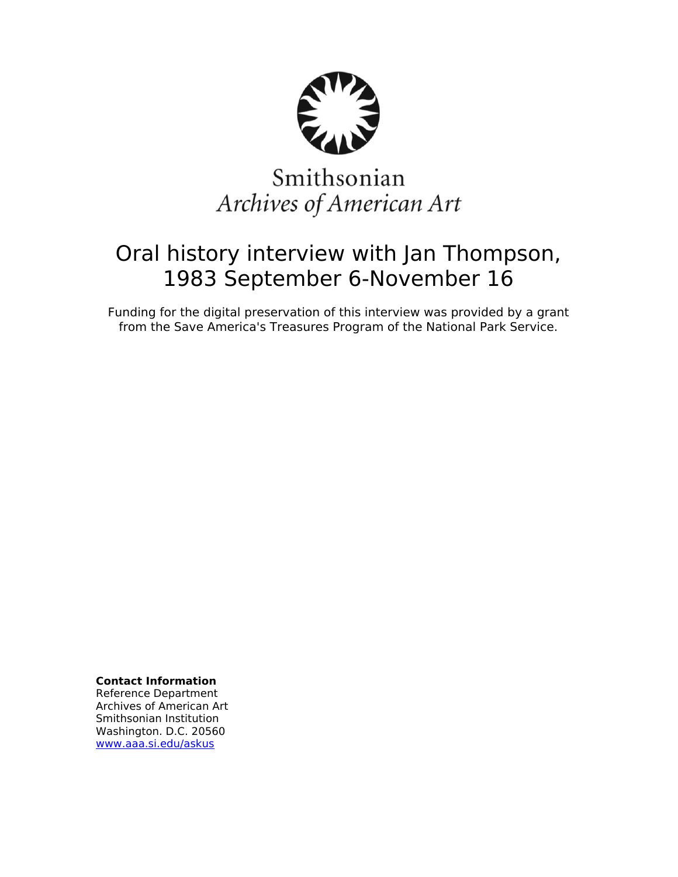

# Smithsonian Archives of American Art

## Oral history interview with Jan Thompson, 1983 September 6-November 16

Funding for the digital preservation of this interview was provided by a grant from the Save America's Treasures Program of the National Park Service.

**Contact Information**

Reference Department Archives of American Art Smithsonian Institution Washington. D.C. 20560 [www.aaa.si.edu/askus](http://www.aaa.si.edu/askus)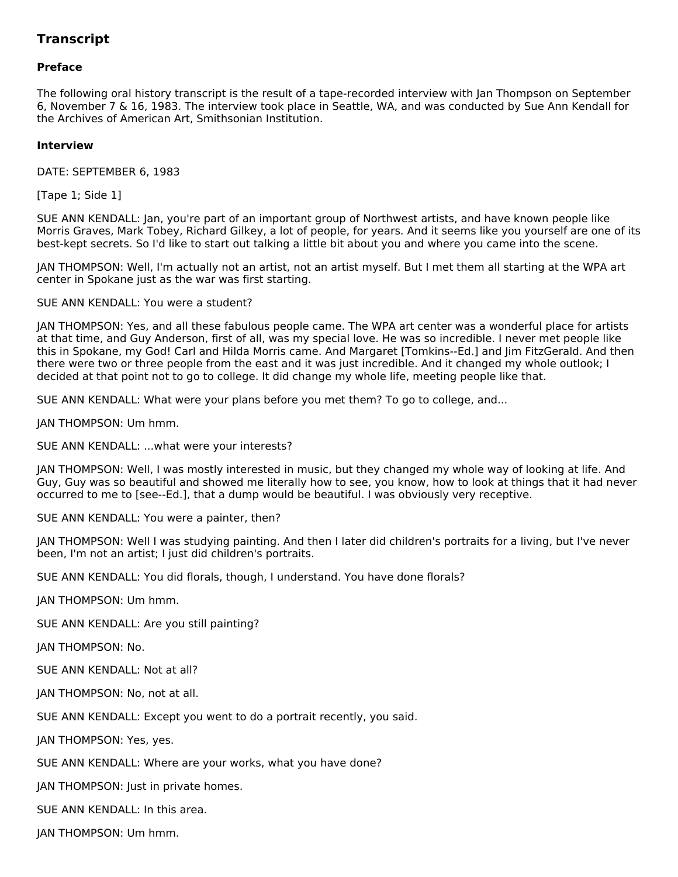### **Transcript**

#### **Preface**

The following oral history transcript is the result of a tape-recorded interview with Jan Thompson on September 6, November 7 & 16, 1983. The interview took place in Seattle, WA, and was conducted by Sue Ann Kendall for the Archives of American Art, Smithsonian Institution.

#### **Interview**

DATE: SEPTEMBER 6, 1983

[Tape 1; Side 1]

SUE ANN KENDALL: Jan, you're part of an important group of Northwest artists, and have known people like Morris Graves, Mark Tobey, Richard Gilkey, a lot of people, for years. And it seems like you yourself are one of its best-kept secrets. So I'd like to start out talking a little bit about you and where you came into the scene.

JAN THOMPSON: Well, I'm actually not an artist, not an artist myself. But I met them all starting at the WPA art center in Spokane just as the war was first starting.

SUE ANN KENDALL: You were a student?

JAN THOMPSON: Yes, and all these fabulous people came. The WPA art center was a wonderful place for artists at that time, and Guy Anderson, first of all, was my special love. He was so incredible. I never met people like this in Spokane, my God! Carl and Hilda Morris came. And Margaret [Tomkins--Ed.] and Jim FitzGerald. And then there were two or three people from the east and it was just incredible. And it changed my whole outlook; I decided at that point not to go to college. It did change my whole life, meeting people like that.

SUE ANN KENDALL: What were your plans before you met them? To go to college, and...

JAN THOMPSON: Um hmm.

SUE ANN KENDALL: ...what were your interests?

JAN THOMPSON: Well, I was mostly interested in music, but they changed my whole way of looking at life. And Guy, Guy was so beautiful and showed me literally how to see, you know, how to look at things that it had never occurred to me to [see--Ed.], that a dump would be beautiful. I was obviously very receptive.

SUE ANN KENDALL: You were a painter, then?

JAN THOMPSON: Well I was studying painting. And then I later did children's portraits for a living, but I've never been, I'm not an artist; I just did children's portraits.

SUE ANN KENDALL: You did florals, though, I understand. You have done florals?

JAN THOMPSON: Um hmm.

SUE ANN KENDALL: Are you still painting?

JAN THOMPSON: No.

SUE ANN KENDALL: Not at all?

JAN THOMPSON: No, not at all.

SUE ANN KENDALL: Except you went to do a portrait recently, you said.

JAN THOMPSON: Yes, yes.

SUE ANN KENDALL: Where are your works, what you have done?

JAN THOMPSON: Just in private homes.

SUE ANN KENDALL: In this area.

JAN THOMPSON: Um hmm.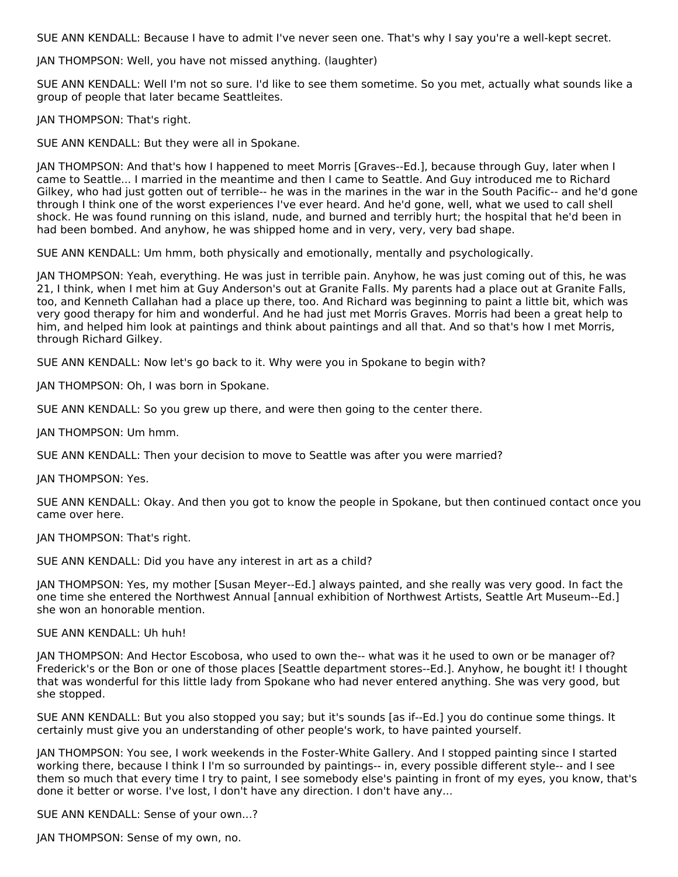SUE ANN KENDALL: Because I have to admit I've never seen one. That's why I say you're a well-kept secret.

JAN THOMPSON: Well, you have not missed anything. (laughter)

SUE ANN KENDALL: Well I'm not so sure. I'd like to see them sometime. So you met, actually what sounds like a group of people that later became Seattleites.

JAN THOMPSON: That's right.

SUE ANN KENDALL: But they were all in Spokane.

JAN THOMPSON: And that's how I happened to meet Morris [Graves--Ed.], because through Guy, later when I came to Seattle... I married in the meantime and then I came to Seattle. And Guy introduced me to Richard Gilkey, who had just gotten out of terrible-- he was in the marines in the war in the South Pacific-- and he'd gone through I think one of the worst experiences I've ever heard. And he'd gone, well, what we used to call shell shock. He was found running on this island, nude, and burned and terribly hurt; the hospital that he'd been in had been bombed. And anyhow, he was shipped home and in very, very, very bad shape.

SUE ANN KENDALL: Um hmm, both physically and emotionally, mentally and psychologically.

JAN THOMPSON: Yeah, everything. He was just in terrible pain. Anyhow, he was just coming out of this, he was 21, I think, when I met him at Guy Anderson's out at Granite Falls. My parents had a place out at Granite Falls, too, and Kenneth Callahan had a place up there, too. And Richard was beginning to paint a little bit, which was very good therapy for him and wonderful. And he had just met Morris Graves. Morris had been a great help to him, and helped him look at paintings and think about paintings and all that. And so that's how I met Morris, through Richard Gilkey.

SUE ANN KENDALL: Now let's go back to it. Why were you in Spokane to begin with?

JAN THOMPSON: Oh, I was born in Spokane.

SUE ANN KENDALL: So you grew up there, and were then going to the center there.

JAN THOMPSON: Um hmm.

SUE ANN KENDALL: Then your decision to move to Seattle was after you were married?

JAN THOMPSON: Yes.

SUE ANN KENDALL: Okay. And then you got to know the people in Spokane, but then continued contact once you came over here.

JAN THOMPSON: That's right.

SUE ANN KENDALL: Did you have any interest in art as a child?

JAN THOMPSON: Yes, my mother [Susan Meyer--Ed.] always painted, and she really was very good. In fact the one time she entered the Northwest Annual [annual exhibition of Northwest Artists, Seattle Art Museum--Ed.] she won an honorable mention.

SUE ANN KENDALL: Uh huh!

JAN THOMPSON: And Hector Escobosa, who used to own the-- what was it he used to own or be manager of? Frederick's or the Bon or one of those places [Seattle department stores--Ed.]. Anyhow, he bought it! I thought that was wonderful for this little lady from Spokane who had never entered anything. She was very good, but she stopped.

SUE ANN KENDALL: But you also stopped you say; but it's sounds [as if--Ed.] you do continue some things. It certainly must give you an understanding of other people's work, to have painted yourself.

JAN THOMPSON: You see, I work weekends in the Foster-White Gallery. And I stopped painting since I started working there, because I think I I'm so surrounded by paintings-- in, every possible different style-- and I see them so much that every time I try to paint, I see somebody else's painting in front of my eyes, you know, that's done it better or worse. I've lost, I don't have any direction. I don't have any...

SUE ANN KENDALL: Sense of your own...?

JAN THOMPSON: Sense of my own, no.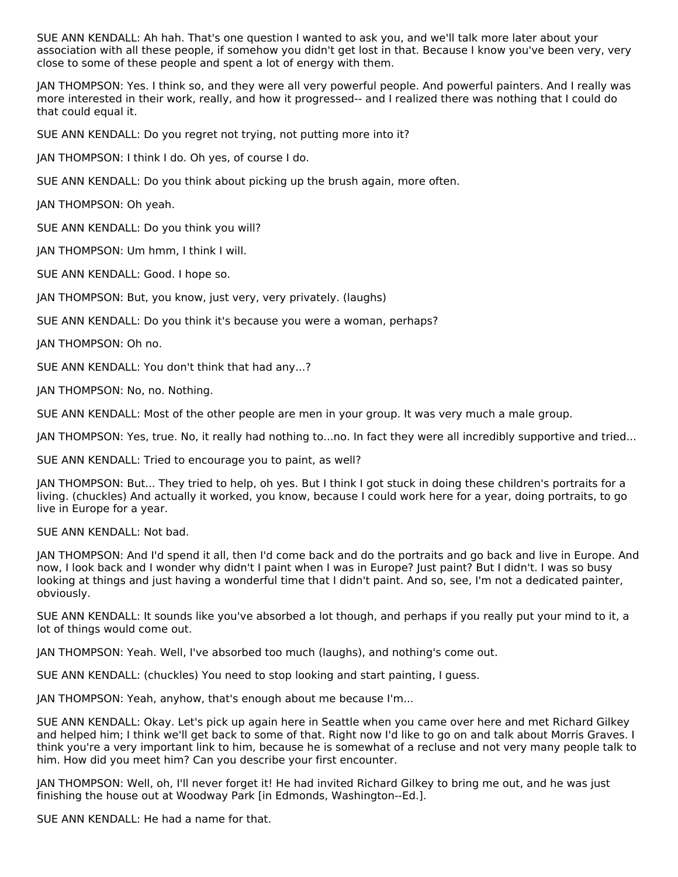SUE ANN KENDALL: Ah hah. That's one question I wanted to ask you, and we'll talk more later about your association with all these people, if somehow you didn't get lost in that. Because I know you've been very, very close to some of these people and spent a lot of energy with them.

JAN THOMPSON: Yes. I think so, and they were all very powerful people. And powerful painters. And I really was more interested in their work, really, and how it progressed-- and I realized there was nothing that I could do that could equal it.

SUE ANN KENDALL: Do you regret not trying, not putting more into it?

JAN THOMPSON: I think I do. Oh yes, of course I do.

SUE ANN KENDALL: Do you think about picking up the brush again, more often.

JAN THOMPSON: Oh yeah.

SUE ANN KENDALL: Do you think you will?

JAN THOMPSON: Um hmm, I think I will.

SUE ANN KENDALL: Good. I hope so.

JAN THOMPSON: But, you know, just very, very privately. (laughs)

SUE ANN KENDALL: Do you think it's because you were a woman, perhaps?

JAN THOMPSON: Oh no.

SUE ANN KENDALL: You don't think that had any...?

JAN THOMPSON: No, no. Nothing.

SUE ANN KENDALL: Most of the other people are men in your group. It was very much a male group.

JAN THOMPSON: Yes, true. No, it really had nothing to...no. In fact they were all incredibly supportive and tried...

SUE ANN KENDALL: Tried to encourage you to paint, as well?

JAN THOMPSON: But... They tried to help, oh yes. But I think I got stuck in doing these children's portraits for a living. (chuckles) And actually it worked, you know, because I could work here for a year, doing portraits, to go live in Europe for a year.

SUE ANN KENDALL: Not bad.

JAN THOMPSON: And I'd spend it all, then I'd come back and do the portraits and go back and live in Europe. And now, I look back and I wonder why didn't I paint when I was in Europe? Just paint? But I didn't. I was so busy looking at things and just having a wonderful time that I didn't paint. And so, see, I'm not a dedicated painter, obviously.

SUE ANN KENDALL: It sounds like you've absorbed a lot though, and perhaps if you really put your mind to it, a lot of things would come out.

JAN THOMPSON: Yeah. Well, I've absorbed too much (laughs), and nothing's come out.

SUE ANN KENDALL: (chuckles) You need to stop looking and start painting, I guess.

JAN THOMPSON: Yeah, anyhow, that's enough about me because I'm...

SUE ANN KENDALL: Okay. Let's pick up again here in Seattle when you came over here and met Richard Gilkey and helped him; I think we'll get back to some of that. Right now I'd like to go on and talk about Morris Graves. I think you're a very important link to him, because he is somewhat of a recluse and not very many people talk to him. How did you meet him? Can you describe your first encounter.

JAN THOMPSON: Well, oh, I'll never forget it! He had invited Richard Gilkey to bring me out, and he was just finishing the house out at Woodway Park [in Edmonds, Washington--Ed.].

SUE ANN KENDALL: He had a name for that.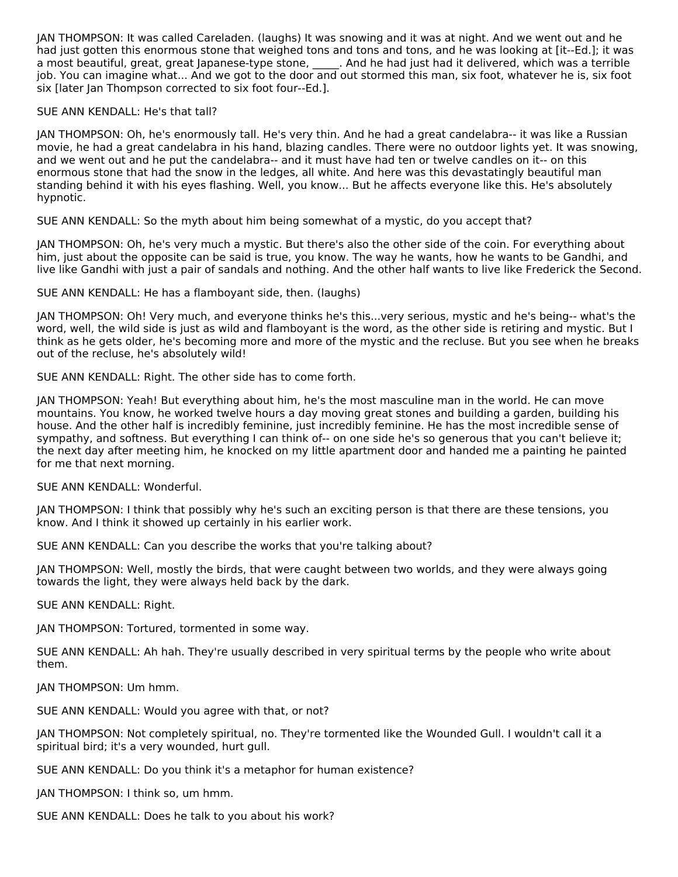JAN THOMPSON: It was called Careladen. (laughs) It was snowing and it was at night. And we went out and he had just gotten this enormous stone that weighed tons and tons and tons, and he was looking at [it--Ed.]; it was a most beautiful, great, great Japanese-type stone, \_\_\_\_\_. And he had just had it delivered, which was a terrible job. You can imagine what... And we got to the door and out stormed this man, six foot, whatever he is, six foot six I ater Ian Thompson corrected to six foot four--Ed.].

#### SUE ANN KENDALL: He's that tall?

JAN THOMPSON: Oh, he's enormously tall. He's very thin. And he had a great candelabra-- it was like a Russian movie, he had a great candelabra in his hand, blazing candles. There were no outdoor lights yet. It was snowing, and we went out and he put the candelabra-- and it must have had ten or twelve candles on it-- on this enormous stone that had the snow in the ledges, all white. And here was this devastatingly beautiful man standing behind it with his eyes flashing. Well, you know... But he affects everyone like this. He's absolutely hypnotic.

SUE ANN KENDALL: So the myth about him being somewhat of a mystic, do you accept that?

JAN THOMPSON: Oh, he's very much a mystic. But there's also the other side of the coin. For everything about him, just about the opposite can be said is true, you know. The way he wants, how he wants to be Gandhi, and live like Gandhi with just a pair of sandals and nothing. And the other half wants to live like Frederick the Second.

SUE ANN KENDALL: He has a flamboyant side, then. (laughs)

JAN THOMPSON: Oh! Very much, and everyone thinks he's this...very serious, mystic and he's being-- what's the word, well, the wild side is just as wild and flamboyant is the word, as the other side is retiring and mystic. But I think as he gets older, he's becoming more and more of the mystic and the recluse. But you see when he breaks out of the recluse, he's absolutely wild!

SUE ANN KENDALL: Right. The other side has to come forth.

JAN THOMPSON: Yeah! But everything about him, he's the most masculine man in the world. He can move mountains. You know, he worked twelve hours a day moving great stones and building a garden, building his house. And the other half is incredibly feminine, just incredibly feminine. He has the most incredible sense of sympathy, and softness. But everything I can think of-- on one side he's so generous that you can't believe it; the next day after meeting him, he knocked on my little apartment door and handed me a painting he painted for me that next morning.

SUE ANN KENDALL: Wonderful.

JAN THOMPSON: I think that possibly why he's such an exciting person is that there are these tensions, you know. And I think it showed up certainly in his earlier work.

SUE ANN KENDALL: Can you describe the works that you're talking about?

JAN THOMPSON: Well, mostly the birds, that were caught between two worlds, and they were always going towards the light, they were always held back by the dark.

SUE ANN KENDALL: Right.

JAN THOMPSON: Tortured, tormented in some way.

SUE ANN KENDALL: Ah hah. They're usually described in very spiritual terms by the people who write about them.

JAN THOMPSON: Um hmm.

SUE ANN KENDALL: Would you agree with that, or not?

JAN THOMPSON: Not completely spiritual, no. They're tormented like the Wounded Gull. I wouldn't call it a spiritual bird; it's a very wounded, hurt gull.

SUE ANN KENDALL: Do you think it's a metaphor for human existence?

JAN THOMPSON: I think so, um hmm.

SUE ANN KENDALL: Does he talk to you about his work?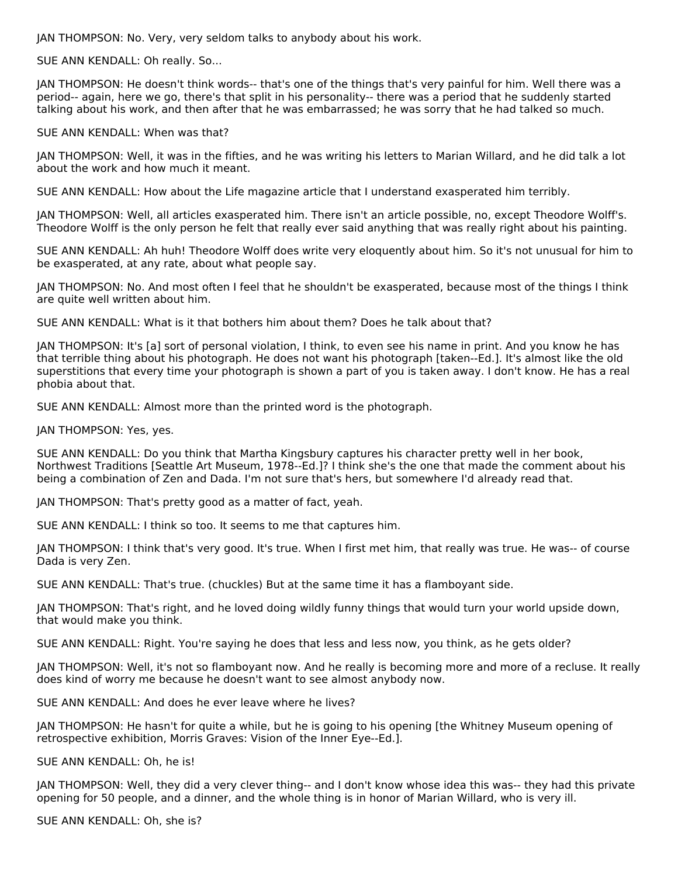JAN THOMPSON: No. Very, very seldom talks to anybody about his work.

SUE ANN KENDALL: Oh really. So...

JAN THOMPSON: He doesn't think words-- that's one of the things that's very painful for him. Well there was a period-- again, here we go, there's that split in his personality-- there was a period that he suddenly started talking about his work, and then after that he was embarrassed; he was sorry that he had talked so much.

SUE ANN KENDALL: When was that?

JAN THOMPSON: Well, it was in the fifties, and he was writing his letters to Marian Willard, and he did talk a lot about the work and how much it meant.

SUE ANN KENDALL: How about the Life magazine article that I understand exasperated him terribly.

JAN THOMPSON: Well, all articles exasperated him. There isn't an article possible, no, except Theodore Wolff's. Theodore Wolff is the only person he felt that really ever said anything that was really right about his painting.

SUE ANN KENDALL: Ah huh! Theodore Wolff does write very eloquently about him. So it's not unusual for him to be exasperated, at any rate, about what people say.

JAN THOMPSON: No. And most often I feel that he shouldn't be exasperated, because most of the things I think are quite well written about him.

SUE ANN KENDALL: What is it that bothers him about them? Does he talk about that?

JAN THOMPSON: It's [a] sort of personal violation, I think, to even see his name in print. And you know he has that terrible thing about his photograph. He does not want his photograph [taken--Ed.]. It's almost like the old superstitions that every time your photograph is shown a part of you is taken away. I don't know. He has a real phobia about that.

SUE ANN KENDALL: Almost more than the printed word is the photograph.

JAN THOMPSON: Yes, yes.

SUE ANN KENDALL: Do you think that Martha Kingsbury captures his character pretty well in her book, Northwest Traditions [Seattle Art Museum, 1978--Ed.]? I think she's the one that made the comment about his being a combination of Zen and Dada. I'm not sure that's hers, but somewhere I'd already read that.

JAN THOMPSON: That's pretty good as a matter of fact, yeah.

SUE ANN KENDALL: I think so too. It seems to me that captures him.

JAN THOMPSON: I think that's very good. It's true. When I first met him, that really was true. He was-- of course Dada is very Zen.

SUE ANN KENDALL: That's true. (chuckles) But at the same time it has a flamboyant side.

JAN THOMPSON: That's right, and he loved doing wildly funny things that would turn your world upside down, that would make you think.

SUE ANN KENDALL: Right. You're saying he does that less and less now, you think, as he gets older?

JAN THOMPSON: Well, it's not so flamboyant now. And he really is becoming more and more of a recluse. It really does kind of worry me because he doesn't want to see almost anybody now.

SUE ANN KENDALL: And does he ever leave where he lives?

JAN THOMPSON: He hasn't for quite a while, but he is going to his opening [the Whitney Museum opening of retrospective exhibition, Morris Graves: Vision of the Inner Eye--Ed.].

SUE ANN KENDALL: Oh, he is!

JAN THOMPSON: Well, they did a very clever thing-- and I don't know whose idea this was-- they had this private opening for 50 people, and a dinner, and the whole thing is in honor of Marian Willard, who is very ill.

SUE ANN KENDALL: Oh, she is?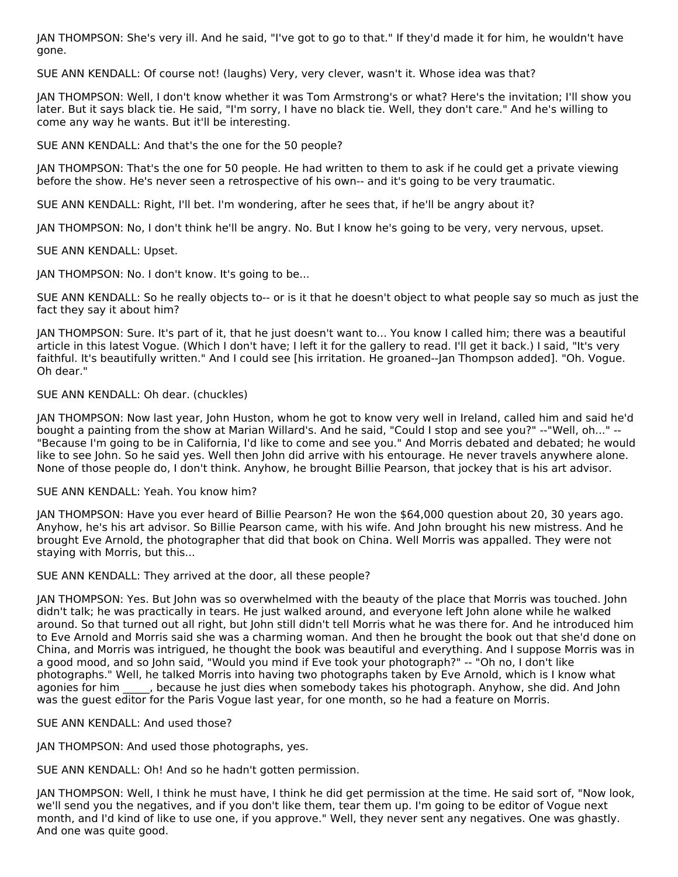JAN THOMPSON: She's very ill. And he said, "I've got to go to that." If they'd made it for him, he wouldn't have gone.

SUE ANN KENDALL: Of course not! (laughs) Very, very clever, wasn't it. Whose idea was that?

JAN THOMPSON: Well, I don't know whether it was Tom Armstrong's or what? Here's the invitation; I'll show you later. But it says black tie. He said, "I'm sorry, I have no black tie. Well, they don't care." And he's willing to come any way he wants. But it'll be interesting.

SUE ANN KENDALL: And that's the one for the 50 people?

JAN THOMPSON: That's the one for 50 people. He had written to them to ask if he could get a private viewing before the show. He's never seen a retrospective of his own-- and it's going to be very traumatic.

SUE ANN KENDALL: Right, I'll bet. I'm wondering, after he sees that, if he'll be angry about it?

JAN THOMPSON: No, I don't think he'll be angry. No. But I know he's going to be very, very nervous, upset.

SUE ANN KENDALL: Upset.

JAN THOMPSON: No. I don't know. It's going to be...

SUE ANN KENDALL: So he really objects to-- or is it that he doesn't object to what people say so much as just the fact they say it about him?

JAN THOMPSON: Sure. It's part of it, that he just doesn't want to... You know I called him; there was a beautiful article in this latest Vogue. (Which I don't have; I left it for the gallery to read. I'll get it back.) I said, "It's very faithful. It's beautifully written." And I could see [his irritation. He groaned--Jan Thompson added]. "Oh. Vogue. Oh dear."

#### SUE ANN KENDALL: Oh dear. (chuckles)

JAN THOMPSON: Now last year, John Huston, whom he got to know very well in Ireland, called him and said he'd bought a painting from the show at Marian Willard's. And he said, "Could I stop and see you?" --"Well, oh..." -- "Because I'm going to be in California, I'd like to come and see you." And Morris debated and debated; he would like to see John. So he said yes. Well then John did arrive with his entourage. He never travels anywhere alone. None of those people do, I don't think. Anyhow, he brought Billie Pearson, that jockey that is his art advisor.

#### SUE ANN KENDALL: Yeah. You know him?

JAN THOMPSON: Have you ever heard of Billie Pearson? He won the \$64,000 question about 20, 30 years ago. Anyhow, he's his art advisor. So Billie Pearson came, with his wife. And John brought his new mistress. And he brought Eve Arnold, the photographer that did that book on China. Well Morris was appalled. They were not staying with Morris, but this...

SUE ANN KENDALL: They arrived at the door, all these people?

JAN THOMPSON: Yes. But John was so overwhelmed with the beauty of the place that Morris was touched. John didn't talk; he was practically in tears. He just walked around, and everyone left John alone while he walked around. So that turned out all right, but John still didn't tell Morris what he was there for. And he introduced him to Eve Arnold and Morris said she was a charming woman. And then he brought the book out that she'd done on China, and Morris was intrigued, he thought the book was beautiful and everything. And I suppose Morris was in a good mood, and so John said, "Would you mind if Eve took your photograph?" -- "Oh no, I don't like photographs." Well, he talked Morris into having two photographs taken by Eve Arnold, which is I know what agonies for him \_\_\_\_, because he just dies when somebody takes his photograph. Anyhow, she did. And John was the guest editor for the Paris Vogue last year, for one month, so he had a feature on Morris.

#### SUE ANN KENDALL: And used those?

JAN THOMPSON: And used those photographs, yes.

SUE ANN KENDALL: Oh! And so he hadn't gotten permission.

JAN THOMPSON: Well, I think he must have, I think he did get permission at the time. He said sort of, "Now look, we'll send you the negatives, and if you don't like them, tear them up. I'm going to be editor of Vogue next month, and I'd kind of like to use one, if you approve." Well, they never sent any negatives. One was ghastly. And one was quite good.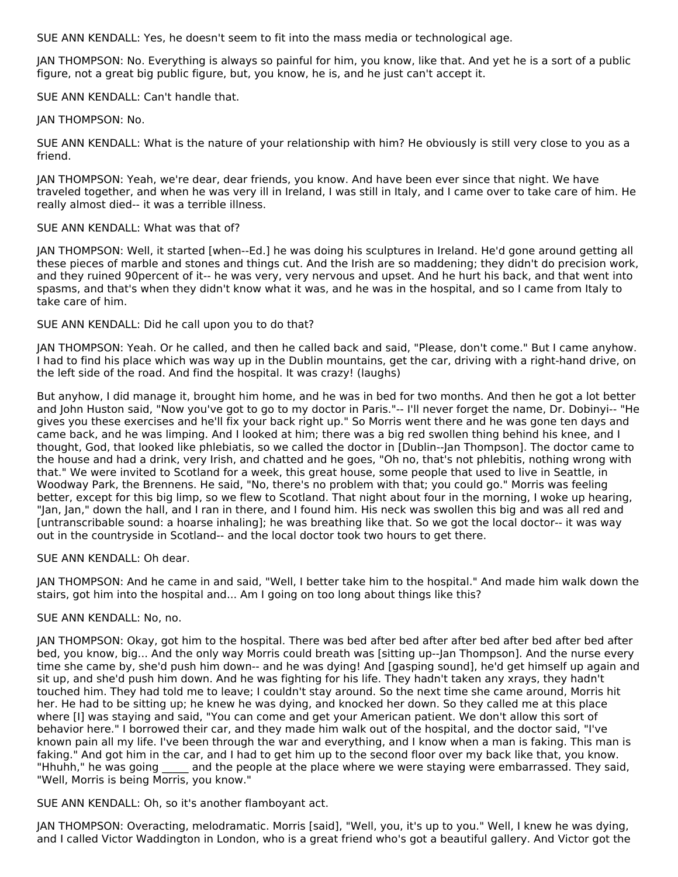SUE ANN KENDALL: Yes, he doesn't seem to fit into the mass media or technological age.

JAN THOMPSON: No. Everything is always so painful for him, you know, like that. And yet he is a sort of a public figure, not a great big public figure, but, you know, he is, and he just can't accept it.

SUE ANN KENDALL: Can't handle that.

JAN THOMPSON: No.

SUE ANN KENDALL: What is the nature of your relationship with him? He obviously is still very close to you as a friend.

JAN THOMPSON: Yeah, we're dear, dear friends, you know. And have been ever since that night. We have traveled together, and when he was very ill in Ireland, I was still in Italy, and I came over to take care of him. He really almost died-- it was a terrible illness.

#### SUE ANN KENDALL: What was that of?

JAN THOMPSON: Well, it started [when--Ed.] he was doing his sculptures in Ireland. He'd gone around getting all these pieces of marble and stones and things cut. And the Irish are so maddening; they didn't do precision work, and they ruined 90percent of it-- he was very, very nervous and upset. And he hurt his back, and that went into spasms, and that's when they didn't know what it was, and he was in the hospital, and so I came from Italy to take care of him.

#### SUE ANN KENDALL: Did he call upon you to do that?

JAN THOMPSON: Yeah. Or he called, and then he called back and said, "Please, don't come." But I came anyhow. I had to find his place which was way up in the Dublin mountains, get the car, driving with a right-hand drive, on the left side of the road. And find the hospital. It was crazy! (laughs)

But anyhow, I did manage it, brought him home, and he was in bed for two months. And then he got a lot better and John Huston said, "Now you've got to go to my doctor in Paris."-- I'll never forget the name, Dr. Dobinyi-- "He gives you these exercises and he'll fix your back right up." So Morris went there and he was gone ten days and came back, and he was limping. And I looked at him; there was a big red swollen thing behind his knee, and I thought, God, that looked like phlebiatis, so we called the doctor in [Dublin--Jan Thompson]. The doctor came to the house and had a drink, very Irish, and chatted and he goes, "Oh no, that's not phlebitis, nothing wrong with that." We were invited to Scotland for a week, this great house, some people that used to live in Seattle, in Woodway Park, the Brennens. He said, "No, there's no problem with that; you could go." Morris was feeling better, except for this big limp, so we flew to Scotland. That night about four in the morning, I woke up hearing, "Jan, Jan," down the hall, and I ran in there, and I found him. His neck was swollen this big and was all red and [untranscribable sound: a hoarse inhaling]; he was breathing like that. So we got the local doctor-- it was way out in the countryside in Scotland-- and the local doctor took two hours to get there.

#### SUE ANN KENDALL: Oh dear.

JAN THOMPSON: And he came in and said, "Well, I better take him to the hospital." And made him walk down the stairs, got him into the hospital and... Am I going on too long about things like this?

#### SUE ANN KENDALL: No, no.

JAN THOMPSON: Okay, got him to the hospital. There was bed after bed after after bed after bed after bed after bed, you know, big... And the only way Morris could breath was [sitting up--Jan Thompson]. And the nurse every time she came by, she'd push him down-- and he was dying! And [gasping sound], he'd get himself up again and sit up, and she'd push him down. And he was fighting for his life. They hadn't taken any xrays, they hadn't touched him. They had told me to leave; I couldn't stay around. So the next time she came around, Morris hit her. He had to be sitting up; he knew he was dying, and knocked her down. So they called me at this place where [I] was staying and said, "You can come and get your American patient. We don't allow this sort of behavior here." I borrowed their car, and they made him walk out of the hospital, and the doctor said, "I've known pain all my life. I've been through the war and everything, and I know when a man is faking. This man is faking." And got him in the car, and I had to get him up to the second floor over my back like that, you know. "Hhuhh," he was going and the people at the place where we were staying were embarrassed. They said, "Well, Morris is being Morris, you know."

SUE ANN KENDALL: Oh, so it's another flamboyant act.

JAN THOMPSON: Overacting, melodramatic. Morris [said], "Well, you, it's up to you." Well, I knew he was dying, and I called Victor Waddington in London, who is a great friend who's got a beautiful gallery. And Victor got the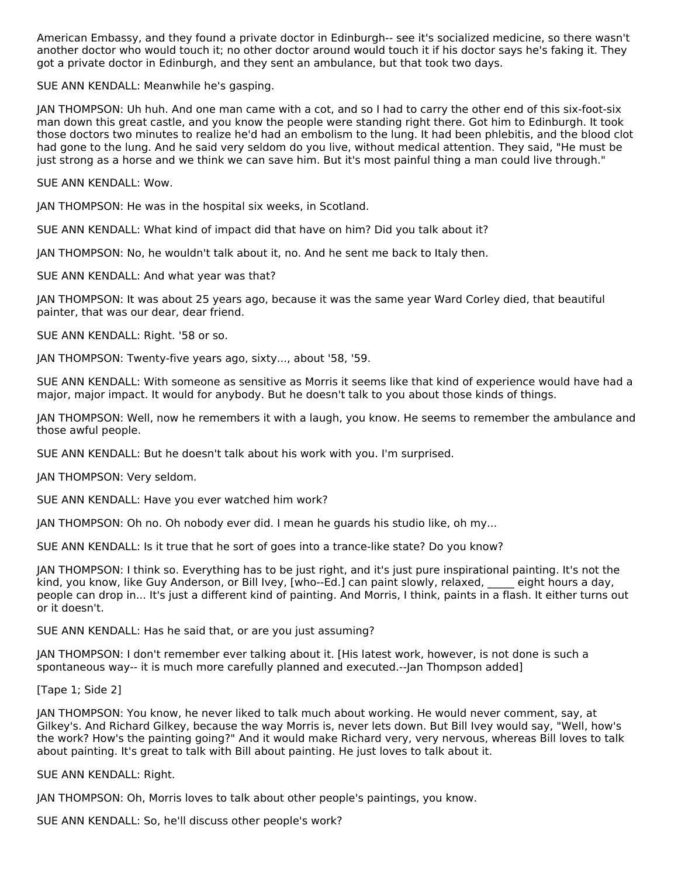American Embassy, and they found a private doctor in Edinburgh-- see it's socialized medicine, so there wasn't another doctor who would touch it; no other doctor around would touch it if his doctor says he's faking it. They got a private doctor in Edinburgh, and they sent an ambulance, but that took two days.

SUE ANN KENDALL: Meanwhile he's gasping.

JAN THOMPSON: Uh huh. And one man came with a cot, and so I had to carry the other end of this six-foot-six man down this great castle, and you know the people were standing right there. Got him to Edinburgh. It took those doctors two minutes to realize he'd had an embolism to the lung. It had been phlebitis, and the blood clot had gone to the lung. And he said very seldom do you live, without medical attention. They said, "He must be just strong as a horse and we think we can save him. But it's most painful thing a man could live through."

SUE ANN KENDALL: Wow.

JAN THOMPSON: He was in the hospital six weeks, in Scotland.

SUE ANN KENDALL: What kind of impact did that have on him? Did you talk about it?

JAN THOMPSON: No, he wouldn't talk about it, no. And he sent me back to Italy then.

SUE ANN KENDALL: And what year was that?

JAN THOMPSON: It was about 25 years ago, because it was the same year Ward Corley died, that beautiful painter, that was our dear, dear friend.

SUE ANN KENDALL: Right. '58 or so.

JAN THOMPSON: Twenty-five years ago, sixty..., about '58, '59.

SUE ANN KENDALL: With someone as sensitive as Morris it seems like that kind of experience would have had a major, major impact. It would for anybody. But he doesn't talk to you about those kinds of things.

JAN THOMPSON: Well, now he remembers it with a laugh, you know. He seems to remember the ambulance and those awful people.

SUE ANN KENDALL: But he doesn't talk about his work with you. I'm surprised.

JAN THOMPSON: Very seldom.

SUE ANN KENDALL: Have you ever watched him work?

JAN THOMPSON: Oh no. Oh nobody ever did. I mean he guards his studio like, oh my...

SUE ANN KENDALL: Is it true that he sort of goes into a trance-like state? Do you know?

JAN THOMPSON: I think so. Everything has to be just right, and it's just pure inspirational painting. It's not the kind, you know, like Guy Anderson, or Bill Ivey, [who--Ed.] can paint slowly, relaxed, \_\_\_\_\_ eight hours a day, people can drop in... It's just a different kind of painting. And Morris, I think, paints in a flash. It either turns out or it doesn't.

SUE ANN KENDALL: Has he said that, or are you just assuming?

JAN THOMPSON: I don't remember ever talking about it. [His latest work, however, is not done is such a spontaneous way-- it is much more carefully planned and executed.--Jan Thompson added]

[Tape 1; Side 2]

JAN THOMPSON: You know, he never liked to talk much about working. He would never comment, say, at Gilkey's. And Richard Gilkey, because the way Morris is, never lets down. But Bill Ivey would say, "Well, how's the work? How's the painting going?" And it would make Richard very, very nervous, whereas Bill loves to talk about painting. It's great to talk with Bill about painting. He just loves to talk about it.

SUE ANN KENDALL: Right.

JAN THOMPSON: Oh, Morris loves to talk about other people's paintings, you know.

SUE ANN KENDALL: So, he'll discuss other people's work?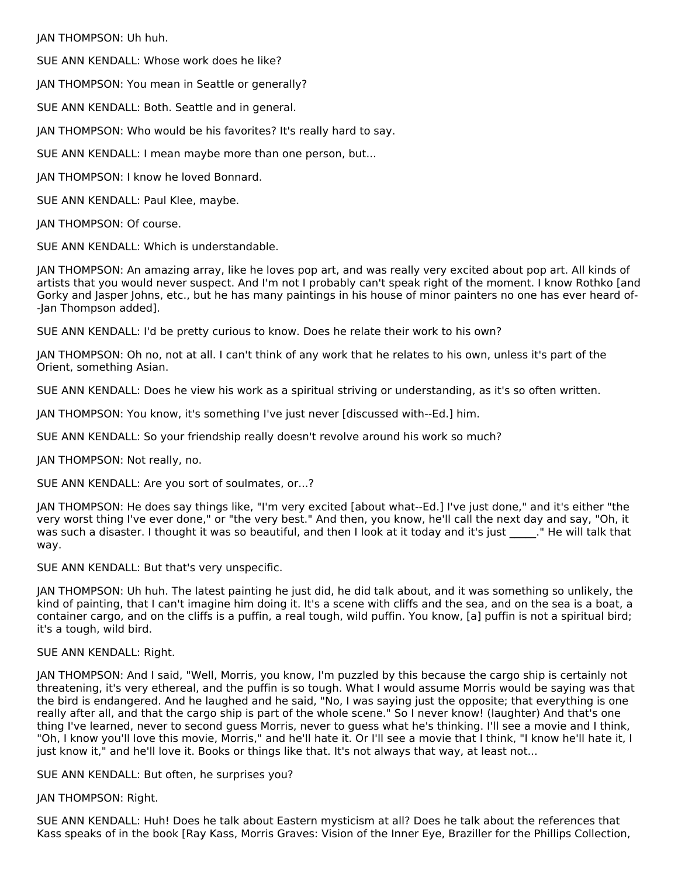JAN THOMPSON: Uh huh.

SUE ANN KENDALL: Whose work does he like?

JAN THOMPSON: You mean in Seattle or generally?

SUE ANN KENDALL: Both. Seattle and in general.

JAN THOMPSON: Who would be his favorites? It's really hard to say.

SUE ANN KENDALL: I mean maybe more than one person, but...

JAN THOMPSON: I know he loved Bonnard.

SUE ANN KENDALL: Paul Klee, maybe.

JAN THOMPSON: Of course.

SUE ANN KENDALL: Which is understandable.

JAN THOMPSON: An amazing array, like he loves pop art, and was really very excited about pop art. All kinds of artists that you would never suspect. And I'm not I probably can't speak right of the moment. I know Rothko [and Gorky and Jasper Johns, etc., but he has many paintings in his house of minor painters no one has ever heard of- -Jan Thompson added].

SUE ANN KENDALL: I'd be pretty curious to know. Does he relate their work to his own?

JAN THOMPSON: Oh no, not at all. I can't think of any work that he relates to his own, unless it's part of the Orient, something Asian.

SUE ANN KENDALL: Does he view his work as a spiritual striving or understanding, as it's so often written.

JAN THOMPSON: You know, it's something I've just never [discussed with--Ed.] him.

SUE ANN KENDALL: So your friendship really doesn't revolve around his work so much?

JAN THOMPSON: Not really, no.

SUE ANN KENDALL: Are you sort of soulmates, or...?

JAN THOMPSON: He does say things like, "I'm very excited [about what--Ed.] I've just done," and it's either "the very worst thing I've ever done," or "the very best." And then, you know, he'll call the next day and say, "Oh, it was such a disaster. I thought it was so beautiful, and then I look at it today and it's just ..." He will talk that way.

SUE ANN KENDALL: But that's very unspecific.

JAN THOMPSON: Uh huh. The latest painting he just did, he did talk about, and it was something so unlikely, the kind of painting, that I can't imagine him doing it. It's a scene with cliffs and the sea, and on the sea is a boat, a container cargo, and on the cliffs is a puffin, a real tough, wild puffin. You know, [a] puffin is not a spiritual bird; it's a tough, wild bird.

#### SUE ANN KENDALL: Right.

JAN THOMPSON: And I said, "Well, Morris, you know, I'm puzzled by this because the cargo ship is certainly not threatening, it's very ethereal, and the puffin is so tough. What I would assume Morris would be saying was that the bird is endangered. And he laughed and he said, "No, I was saying just the opposite; that everything is one really after all, and that the cargo ship is part of the whole scene." So I never know! (laughter) And that's one thing I've learned, never to second guess Morris, never to guess what he's thinking. I'll see a movie and I think, "Oh, I know you'll love this movie, Morris," and he'll hate it. Or I'll see a movie that I think, "I know he'll hate it, I just know it," and he'll love it. Books or things like that. It's not always that way, at least not...

SUE ANN KENDALL: But often, he surprises you?

#### JAN THOMPSON: Right.

SUE ANN KENDALL: Huh! Does he talk about Eastern mysticism at all? Does he talk about the references that Kass speaks of in the book [Ray Kass, Morris Graves: Vision of the Inner Eye, Braziller for the Phillips Collection,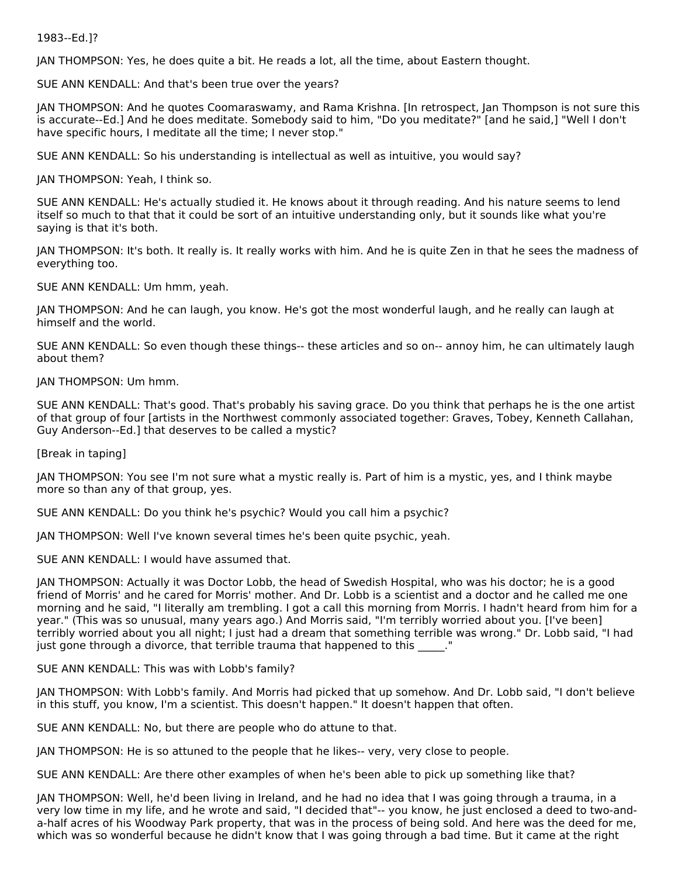#### 1983--Ed.]?

JAN THOMPSON: Yes, he does quite a bit. He reads a lot, all the time, about Eastern thought.

SUE ANN KENDALL: And that's been true over the years?

JAN THOMPSON: And he quotes Coomaraswamy, and Rama Krishna. [In retrospect, Jan Thompson is not sure this is accurate--Ed.] And he does meditate. Somebody said to him, "Do you meditate?" [and he said,] "Well I don't have specific hours, I meditate all the time; I never stop."

SUE ANN KENDALL: So his understanding is intellectual as well as intuitive, you would say?

JAN THOMPSON: Yeah, I think so.

SUE ANN KENDALL: He's actually studied it. He knows about it through reading. And his nature seems to lend itself so much to that that it could be sort of an intuitive understanding only, but it sounds like what you're saying is that it's both.

JAN THOMPSON: It's both. It really is. It really works with him. And he is quite Zen in that he sees the madness of everything too.

SUE ANN KENDALL: Um hmm, yeah.

JAN THOMPSON: And he can laugh, you know. He's got the most wonderful laugh, and he really can laugh at himself and the world.

SUE ANN KENDALL: So even though these things-- these articles and so on-- annoy him, he can ultimately laugh about them?

JAN THOMPSON: Um hmm.

SUE ANN KENDALL: That's good. That's probably his saving grace. Do you think that perhaps he is the one artist of that group of four [artists in the Northwest commonly associated together: Graves, Tobey, Kenneth Callahan, Guy Anderson--Ed.] that deserves to be called a mystic?

[Break in taping]

JAN THOMPSON: You see I'm not sure what a mystic really is. Part of him is a mystic, yes, and I think maybe more so than any of that group, yes.

SUE ANN KENDALL: Do you think he's psychic? Would you call him a psychic?

JAN THOMPSON: Well I've known several times he's been quite psychic, yeah.

SUE ANN KENDALL: I would have assumed that.

JAN THOMPSON: Actually it was Doctor Lobb, the head of Swedish Hospital, who was his doctor; he is a good friend of Morris' and he cared for Morris' mother. And Dr. Lobb is a scientist and a doctor and he called me one morning and he said, "I literally am trembling. I got a call this morning from Morris. I hadn't heard from him for a year." (This was so unusual, many years ago.) And Morris said, "I'm terribly worried about you. [I've been] terribly worried about you all night; I just had a dream that something terrible was wrong." Dr. Lobb said, "I had just gone through a divorce, that terrible trauma that happened to this  $\blacksquare$ .

SUE ANN KENDALL: This was with Lobb's family?

JAN THOMPSON: With Lobb's family. And Morris had picked that up somehow. And Dr. Lobb said, "I don't believe in this stuff, you know, I'm a scientist. This doesn't happen." It doesn't happen that often.

SUE ANN KENDALL: No, but there are people who do attune to that.

JAN THOMPSON: He is so attuned to the people that he likes-- very, very close to people.

SUE ANN KENDALL: Are there other examples of when he's been able to pick up something like that?

JAN THOMPSON: Well, he'd been living in Ireland, and he had no idea that I was going through a trauma, in a very low time in my life, and he wrote and said, "I decided that"-- you know, he just enclosed a deed to two-anda-half acres of his Woodway Park property, that was in the process of being sold. And here was the deed for me, which was so wonderful because he didn't know that I was going through a bad time. But it came at the right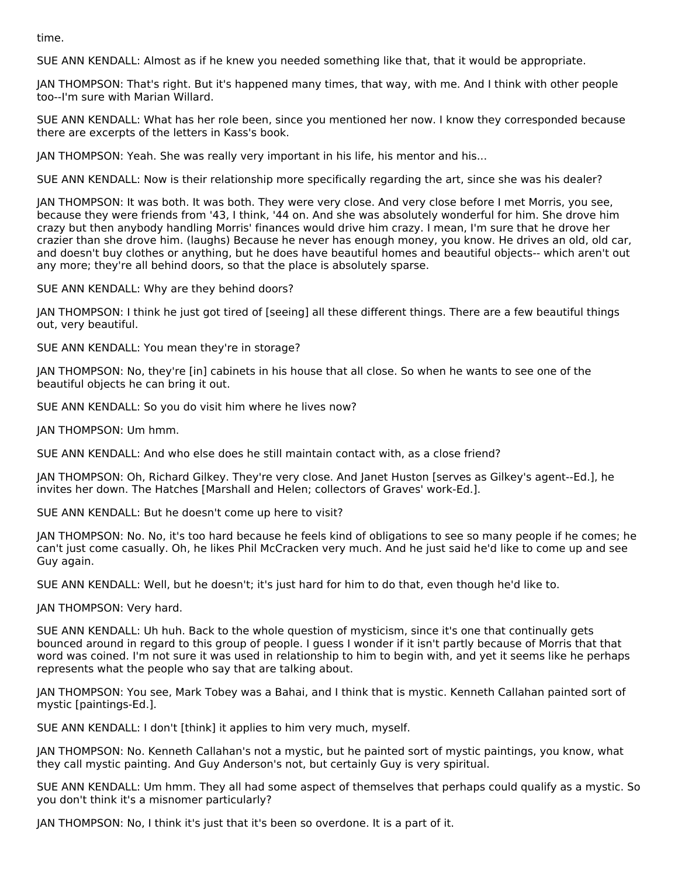time.

SUE ANN KENDALL: Almost as if he knew you needed something like that, that it would be appropriate.

JAN THOMPSON: That's right. But it's happened many times, that way, with me. And I think with other people too--I'm sure with Marian Willard.

SUE ANN KENDALL: What has her role been, since you mentioned her now. I know they corresponded because there are excerpts of the letters in Kass's book.

JAN THOMPSON: Yeah. She was really very important in his life, his mentor and his...

SUE ANN KENDALL: Now is their relationship more specifically regarding the art, since she was his dealer?

JAN THOMPSON: It was both. It was both. They were very close. And very close before I met Morris, you see, because they were friends from '43, I think, '44 on. And she was absolutely wonderful for him. She drove him crazy but then anybody handling Morris' finances would drive him crazy. I mean, I'm sure that he drove her crazier than she drove him. (laughs) Because he never has enough money, you know. He drives an old, old car, and doesn't buy clothes or anything, but he does have beautiful homes and beautiful objects-- which aren't out any more; they're all behind doors, so that the place is absolutely sparse.

SUE ANN KENDALL: Why are they behind doors?

JAN THOMPSON: I think he just got tired of [seeing] all these different things. There are a few beautiful things out, very beautiful.

SUE ANN KENDALL: You mean they're in storage?

JAN THOMPSON: No, they're [in] cabinets in his house that all close. So when he wants to see one of the beautiful objects he can bring it out.

SUE ANN KENDALL: So you do visit him where he lives now?

JAN THOMPSON: Um hmm.

SUE ANN KENDALL: And who else does he still maintain contact with, as a close friend?

JAN THOMPSON: Oh, Richard Gilkey. They're very close. And Janet Huston [serves as Gilkey's agent--Ed.], he invites her down. The Hatches [Marshall and Helen; collectors of Graves' work-Ed.].

SUE ANN KENDALL: But he doesn't come up here to visit?

JAN THOMPSON: No. No, it's too hard because he feels kind of obligations to see so many people if he comes; he can't just come casually. Oh, he likes Phil McCracken very much. And he just said he'd like to come up and see Guy again.

SUE ANN KENDALL: Well, but he doesn't; it's just hard for him to do that, even though he'd like to.

JAN THOMPSON: Very hard.

SUE ANN KENDALL: Uh huh. Back to the whole question of mysticism, since it's one that continually gets bounced around in regard to this group of people. I guess I wonder if it isn't partly because of Morris that that word was coined. I'm not sure it was used in relationship to him to begin with, and yet it seems like he perhaps represents what the people who say that are talking about.

JAN THOMPSON: You see, Mark Tobey was a Bahai, and I think that is mystic. Kenneth Callahan painted sort of mystic [paintings-Ed.].

SUE ANN KENDALL: I don't [think] it applies to him very much, myself.

JAN THOMPSON: No. Kenneth Callahan's not a mystic, but he painted sort of mystic paintings, you know, what they call mystic painting. And Guy Anderson's not, but certainly Guy is very spiritual.

SUE ANN KENDALL: Um hmm. They all had some aspect of themselves that perhaps could qualify as a mystic. So you don't think it's a misnomer particularly?

JAN THOMPSON: No, I think it's just that it's been so overdone. It is a part of it.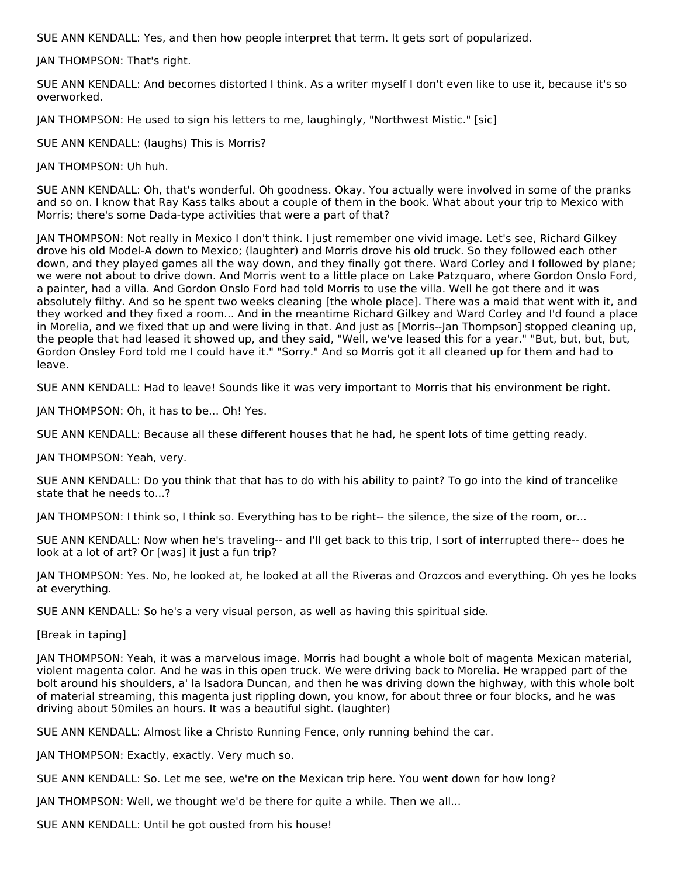SUE ANN KENDALL: Yes, and then how people interpret that term. It gets sort of popularized.

JAN THOMPSON: That's right.

SUE ANN KENDALL: And becomes distorted I think. As a writer myself I don't even like to use it, because it's so overworked.

JAN THOMPSON: He used to sign his letters to me, laughingly, "Northwest Mistic." [sic]

SUE ANN KENDALL: (laughs) This is Morris?

JAN THOMPSON: Uh huh.

SUE ANN KENDALL: Oh, that's wonderful. Oh goodness. Okay. You actually were involved in some of the pranks and so on. I know that Ray Kass talks about a couple of them in the book. What about your trip to Mexico with Morris; there's some Dada-type activities that were a part of that?

JAN THOMPSON: Not really in Mexico I don't think. I just remember one vivid image. Let's see, Richard Gilkey drove his old Model-A down to Mexico; (laughter) and Morris drove his old truck. So they followed each other down, and they played games all the way down, and they finally got there. Ward Corley and I followed by plane; we were not about to drive down. And Morris went to a little place on Lake Patzquaro, where Gordon Onslo Ford, a painter, had a villa. And Gordon Onslo Ford had told Morris to use the villa. Well he got there and it was absolutely filthy. And so he spent two weeks cleaning [the whole place]. There was a maid that went with it, and they worked and they fixed a room... And in the meantime Richard Gilkey and Ward Corley and I'd found a place in Morelia, and we fixed that up and were living in that. And just as [Morris--Jan Thompson] stopped cleaning up, the people that had leased it showed up, and they said, "Well, we've leased this for a year." "But, but, but, but, Gordon Onsley Ford told me I could have it." "Sorry." And so Morris got it all cleaned up for them and had to leave.

SUE ANN KENDALL: Had to leave! Sounds like it was very important to Morris that his environment be right.

JAN THOMPSON: Oh, it has to be... Oh! Yes.

SUE ANN KENDALL: Because all these different houses that he had, he spent lots of time getting ready.

JAN THOMPSON: Yeah, very.

SUE ANN KENDALL: Do you think that that has to do with his ability to paint? To go into the kind of trancelike state that he needs to...?

JAN THOMPSON: I think so, I think so. Everything has to be right-- the silence, the size of the room, or...

SUE ANN KENDALL: Now when he's traveling-- and I'll get back to this trip, I sort of interrupted there-- does he look at a lot of art? Or [was] it just a fun trip?

JAN THOMPSON: Yes. No, he looked at, he looked at all the Riveras and Orozcos and everything. Oh yes he looks at everything.

SUE ANN KENDALL: So he's a very visual person, as well as having this spiritual side.

[Break in taping]

JAN THOMPSON: Yeah, it was a marvelous image. Morris had bought a whole bolt of magenta Mexican material, violent magenta color. And he was in this open truck. We were driving back to Morelia. He wrapped part of the bolt around his shoulders, a' la Isadora Duncan, and then he was driving down the highway, with this whole bolt of material streaming, this magenta just rippling down, you know, for about three or four blocks, and he was driving about 50miles an hours. It was a beautiful sight. (laughter)

SUE ANN KENDALL: Almost like a Christo Running Fence, only running behind the car.

JAN THOMPSON: Exactly, exactly. Very much so.

SUE ANN KENDALL: So. Let me see, we're on the Mexican trip here. You went down for how long?

JAN THOMPSON: Well, we thought we'd be there for quite a while. Then we all...

SUE ANN KENDALL: Until he got ousted from his house!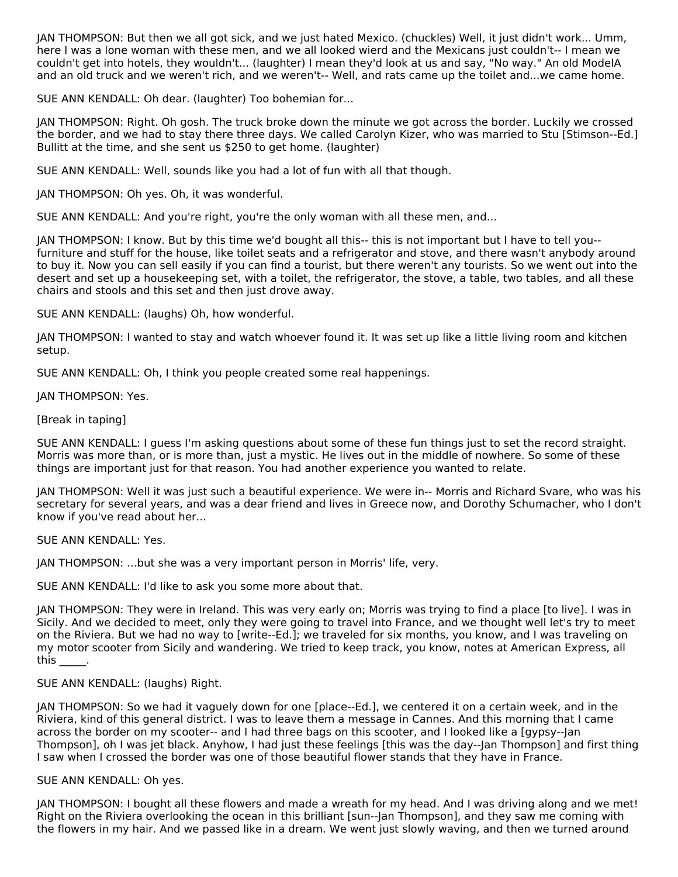JAN THOMPSON: But then we all got sick, and we just hated Mexico. (chuckles) Well, it just didn't work... Umm, here I was a lone woman with these men, and we all looked wierd and the Mexicans just couldn't-- I mean we couldn't get into hotels, they wouldn't... (laughter) I mean they'd look at us and say, "No way." An old ModelA and an old truck and we weren't rich, and we weren't-- Well, and rats came up the toilet and...we came home.

SUE ANN KENDALL: Oh dear. (laughter) Too bohemian for...

JAN THOMPSON: Right. Oh gosh. The truck broke down the minute we got across the border. Luckily we crossed the border, and we had to stay there three days. We called Carolyn Kizer, who was married to Stu [Stimson--Ed.] Bullitt at the time, and she sent us \$250 to get home. (laughter)

SUE ANN KENDALL: Well, sounds like you had a lot of fun with all that though.

JAN THOMPSON: Oh yes. Oh, it was wonderful.

SUE ANN KENDALL: And you're right, you're the only woman with all these men, and...

JAN THOMPSON: I know. But by this time we'd bought all this-- this is not important but I have to tell you- furniture and stuff for the house, like toilet seats and a refrigerator and stove, and there wasn't anybody around to buy it. Now you can sell easily if you can find a tourist, but there weren't any tourists. So we went out into the desert and set up a housekeeping set, with a toilet, the refrigerator, the stove, a table, two tables, and all these chairs and stools and this set and then just drove away.

SUE ANN KENDALL: (laughs) Oh, how wonderful.

JAN THOMPSON: I wanted to stay and watch whoever found it. It was set up like a little living room and kitchen setup.

SUE ANN KENDALL: Oh, I think you people created some real happenings.

JAN THOMPSON: Yes.

[Break in taping]

SUE ANN KENDALL: I guess I'm asking questions about some of these fun things just to set the record straight. Morris was more than, or is more than, just a mystic. He lives out in the middle of nowhere. So some of these things are important just for that reason. You had another experience you wanted to relate.

JAN THOMPSON: Well it was just such a beautiful experience. We were in-- Morris and Richard Svare, who was his secretary for several years, and was a dear friend and lives in Greece now, and Dorothy Schumacher, who I don't know if you've read about her...

SUE ANN KENDALL: Yes.

JAN THOMPSON: ...but she was a very important person in Morris' life, very.

SUE ANN KENDALL: I'd like to ask you some more about that.

JAN THOMPSON: They were in Ireland. This was very early on; Morris was trying to find a place [to live]. I was in Sicily. And we decided to meet, only they were going to travel into France, and we thought well let's try to meet on the Riviera. But we had no way to [write--Ed.]; we traveled for six months, you know, and I was traveling on my motor scooter from Sicily and wandering. We tried to keep track, you know, notes at American Express, all this \_\_\_\_\_.

SUE ANN KENDALL: (laughs) Right.

JAN THOMPSON: So we had it vaguely down for one [place--Ed.], we centered it on a certain week, and in the Riviera, kind of this general district. I was to leave them a message in Cannes. And this morning that I came across the border on my scooter-- and I had three bags on this scooter, and I looked like a [gypsy--Jan Thompson], oh I was jet black. Anyhow, I had just these feelings [this was the day--Jan Thompson] and first thing I saw when I crossed the border was one of those beautiful flower stands that they have in France.

SUE ANN KENDALL: Oh yes.

JAN THOMPSON: I bought all these flowers and made a wreath for my head. And I was driving along and we met! Right on the Riviera overlooking the ocean in this brilliant [sun--Jan Thompson], and they saw me coming with the flowers in my hair. And we passed like in a dream. We went just slowly waving, and then we turned around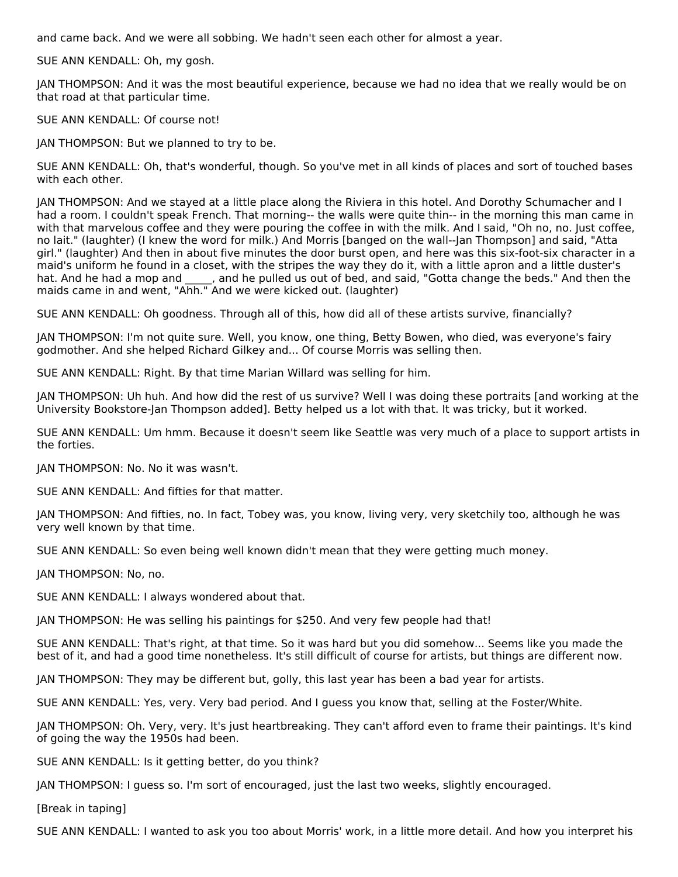and came back. And we were all sobbing. We hadn't seen each other for almost a year.

SUE ANN KENDALL: Oh, my gosh.

JAN THOMPSON: And it was the most beautiful experience, because we had no idea that we really would be on that road at that particular time.

SUE ANN KENDALL: Of course not!

JAN THOMPSON: But we planned to try to be.

SUE ANN KENDALL: Oh, that's wonderful, though. So you've met in all kinds of places and sort of touched bases with each other.

JAN THOMPSON: And we stayed at a little place along the Riviera in this hotel. And Dorothy Schumacher and I had a room. I couldn't speak French. That morning-- the walls were quite thin-- in the morning this man came in with that marvelous coffee and they were pouring the coffee in with the milk. And I said, "Oh no, no. Just coffee, no lait." (laughter) (I knew the word for milk.) And Morris [banged on the wall--Jan Thompson] and said, "Atta girl." (laughter) And then in about five minutes the door burst open, and here was this six-foot-six character in a maid's uniform he found in a closet, with the stripes the way they do it, with a little apron and a little duster's hat. And he had a mop and \_\_\_\_\_, and he pulled us out of bed, and said, "Gotta change the beds." And then the maids came in and went, "Ahh." And we were kicked out. (laughter)

SUE ANN KENDALL: Oh goodness. Through all of this, how did all of these artists survive, financially?

JAN THOMPSON: I'm not quite sure. Well, you know, one thing, Betty Bowen, who died, was everyone's fairy godmother. And she helped Richard Gilkey and... Of course Morris was selling then.

SUE ANN KENDALL: Right. By that time Marian Willard was selling for him.

JAN THOMPSON: Uh huh. And how did the rest of us survive? Well I was doing these portraits [and working at the University Bookstore-Jan Thompson added]. Betty helped us a lot with that. It was tricky, but it worked.

SUE ANN KENDALL: Um hmm. Because it doesn't seem like Seattle was very much of a place to support artists in the forties.

JAN THOMPSON: No. No it was wasn't.

SUE ANN KENDALL: And fifties for that matter.

JAN THOMPSON: And fifties, no. In fact, Tobey was, you know, living very, very sketchily too, although he was very well known by that time.

SUE ANN KENDALL: So even being well known didn't mean that they were getting much money.

JAN THOMPSON: No, no.

SUE ANN KENDALL: I always wondered about that.

JAN THOMPSON: He was selling his paintings for \$250. And very few people had that!

SUE ANN KENDALL: That's right, at that time. So it was hard but you did somehow... Seems like you made the best of it, and had a good time nonetheless. It's still difficult of course for artists, but things are different now.

JAN THOMPSON: They may be different but, golly, this last year has been a bad year for artists.

SUE ANN KENDALL: Yes, very. Very bad period. And I guess you know that, selling at the Foster/White.

JAN THOMPSON: Oh. Very, very. It's just heartbreaking. They can't afford even to frame their paintings. It's kind of going the way the 1950s had been.

SUE ANN KENDALL: Is it getting better, do you think?

JAN THOMPSON: I guess so. I'm sort of encouraged, just the last two weeks, slightly encouraged.

[Break in taping]

SUE ANN KENDALL: I wanted to ask you too about Morris' work, in a little more detail. And how you interpret his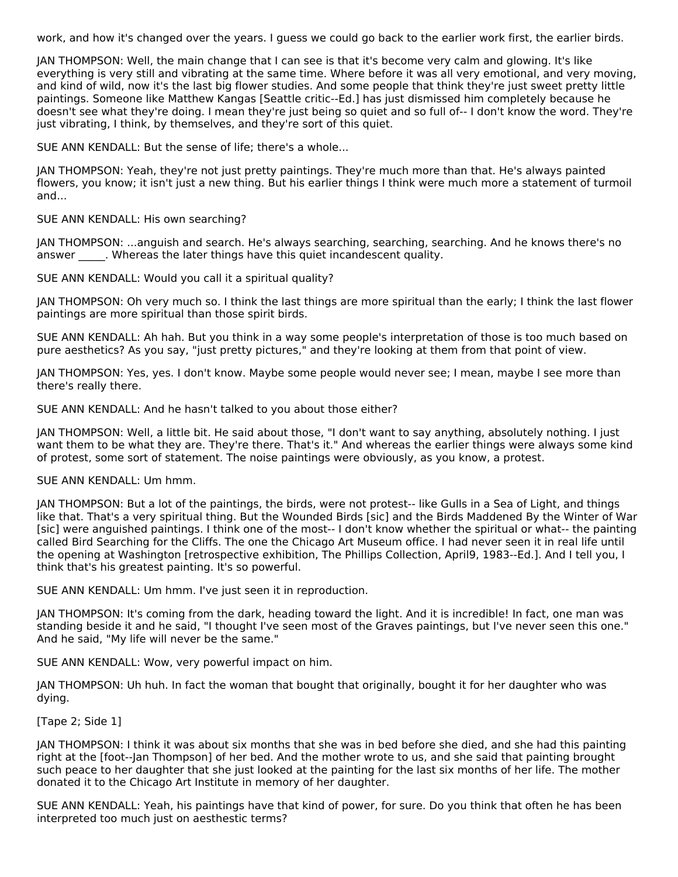work, and how it's changed over the years. I guess we could go back to the earlier work first, the earlier birds.

JAN THOMPSON: Well, the main change that I can see is that it's become very calm and glowing. It's like everything is very still and vibrating at the same time. Where before it was all very emotional, and very moving, and kind of wild, now it's the last big flower studies. And some people that think they're just sweet pretty little paintings. Someone like Matthew Kangas [Seattle critic--Ed.] has just dismissed him completely because he doesn't see what they're doing. I mean they're just being so quiet and so full of-- I don't know the word. They're just vibrating, I think, by themselves, and they're sort of this quiet.

SUE ANN KENDALL: But the sense of life; there's a whole...

JAN THOMPSON: Yeah, they're not just pretty paintings. They're much more than that. He's always painted flowers, you know; it isn't just a new thing. But his earlier things I think were much more a statement of turmoil and...

SUE ANN KENDALL: His own searching?

JAN THOMPSON: ...anguish and search. He's always searching, searching, searching. And he knows there's no answer . Whereas the later things have this quiet incandescent quality.

SUE ANN KENDALL: Would you call it a spiritual quality?

JAN THOMPSON: Oh very much so. I think the last things are more spiritual than the early; I think the last flower paintings are more spiritual than those spirit birds.

SUE ANN KENDALL: Ah hah. But you think in a way some people's interpretation of those is too much based on pure aesthetics? As you say, "just pretty pictures," and they're looking at them from that point of view.

JAN THOMPSON: Yes, yes. I don't know. Maybe some people would never see; I mean, maybe I see more than there's really there.

SUE ANN KENDALL: And he hasn't talked to you about those either?

JAN THOMPSON: Well, a little bit. He said about those, "I don't want to say anything, absolutely nothing. I just want them to be what they are. They're there. That's it." And whereas the earlier things were always some kind of protest, some sort of statement. The noise paintings were obviously, as you know, a protest.

SUE ANN KENDALL: Um hmm.

JAN THOMPSON: But a lot of the paintings, the birds, were not protest-- like Gulls in a Sea of Light, and things like that. That's a very spiritual thing. But the Wounded Birds [sic] and the Birds Maddened By the Winter of War [sic] were anguished paintings. I think one of the most-- I don't know whether the spiritual or what-- the painting called Bird Searching for the Cliffs. The one the Chicago Art Museum office. I had never seen it in real life until the opening at Washington [retrospective exhibition, The Phillips Collection, April9, 1983--Ed.]. And I tell you, I think that's his greatest painting. It's so powerful.

SUE ANN KENDALL: Um hmm. I've just seen it in reproduction.

JAN THOMPSON: It's coming from the dark, heading toward the light. And it is incredible! In fact, one man was standing beside it and he said, "I thought I've seen most of the Graves paintings, but I've never seen this one." And he said, "My life will never be the same."

SUE ANN KENDALL: Wow, very powerful impact on him.

JAN THOMPSON: Uh huh. In fact the woman that bought that originally, bought it for her daughter who was dying.

[Tape 2; Side 1]

JAN THOMPSON: I think it was about six months that she was in bed before she died, and she had this painting right at the [foot--Jan Thompson] of her bed. And the mother wrote to us, and she said that painting brought such peace to her daughter that she just looked at the painting for the last six months of her life. The mother donated it to the Chicago Art Institute in memory of her daughter.

SUE ANN KENDALL: Yeah, his paintings have that kind of power, for sure. Do you think that often he has been interpreted too much just on aesthestic terms?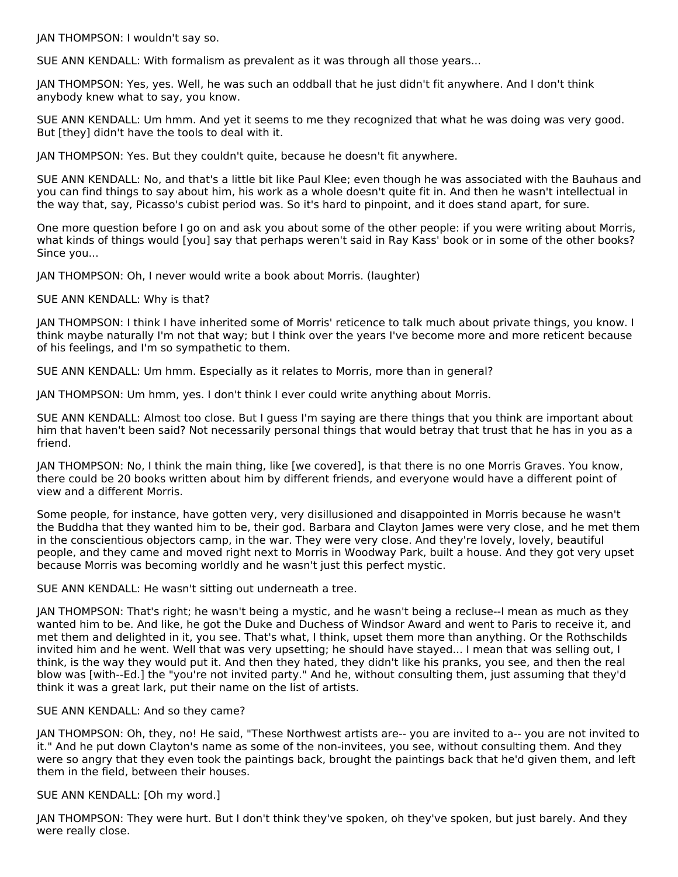JAN THOMPSON: I wouldn't say so.

SUE ANN KENDALL: With formalism as prevalent as it was through all those years...

JAN THOMPSON: Yes, yes. Well, he was such an oddball that he just didn't fit anywhere. And I don't think anybody knew what to say, you know.

SUE ANN KENDALL: Um hmm. And yet it seems to me they recognized that what he was doing was very good. But [they] didn't have the tools to deal with it.

JAN THOMPSON: Yes. But they couldn't quite, because he doesn't fit anywhere.

SUE ANN KENDALL: No, and that's a little bit like Paul Klee; even though he was associated with the Bauhaus and you can find things to say about him, his work as a whole doesn't quite fit in. And then he wasn't intellectual in the way that, say, Picasso's cubist period was. So it's hard to pinpoint, and it does stand apart, for sure.

One more question before I go on and ask you about some of the other people: if you were writing about Morris, what kinds of things would [you] say that perhaps weren't said in Ray Kass' book or in some of the other books? Since you...

JAN THOMPSON: Oh, I never would write a book about Morris. (laughter)

SUE ANN KENDALL: Why is that?

JAN THOMPSON: I think I have inherited some of Morris' reticence to talk much about private things, you know. I think maybe naturally I'm not that way; but I think over the years I've become more and more reticent because of his feelings, and I'm so sympathetic to them.

SUE ANN KENDALL: Um hmm. Especially as it relates to Morris, more than in general?

JAN THOMPSON: Um hmm, yes. I don't think I ever could write anything about Morris.

SUE ANN KENDALL: Almost too close. But I guess I'm saying are there things that you think are important about him that haven't been said? Not necessarily personal things that would betray that trust that he has in you as a friend.

JAN THOMPSON: No, I think the main thing, like [we covered], is that there is no one Morris Graves. You know, there could be 20 books written about him by different friends, and everyone would have a different point of view and a different Morris.

Some people, for instance, have gotten very, very disillusioned and disappointed in Morris because he wasn't the Buddha that they wanted him to be, their god. Barbara and Clayton James were very close, and he met them in the conscientious objectors camp, in the war. They were very close. And they're lovely, lovely, beautiful people, and they came and moved right next to Morris in Woodway Park, built a house. And they got very upset because Morris was becoming worldly and he wasn't just this perfect mystic.

SUE ANN KENDALL: He wasn't sitting out underneath a tree.

JAN THOMPSON: That's right; he wasn't being a mystic, and he wasn't being a recluse--I mean as much as they wanted him to be. And like, he got the Duke and Duchess of Windsor Award and went to Paris to receive it, and met them and delighted in it, you see. That's what, I think, upset them more than anything. Or the Rothschilds invited him and he went. Well that was very upsetting; he should have stayed... I mean that was selling out, I think, is the way they would put it. And then they hated, they didn't like his pranks, you see, and then the real blow was [with--Ed.] the "you're not invited party." And he, without consulting them, just assuming that they'd think it was a great lark, put their name on the list of artists.

#### SUE ANN KENDALL: And so they came?

JAN THOMPSON: Oh, they, no! He said, "These Northwest artists are-- you are invited to a-- you are not invited to it." And he put down Clayton's name as some of the non-invitees, you see, without consulting them. And they were so angry that they even took the paintings back, brought the paintings back that he'd given them, and left them in the field, between their houses.

#### SUE ANN KENDALL: [Oh my word.]

JAN THOMPSON: They were hurt. But I don't think they've spoken, oh they've spoken, but just barely. And they were really close.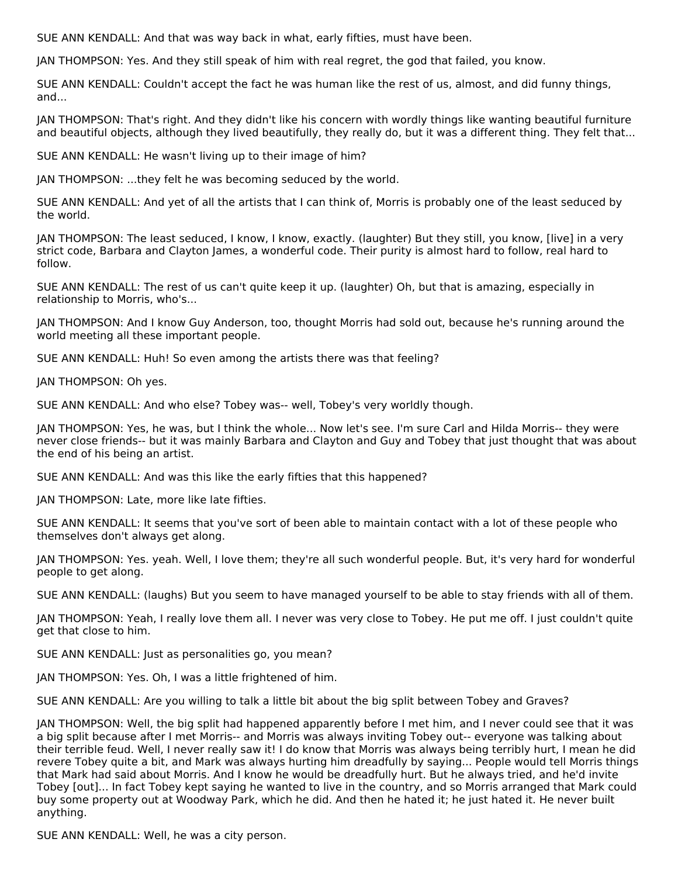SUE ANN KENDALL: And that was way back in what, early fifties, must have been.

JAN THOMPSON: Yes. And they still speak of him with real regret, the god that failed, you know.

SUE ANN KENDALL: Couldn't accept the fact he was human like the rest of us, almost, and did funny things, and...

JAN THOMPSON: That's right. And they didn't like his concern with wordly things like wanting beautiful furniture and beautiful objects, although they lived beautifully, they really do, but it was a different thing. They felt that...

SUE ANN KENDALL: He wasn't living up to their image of him?

JAN THOMPSON: ...they felt he was becoming seduced by the world.

SUE ANN KENDALL: And yet of all the artists that I can think of, Morris is probably one of the least seduced by the world.

JAN THOMPSON: The least seduced, I know, I know, exactly. (laughter) But they still, you know, [live] in a very strict code, Barbara and Clayton James, a wonderful code. Their purity is almost hard to follow, real hard to follow.

SUE ANN KENDALL: The rest of us can't quite keep it up. (laughter) Oh, but that is amazing, especially in relationship to Morris, who's...

JAN THOMPSON: And I know Guy Anderson, too, thought Morris had sold out, because he's running around the world meeting all these important people.

SUE ANN KENDALL: Huh! So even among the artists there was that feeling?

JAN THOMPSON: Oh yes.

SUE ANN KENDALL: And who else? Tobey was-- well, Tobey's very worldly though.

JAN THOMPSON: Yes, he was, but I think the whole... Now let's see. I'm sure Carl and Hilda Morris-- they were never close friends-- but it was mainly Barbara and Clayton and Guy and Tobey that just thought that was about the end of his being an artist.

SUE ANN KENDALL: And was this like the early fifties that this happened?

JAN THOMPSON: Late, more like late fifties.

SUE ANN KENDALL: It seems that you've sort of been able to maintain contact with a lot of these people who themselves don't always get along.

JAN THOMPSON: Yes. yeah. Well, I love them; they're all such wonderful people. But, it's very hard for wonderful people to get along.

SUE ANN KENDALL: (laughs) But you seem to have managed yourself to be able to stay friends with all of them.

JAN THOMPSON: Yeah, I really love them all. I never was very close to Tobey. He put me off. I just couldn't quite get that close to him.

SUE ANN KENDALL: Just as personalities go, you mean?

JAN THOMPSON: Yes. Oh, I was a little frightened of him.

SUE ANN KENDALL: Are you willing to talk a little bit about the big split between Tobey and Graves?

JAN THOMPSON: Well, the big split had happened apparently before I met him, and I never could see that it was a big split because after I met Morris-- and Morris was always inviting Tobey out-- everyone was talking about their terrible feud. Well, I never really saw it! I do know that Morris was always being terribly hurt, I mean he did revere Tobey quite a bit, and Mark was always hurting him dreadfully by saying... People would tell Morris things that Mark had said about Morris. And I know he would be dreadfully hurt. But he always tried, and he'd invite Tobey [out]... In fact Tobey kept saying he wanted to live in the country, and so Morris arranged that Mark could buy some property out at Woodway Park, which he did. And then he hated it; he just hated it. He never built anything.

SUE ANN KENDALL: Well, he was a city person.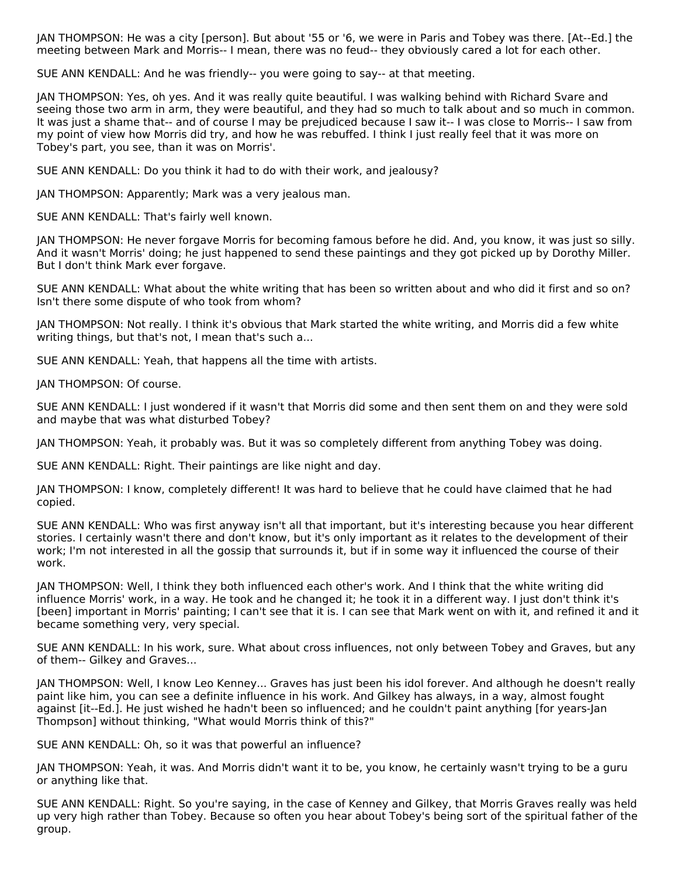JAN THOMPSON: He was a city [person]. But about '55 or '6, we were in Paris and Tobey was there. [At--Ed.] the meeting between Mark and Morris-- I mean, there was no feud-- they obviously cared a lot for each other.

SUE ANN KENDALL: And he was friendly-- you were going to say-- at that meeting.

JAN THOMPSON: Yes, oh yes. And it was really quite beautiful. I was walking behind with Richard Svare and seeing those two arm in arm, they were beautiful, and they had so much to talk about and so much in common. It was just a shame that-- and of course I may be prejudiced because I saw it-- I was close to Morris-- I saw from my point of view how Morris did try, and how he was rebuffed. I think I just really feel that it was more on Tobey's part, you see, than it was on Morris'.

SUE ANN KENDALL: Do you think it had to do with their work, and jealousy?

JAN THOMPSON: Apparently; Mark was a very jealous man.

SUE ANN KENDALL: That's fairly well known.

JAN THOMPSON: He never forgave Morris for becoming famous before he did. And, you know, it was just so silly. And it wasn't Morris' doing; he just happened to send these paintings and they got picked up by Dorothy Miller. But I don't think Mark ever forgave.

SUE ANN KENDALL: What about the white writing that has been so written about and who did it first and so on? Isn't there some dispute of who took from whom?

JAN THOMPSON: Not really. I think it's obvious that Mark started the white writing, and Morris did a few white writing things, but that's not, I mean that's such a...

SUE ANN KENDALL: Yeah, that happens all the time with artists.

JAN THOMPSON: Of course.

SUE ANN KENDALL: I just wondered if it wasn't that Morris did some and then sent them on and they were sold and maybe that was what disturbed Tobey?

JAN THOMPSON: Yeah, it probably was. But it was so completely different from anything Tobey was doing.

SUE ANN KENDALL: Right. Their paintings are like night and day.

JAN THOMPSON: I know, completely different! It was hard to believe that he could have claimed that he had copied.

SUE ANN KENDALL: Who was first anyway isn't all that important, but it's interesting because you hear different stories. I certainly wasn't there and don't know, but it's only important as it relates to the development of their work; I'm not interested in all the gossip that surrounds it, but if in some way it influenced the course of their work.

JAN THOMPSON: Well, I think they both influenced each other's work. And I think that the white writing did influence Morris' work, in a way. He took and he changed it; he took it in a different way. I just don't think it's [been] important in Morris' painting; I can't see that it is. I can see that Mark went on with it, and refined it and it became something very, very special.

SUE ANN KENDALL: In his work, sure. What about cross influences, not only between Tobey and Graves, but any of them-- Gilkey and Graves...

JAN THOMPSON: Well, I know Leo Kenney... Graves has just been his idol forever. And although he doesn't really paint like him, you can see a definite influence in his work. And Gilkey has always, in a way, almost fought against [it--Ed.]. He just wished he hadn't been so influenced; and he couldn't paint anything [for years-Jan Thompson] without thinking, "What would Morris think of this?"

SUE ANN KENDALL: Oh, so it was that powerful an influence?

JAN THOMPSON: Yeah, it was. And Morris didn't want it to be, you know, he certainly wasn't trying to be a guru or anything like that.

SUE ANN KENDALL: Right. So you're saying, in the case of Kenney and Gilkey, that Morris Graves really was held up very high rather than Tobey. Because so often you hear about Tobey's being sort of the spiritual father of the group.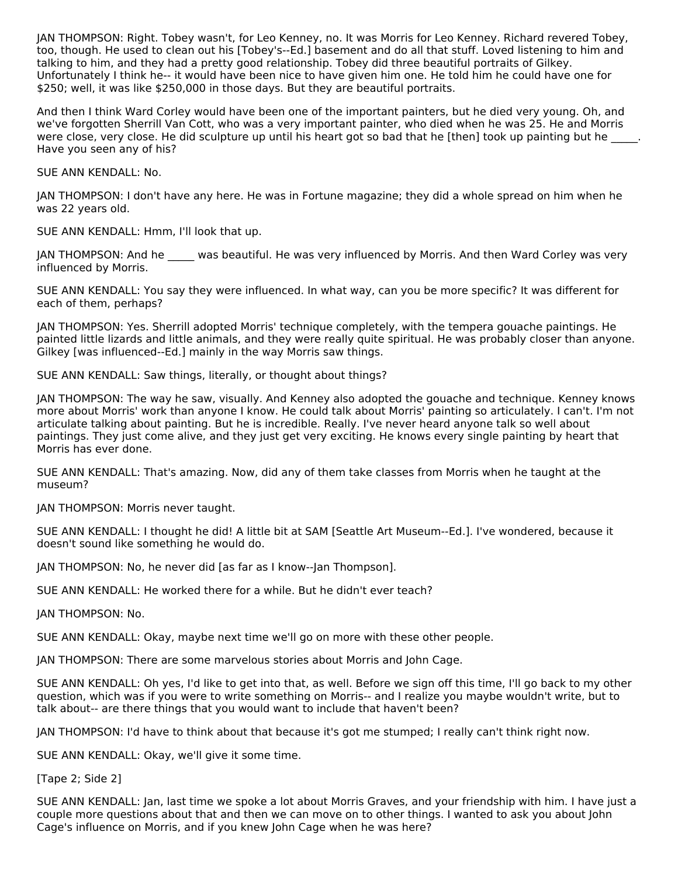JAN THOMPSON: Right. Tobey wasn't, for Leo Kenney, no. It was Morris for Leo Kenney. Richard revered Tobey, too, though. He used to clean out his [Tobey's--Ed.] basement and do all that stuff. Loved listening to him and talking to him, and they had a pretty good relationship. Tobey did three beautiful portraits of Gilkey. Unfortunately I think he-- it would have been nice to have given him one. He told him he could have one for \$250; well, it was like \$250,000 in those days. But they are beautiful portraits.

And then I think Ward Corley would have been one of the important painters, but he died very young. Oh, and we've forgotten Sherrill Van Cott, who was a very important painter, who died when he was 25. He and Morris were close, very close. He did sculpture up until his heart got so bad that he [then] took up painting but he Have you seen any of his?

SUE ANN KENDALL: No.

JAN THOMPSON: I don't have any here. He was in Fortune magazine; they did a whole spread on him when he was 22 years old.

SUE ANN KENDALL: Hmm, I'll look that up.

JAN THOMPSON: And he \_\_\_\_\_ was beautiful. He was very influenced by Morris. And then Ward Corley was very influenced by Morris.

SUE ANN KENDALL: You say they were influenced. In what way, can you be more specific? It was different for each of them, perhaps?

JAN THOMPSON: Yes. Sherrill adopted Morris' technique completely, with the tempera gouache paintings. He painted little lizards and little animals, and they were really quite spiritual. He was probably closer than anyone. Gilkey [was influenced--Ed.] mainly in the way Morris saw things.

SUE ANN KENDALL: Saw things, literally, or thought about things?

JAN THOMPSON: The way he saw, visually. And Kenney also adopted the gouache and technique. Kenney knows more about Morris' work than anyone I know. He could talk about Morris' painting so articulately. I can't. I'm not articulate talking about painting. But he is incredible. Really. I've never heard anyone talk so well about paintings. They just come alive, and they just get very exciting. He knows every single painting by heart that Morris has ever done.

SUE ANN KENDALL: That's amazing. Now, did any of them take classes from Morris when he taught at the museum?

JAN THOMPSON: Morris never taught.

SUE ANN KENDALL: I thought he did! A little bit at SAM [Seattle Art Museum--Ed.]. I've wondered, because it doesn't sound like something he would do.

JAN THOMPSON: No, he never did [as far as I know--Jan Thompson].

SUE ANN KENDALL: He worked there for a while. But he didn't ever teach?

JAN THOMPSON: No.

SUE ANN KENDALL: Okay, maybe next time we'll go on more with these other people.

JAN THOMPSON: There are some marvelous stories about Morris and John Cage.

SUE ANN KENDALL: Oh yes, I'd like to get into that, as well. Before we sign off this time, I'll go back to my other question, which was if you were to write something on Morris-- and I realize you maybe wouldn't write, but to talk about-- are there things that you would want to include that haven't been?

JAN THOMPSON: I'd have to think about that because it's got me stumped; I really can't think right now.

SUE ANN KENDALL: Okay, we'll give it some time.

[Tape 2; Side 2]

SUE ANN KENDALL: Jan, last time we spoke a lot about Morris Graves, and your friendship with him. I have just a couple more questions about that and then we can move on to other things. I wanted to ask you about John Cage's influence on Morris, and if you knew John Cage when he was here?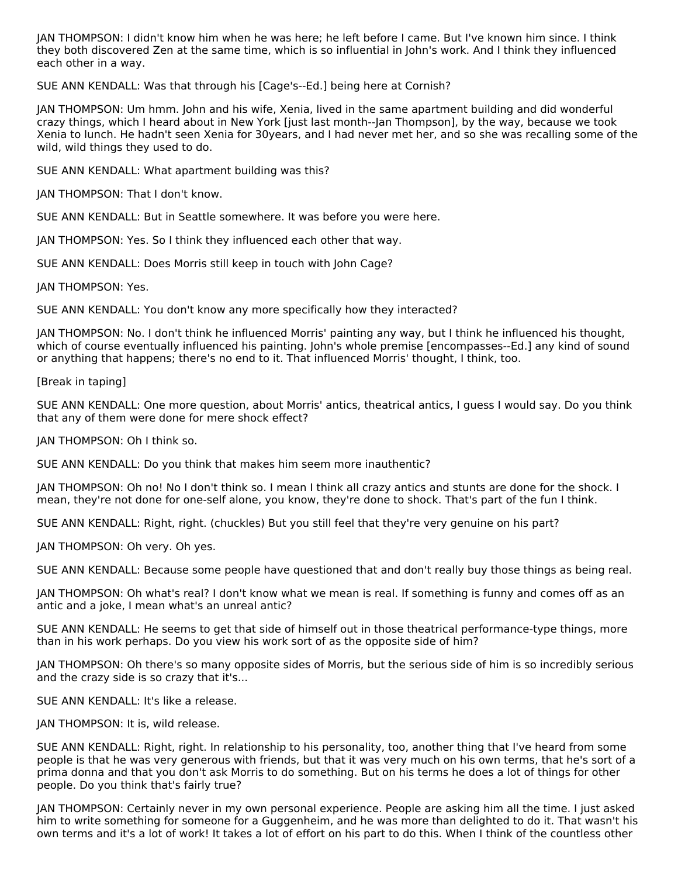JAN THOMPSON: I didn't know him when he was here; he left before I came. But I've known him since. I think they both discovered Zen at the same time, which is so influential in John's work. And I think they influenced each other in a way.

SUE ANN KENDALL: Was that through his [Cage's--Ed.] being here at Cornish?

JAN THOMPSON: Um hmm. John and his wife, Xenia, lived in the same apartment building and did wonderful crazy things, which I heard about in New York [just last month--Jan Thompson], by the way, because we took Xenia to lunch. He hadn't seen Xenia for 30years, and I had never met her, and so she was recalling some of the wild, wild things they used to do.

SUE ANN KENDALL: What apartment building was this?

JAN THOMPSON: That I don't know.

SUE ANN KENDALL: But in Seattle somewhere. It was before you were here.

JAN THOMPSON: Yes. So I think they influenced each other that way.

SUE ANN KENDALL: Does Morris still keep in touch with John Cage?

JAN THOMPSON: Yes.

SUE ANN KENDALL: You don't know any more specifically how they interacted?

JAN THOMPSON: No. I don't think he influenced Morris' painting any way, but I think he influenced his thought, which of course eventually influenced his painting. John's whole premise [encompasses--Ed.] any kind of sound or anything that happens; there's no end to it. That influenced Morris' thought, I think, too.

[Break in taping]

SUE ANN KENDALL: One more question, about Morris' antics, theatrical antics, I guess I would say. Do you think that any of them were done for mere shock effect?

JAN THOMPSON: Oh I think so.

SUE ANN KENDALL: Do you think that makes him seem more inauthentic?

JAN THOMPSON: Oh no! No I don't think so. I mean I think all crazy antics and stunts are done for the shock. I mean, they're not done for one-self alone, you know, they're done to shock. That's part of the fun I think.

SUE ANN KENDALL: Right, right. (chuckles) But you still feel that they're very genuine on his part?

JAN THOMPSON: Oh very. Oh yes.

SUE ANN KENDALL: Because some people have questioned that and don't really buy those things as being real.

JAN THOMPSON: Oh what's real? I don't know what we mean is real. If something is funny and comes off as an antic and a joke, I mean what's an unreal antic?

SUE ANN KENDALL: He seems to get that side of himself out in those theatrical performance-type things, more than in his work perhaps. Do you view his work sort of as the opposite side of him?

JAN THOMPSON: Oh there's so many opposite sides of Morris, but the serious side of him is so incredibly serious and the crazy side is so crazy that it's...

SUE ANN KENDALL: It's like a release.

JAN THOMPSON: It is, wild release.

SUE ANN KENDALL: Right, right. In relationship to his personality, too, another thing that I've heard from some people is that he was very generous with friends, but that it was very much on his own terms, that he's sort of a prima donna and that you don't ask Morris to do something. But on his terms he does a lot of things for other people. Do you think that's fairly true?

JAN THOMPSON: Certainly never in my own personal experience. People are asking him all the time. I just asked him to write something for someone for a Guggenheim, and he was more than delighted to do it. That wasn't his own terms and it's a lot of work! It takes a lot of effort on his part to do this. When I think of the countless other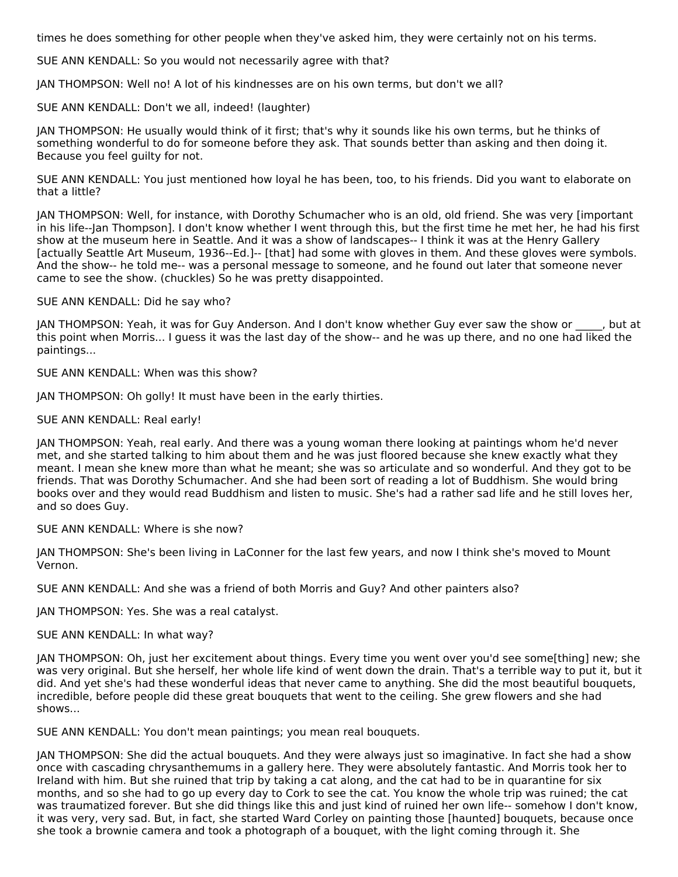times he does something for other people when they've asked him, they were certainly not on his terms.

SUE ANN KENDALL: So you would not necessarily agree with that?

JAN THOMPSON: Well no! A lot of his kindnesses are on his own terms, but don't we all?

SUE ANN KENDALL: Don't we all, indeed! (laughter)

JAN THOMPSON: He usually would think of it first; that's why it sounds like his own terms, but he thinks of something wonderful to do for someone before they ask. That sounds better than asking and then doing it. Because you feel guilty for not.

SUE ANN KENDALL: You just mentioned how loyal he has been, too, to his friends. Did you want to elaborate on that a little?

JAN THOMPSON: Well, for instance, with Dorothy Schumacher who is an old, old friend. She was very [important in his life--Jan Thompson]. I don't know whether I went through this, but the first time he met her, he had his first show at the museum here in Seattle. And it was a show of landscapes-- I think it was at the Henry Gallery [actually Seattle Art Museum, 1936--Ed.]-- [that] had some with gloves in them. And these gloves were symbols. And the show-- he told me-- was a personal message to someone, and he found out later that someone never came to see the show. (chuckles) So he was pretty disappointed.

#### SUE ANN KENDALL: Did he say who?

JAN THOMPSON: Yeah, it was for Guy Anderson. And I don't know whether Guy ever saw the show or \_\_\_\_, but at this point when Morris... I guess it was the last day of the show-- and he was up there, and no one had liked the paintings...

SUE ANN KENDALL: When was this show?

JAN THOMPSON: Oh golly! It must have been in the early thirties.

#### SUE ANN KENDALL: Real early!

JAN THOMPSON: Yeah, real early. And there was a young woman there looking at paintings whom he'd never met, and she started talking to him about them and he was just floored because she knew exactly what they meant. I mean she knew more than what he meant; she was so articulate and so wonderful. And they got to be friends. That was Dorothy Schumacher. And she had been sort of reading a lot of Buddhism. She would bring books over and they would read Buddhism and listen to music. She's had a rather sad life and he still loves her, and so does Guy.

#### SUE ANN KENDALL: Where is she now?

JAN THOMPSON: She's been living in LaConner for the last few years, and now I think she's moved to Mount Vernon.

SUE ANN KENDALL: And she was a friend of both Morris and Guy? And other painters also?

JAN THOMPSON: Yes. She was a real catalyst.

SUE ANN KENDALL: In what way?

JAN THOMPSON: Oh, just her excitement about things. Every time you went over you'd see some[thing] new; she was very original. But she herself, her whole life kind of went down the drain. That's a terrible way to put it, but it did. And yet she's had these wonderful ideas that never came to anything. She did the most beautiful bouquets, incredible, before people did these great bouquets that went to the ceiling. She grew flowers and she had shows...

SUE ANN KENDALL: You don't mean paintings; you mean real bouquets.

JAN THOMPSON: She did the actual bouquets. And they were always just so imaginative. In fact she had a show once with cascading chrysanthemums in a gallery here. They were absolutely fantastic. And Morris took her to Ireland with him. But she ruined that trip by taking a cat along, and the cat had to be in quarantine for six months, and so she had to go up every day to Cork to see the cat. You know the whole trip was ruined; the cat was traumatized forever. But she did things like this and just kind of ruined her own life-- somehow I don't know, it was very, very sad. But, in fact, she started Ward Corley on painting those [haunted] bouquets, because once she took a brownie camera and took a photograph of a bouquet, with the light coming through it. She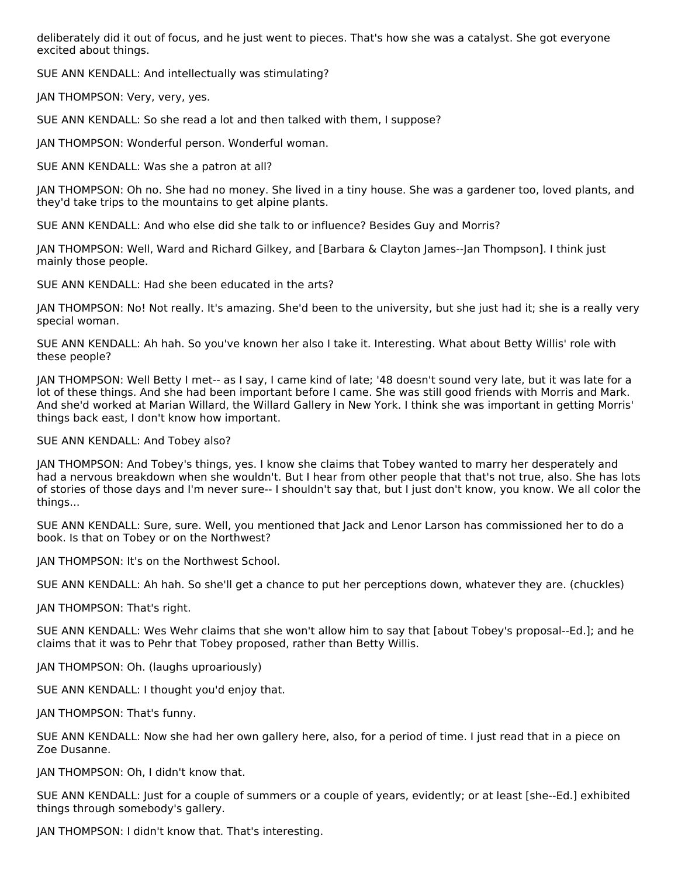deliberately did it out of focus, and he just went to pieces. That's how she was a catalyst. She got everyone excited about things.

SUE ANN KENDALL: And intellectually was stimulating?

JAN THOMPSON: Very, very, yes.

SUE ANN KENDALL: So she read a lot and then talked with them, I suppose?

JAN THOMPSON: Wonderful person. Wonderful woman.

SUE ANN KENDALL: Was she a patron at all?

JAN THOMPSON: Oh no. She had no money. She lived in a tiny house. She was a gardener too, loved plants, and they'd take trips to the mountains to get alpine plants.

SUE ANN KENDALL: And who else did she talk to or influence? Besides Guy and Morris?

JAN THOMPSON: Well, Ward and Richard Gilkey, and [Barbara & Clayton James--Jan Thompson]. I think just mainly those people.

SUE ANN KENDALL: Had she been educated in the arts?

JAN THOMPSON: No! Not really. It's amazing. She'd been to the university, but she just had it; she is a really very special woman.

SUE ANN KENDALL: Ah hah. So you've known her also I take it. Interesting. What about Betty Willis' role with these people?

JAN THOMPSON: Well Betty I met-- as I say, I came kind of late; '48 doesn't sound very late, but it was late for a lot of these things. And she had been important before I came. She was still good friends with Morris and Mark. And she'd worked at Marian Willard, the Willard Gallery in New York. I think she was important in getting Morris' things back east, I don't know how important.

SUE ANN KENDALL: And Tobey also?

JAN THOMPSON: And Tobey's things, yes. I know she claims that Tobey wanted to marry her desperately and had a nervous breakdown when she wouldn't. But I hear from other people that that's not true, also. She has lots of stories of those days and I'm never sure-- I shouldn't say that, but I just don't know, you know. We all color the things...

SUE ANN KENDALL: Sure, sure. Well, you mentioned that Jack and Lenor Larson has commissioned her to do a book. Is that on Tobey or on the Northwest?

JAN THOMPSON: It's on the Northwest School.

SUE ANN KENDALL: Ah hah. So she'll get a chance to put her perceptions down, whatever they are. (chuckles)

JAN THOMPSON: That's right.

SUE ANN KENDALL: Wes Wehr claims that she won't allow him to say that [about Tobey's proposal--Ed.]; and he claims that it was to Pehr that Tobey proposed, rather than Betty Willis.

JAN THOMPSON: Oh. (laughs uproariously)

SUE ANN KENDALL: I thought you'd enjoy that.

JAN THOMPSON: That's funny.

SUE ANN KENDALL: Now she had her own gallery here, also, for a period of time. I just read that in a piece on Zoe Dusanne.

JAN THOMPSON: Oh, I didn't know that.

SUE ANN KENDALL: Just for a couple of summers or a couple of years, evidently; or at least [she--Ed.] exhibited things through somebody's gallery.

JAN THOMPSON: I didn't know that. That's interesting.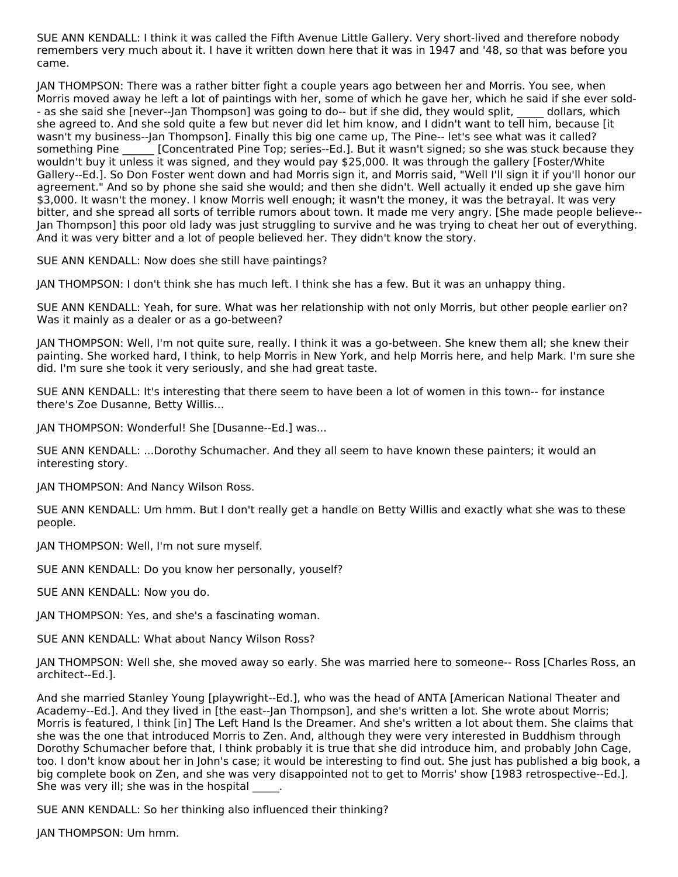SUE ANN KENDALL: I think it was called the Fifth Avenue Little Gallery. Very short-lived and therefore nobody remembers very much about it. I have it written down here that it was in 1947 and '48, so that was before you came.

JAN THOMPSON: There was a rather bitter fight a couple years ago between her and Morris. You see, when Morris moved away he left a lot of paintings with her, some of which he gave her, which he said if she ever sold- - as she said she [never--Jan Thompson] was going to do-- but if she did, they would split, dollars, which she agreed to. And she sold quite a few but never did let him know, and I didn't want to tell him, because [it wasn't my business--Jan Thompson]. Finally this big one came up, The Pine-- let's see what was it called? something Pine [Concentrated Pine Top; series--Ed.]. But it wasn't signed; so she was stuck because they wouldn't buy it unless it was signed, and they would pay \$25,000. It was through the gallery [Foster/White Gallery--Ed.]. So Don Foster went down and had Morris sign it, and Morris said, "Well I'll sign it if you'll honor our agreement." And so by phone she said she would; and then she didn't. Well actually it ended up she gave him \$3,000. It wasn't the money. I know Morris well enough; it wasn't the money, it was the betrayal. It was very bitter, and she spread all sorts of terrible rumors about town. It made me very angry. [She made people believe-- Jan Thompson] this poor old lady was just struggling to survive and he was trying to cheat her out of everything. And it was very bitter and a lot of people believed her. They didn't know the story.

SUE ANN KENDALL: Now does she still have paintings?

JAN THOMPSON: I don't think she has much left. I think she has a few. But it was an unhappy thing.

SUE ANN KENDALL: Yeah, for sure. What was her relationship with not only Morris, but other people earlier on? Was it mainly as a dealer or as a go-between?

JAN THOMPSON: Well, I'm not quite sure, really. I think it was a go-between. She knew them all; she knew their painting. She worked hard, I think, to help Morris in New York, and help Morris here, and help Mark. I'm sure she did. I'm sure she took it very seriously, and she had great taste.

SUE ANN KENDALL: It's interesting that there seem to have been a lot of women in this town-- for instance there's Zoe Dusanne, Betty Willis...

JAN THOMPSON: Wonderful! She [Dusanne--Ed.] was...

SUE ANN KENDALL: ...Dorothy Schumacher. And they all seem to have known these painters; it would an interesting story.

JAN THOMPSON: And Nancy Wilson Ross.

SUE ANN KENDALL: Um hmm. But I don't really get a handle on Betty Willis and exactly what she was to these people.

JAN THOMPSON: Well, I'm not sure myself.

SUE ANN KENDALL: Do you know her personally, youself?

SUE ANN KENDALL: Now you do.

JAN THOMPSON: Yes, and she's a fascinating woman.

SUE ANN KENDALL: What about Nancy Wilson Ross?

JAN THOMPSON: Well she, she moved away so early. She was married here to someone-- Ross [Charles Ross, an architect--Ed.].

And she married Stanley Young [playwright--Ed.], who was the head of ANTA [American National Theater and Academy--Ed.]. And they lived in [the east--Jan Thompson], and she's written a lot. She wrote about Morris; Morris is featured, I think [in] The Left Hand Is the Dreamer. And she's written a lot about them. She claims that she was the one that introduced Morris to Zen. And, although they were very interested in Buddhism through Dorothy Schumacher before that, I think probably it is true that she did introduce him, and probably John Cage, too. I don't know about her in John's case; it would be interesting to find out. She just has published a big book, a big complete book on Zen, and she was very disappointed not to get to Morris' show [1983 retrospective--Ed.]. She was very ill; she was in the hospital

SUE ANN KENDALL: So her thinking also influenced their thinking?

JAN THOMPSON: Um hmm.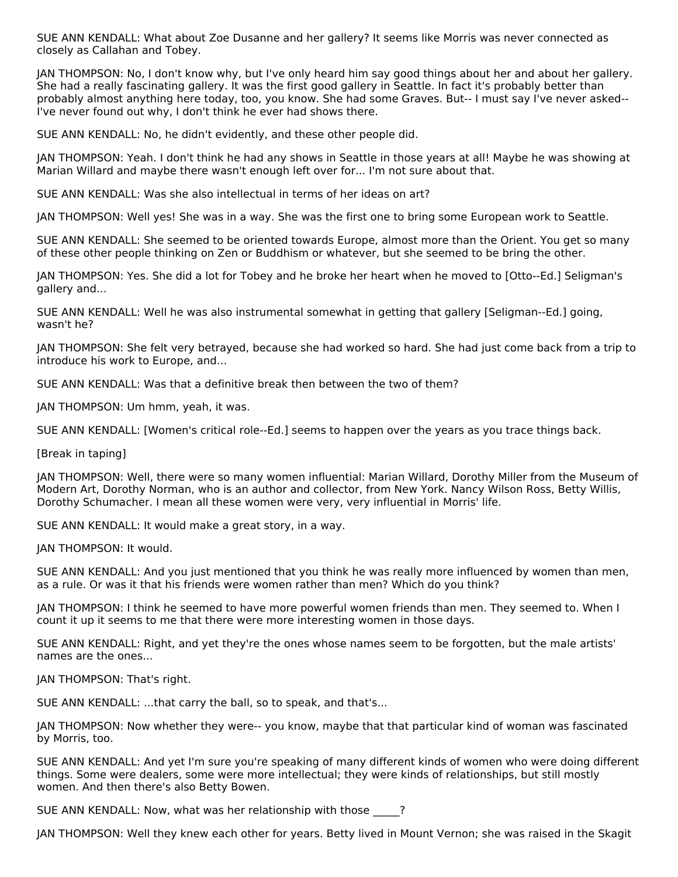SUE ANN KENDALL: What about Zoe Dusanne and her gallery? It seems like Morris was never connected as closely as Callahan and Tobey.

JAN THOMPSON: No, I don't know why, but I've only heard him say good things about her and about her gallery. She had a really fascinating gallery. It was the first good gallery in Seattle. In fact it's probably better than probably almost anything here today, too, you know. She had some Graves. But-- I must say I've never asked-- I've never found out why, I don't think he ever had shows there.

SUE ANN KENDALL: No, he didn't evidently, and these other people did.

JAN THOMPSON: Yeah. I don't think he had any shows in Seattle in those years at all! Maybe he was showing at Marian Willard and maybe there wasn't enough left over for... I'm not sure about that.

SUE ANN KENDALL: Was she also intellectual in terms of her ideas on art?

JAN THOMPSON: Well yes! She was in a way. She was the first one to bring some European work to Seattle.

SUE ANN KENDALL: She seemed to be oriented towards Europe, almost more than the Orient. You get so many of these other people thinking on Zen or Buddhism or whatever, but she seemed to be bring the other.

JAN THOMPSON: Yes. She did a lot for Tobey and he broke her heart when he moved to [Otto--Ed.] Seligman's gallery and...

SUE ANN KENDALL: Well he was also instrumental somewhat in getting that gallery [Seligman--Ed.] going, wasn't he?

JAN THOMPSON: She felt very betrayed, because she had worked so hard. She had just come back from a trip to introduce his work to Europe, and...

SUE ANN KENDALL: Was that a definitive break then between the two of them?

JAN THOMPSON: Um hmm, yeah, it was.

SUE ANN KENDALL: [Women's critical role--Ed.] seems to happen over the years as you trace things back.

[Break in taping]

JAN THOMPSON: Well, there were so many women influential: Marian Willard, Dorothy Miller from the Museum of Modern Art, Dorothy Norman, who is an author and collector, from New York. Nancy Wilson Ross, Betty Willis, Dorothy Schumacher. I mean all these women were very, very influential in Morris' life.

SUE ANN KENDALL: It would make a great story, in a way.

JAN THOMPSON: It would.

SUE ANN KENDALL: And you just mentioned that you think he was really more influenced by women than men, as a rule. Or was it that his friends were women rather than men? Which do you think?

JAN THOMPSON: I think he seemed to have more powerful women friends than men. They seemed to. When I count it up it seems to me that there were more interesting women in those days.

SUE ANN KENDALL: Right, and yet they're the ones whose names seem to be forgotten, but the male artists' names are the ones...

JAN THOMPSON: That's right.

SUE ANN KENDALL: ...that carry the ball, so to speak, and that's...

JAN THOMPSON: Now whether they were-- you know, maybe that that particular kind of woman was fascinated by Morris, too.

SUE ANN KENDALL: And yet I'm sure you're speaking of many different kinds of women who were doing different things. Some were dealers, some were more intellectual; they were kinds of relationships, but still mostly women. And then there's also Betty Bowen.

SUE ANN KENDALL: Now, what was her relationship with those  $\qquad$  ?

JAN THOMPSON: Well they knew each other for years. Betty lived in Mount Vernon; she was raised in the Skagit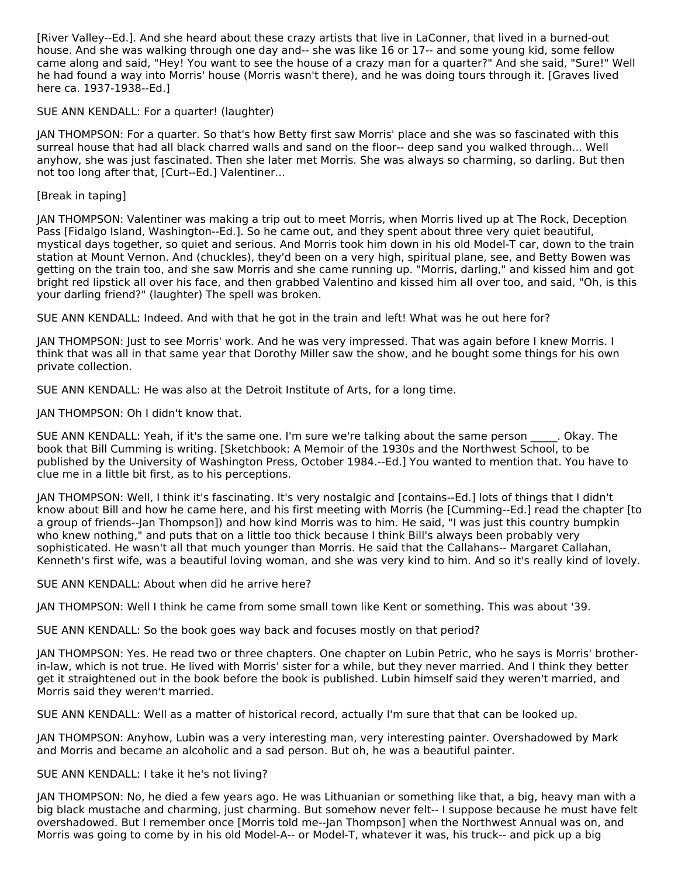[River Valley--Ed.]. And she heard about these crazy artists that live in LaConner, that lived in a burned-out house. And she was walking through one day and-- she was like 16 or 17-- and some young kid, some fellow came along and said, "Hey! You want to see the house of a crazy man for a quarter?" And she said, "Sure!" Well he had found a way into Morris' house (Morris wasn't there), and he was doing tours through it. [Graves lived here ca. 1937-1938--Ed.]

SUE ANN KENDALL: For a quarter! (laughter)

JAN THOMPSON: For a quarter. So that's how Betty first saw Morris' place and she was so fascinated with this surreal house that had all black charred walls and sand on the floor-- deep sand you walked through... Well anyhow, she was just fascinated. Then she later met Morris. She was always so charming, so darling. But then not too long after that, [Curt--Ed.] Valentiner...

[Break in taping]

JAN THOMPSON: Valentiner was making a trip out to meet Morris, when Morris lived up at The Rock, Deception Pass [Fidalgo Island, Washington--Ed.]. So he came out, and they spent about three very quiet beautiful, mystical days together, so quiet and serious. And Morris took him down in his old Model-T car, down to the train station at Mount Vernon. And (chuckles), they'd been on a very high, spiritual plane, see, and Betty Bowen was getting on the train too, and she saw Morris and she came running up. "Morris, darling," and kissed him and got bright red lipstick all over his face, and then grabbed Valentino and kissed him all over too, and said, "Oh, is this your darling friend?" (laughter) The spell was broken.

SUE ANN KENDALL: Indeed. And with that he got in the train and left! What was he out here for?

JAN THOMPSON: Just to see Morris' work. And he was very impressed. That was again before I knew Morris. I think that was all in that same year that Dorothy Miller saw the show, and he bought some things for his own private collection.

SUE ANN KENDALL: He was also at the Detroit Institute of Arts, for a long time.

JAN THOMPSON: Oh I didn't know that.

SUE ANN KENDALL: Yeah, if it's the same one. I'm sure we're talking about the same person . Okay. The book that Bill Cumming is writing. [Sketchbook: A Memoir of the 1930s and the Northwest School, to be published by the University of Washington Press, October 1984.--Ed.] You wanted to mention that. You have to clue me in a little bit first, as to his perceptions.

JAN THOMPSON: Well, I think it's fascinating. It's very nostalgic and [contains--Ed.] lots of things that I didn't know about Bill and how he came here, and his first meeting with Morris (he [Cumming--Ed.] read the chapter [to a group of friends--Jan Thompson]) and how kind Morris was to him. He said, "I was just this country bumpkin who knew nothing," and puts that on a little too thick because I think Bill's always been probably very sophisticated. He wasn't all that much younger than Morris. He said that the Callahans-- Margaret Callahan, Kenneth's first wife, was a beautiful loving woman, and she was very kind to him. And so it's really kind of lovely.

SUE ANN KENDALL: About when did he arrive here?

JAN THOMPSON: Well I think he came from some small town like Kent or something. This was about '39.

SUE ANN KENDALL: So the book goes way back and focuses mostly on that period?

JAN THOMPSON: Yes. He read two or three chapters. One chapter on Lubin Petric, who he says is Morris' brotherin-law, which is not true. He lived with Morris' sister for a while, but they never married. And I think they better get it straightened out in the book before the book is published. Lubin himself said they weren't married, and Morris said they weren't married.

SUE ANN KENDALL: Well as a matter of historical record, actually I'm sure that that can be looked up.

JAN THOMPSON: Anyhow, Lubin was a very interesting man, very interesting painter. Overshadowed by Mark and Morris and became an alcoholic and a sad person. But oh, he was a beautiful painter.

#### SUE ANN KENDALL: I take it he's not living?

JAN THOMPSON: No, he died a few years ago. He was Lithuanian or something like that, a big, heavy man with a big black mustache and charming, just charming. But somehow never felt-- I suppose because he must have felt overshadowed. But I remember once [Morris told me--Jan Thompson] when the Northwest Annual was on, and Morris was going to come by in his old Model-A-- or Model-T, whatever it was, his truck-- and pick up a big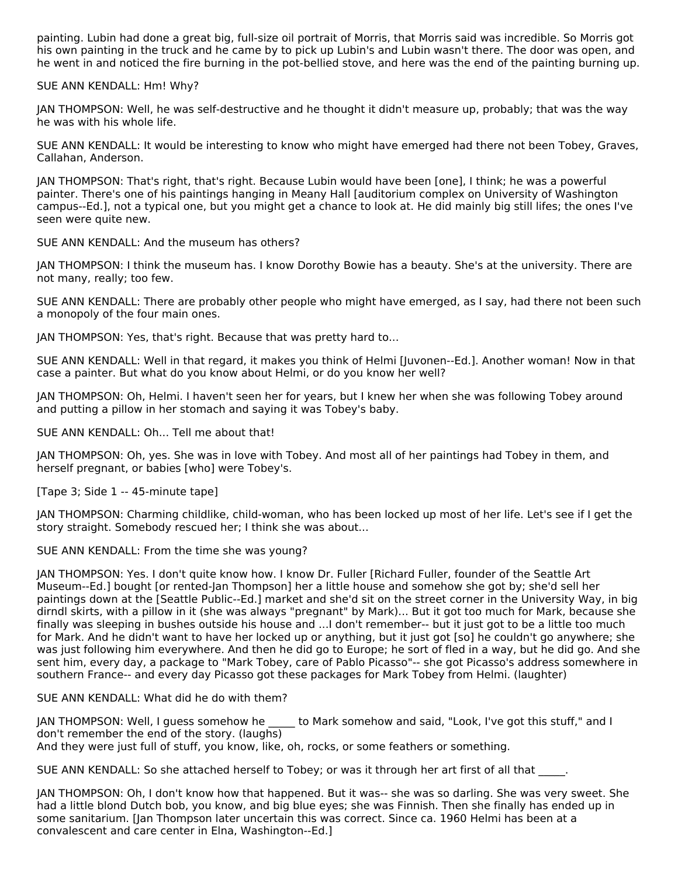painting. Lubin had done a great big, full-size oil portrait of Morris, that Morris said was incredible. So Morris got his own painting in the truck and he came by to pick up Lubin's and Lubin wasn't there. The door was open, and he went in and noticed the fire burning in the pot-bellied stove, and here was the end of the painting burning up.

SUE ANN KENDALL: Hm! Why?

JAN THOMPSON: Well, he was self-destructive and he thought it didn't measure up, probably; that was the way he was with his whole life.

SUE ANN KENDALL: It would be interesting to know who might have emerged had there not been Tobey, Graves, Callahan, Anderson.

JAN THOMPSON: That's right, that's right. Because Lubin would have been [one], I think; he was a powerful painter. There's one of his paintings hanging in Meany Hall [auditorium complex on University of Washington campus--Ed.], not a typical one, but you might get a chance to look at. He did mainly big still lifes; the ones I've seen were quite new.

SUE ANN KENDALL: And the museum has others?

JAN THOMPSON: I think the museum has. I know Dorothy Bowie has a beauty. She's at the university. There are not many, really; too few.

SUE ANN KENDALL: There are probably other people who might have emerged, as I say, had there not been such a monopoly of the four main ones.

JAN THOMPSON: Yes, that's right. Because that was pretty hard to...

SUE ANN KENDALL: Well in that regard, it makes you think of Helmi [Juvonen--Ed.]. Another woman! Now in that case a painter. But what do you know about Helmi, or do you know her well?

JAN THOMPSON: Oh, Helmi. I haven't seen her for years, but I knew her when she was following Tobey around and putting a pillow in her stomach and saying it was Tobey's baby.

SUE ANN KENDALL: Oh... Tell me about that!

JAN THOMPSON: Oh, yes. She was in love with Tobey. And most all of her paintings had Tobey in them, and herself pregnant, or babies [who] were Tobey's.

[Tape 3; Side 1 -- 45-minute tape]

JAN THOMPSON: Charming childlike, child-woman, who has been locked up most of her life. Let's see if I get the story straight. Somebody rescued her; I think she was about...

SUE ANN KENDALL: From the time she was young?

JAN THOMPSON: Yes. I don't quite know how. I know Dr. Fuller [Richard Fuller, founder of the Seattle Art Museum--Ed.] bought [or rented-Jan Thompson] her a little house and somehow she got by; she'd sell her paintings down at the [Seattle Public--Ed.] market and she'd sit on the street corner in the University Way, in big dirndl skirts, with a pillow in it (she was always "pregnant" by Mark)... But it got too much for Mark, because she finally was sleeping in bushes outside his house and ...I don't remember-- but it just got to be a little too much for Mark. And he didn't want to have her locked up or anything, but it just got [so] he couldn't go anywhere; she was just following him everywhere. And then he did go to Europe; he sort of fled in a way, but he did go. And she sent him, every day, a package to "Mark Tobey, care of Pablo Picasso"-- she got Picasso's address somewhere in southern France-- and every day Picasso got these packages for Mark Tobey from Helmi. (laughter)

SUE ANN KENDALL: What did he do with them?

JAN THOMPSON: Well, I guess somehow he \_\_\_\_\_ to Mark somehow and said, "Look, I've got this stuff," and I don't remember the end of the story. (laughs) And they were just full of stuff, you know, like, oh, rocks, or some feathers or something.

SUE ANN KENDALL: So she attached herself to Tobey; or was it through her art first of all that \_\_\_\_\_.

JAN THOMPSON: Oh, I don't know how that happened. But it was-- she was so darling. She was very sweet. She had a little blond Dutch bob, you know, and big blue eyes; she was Finnish. Then she finally has ended up in some sanitarium. [Jan Thompson later uncertain this was correct. Since ca. 1960 Helmi has been at a convalescent and care center in Elna, Washington--Ed.]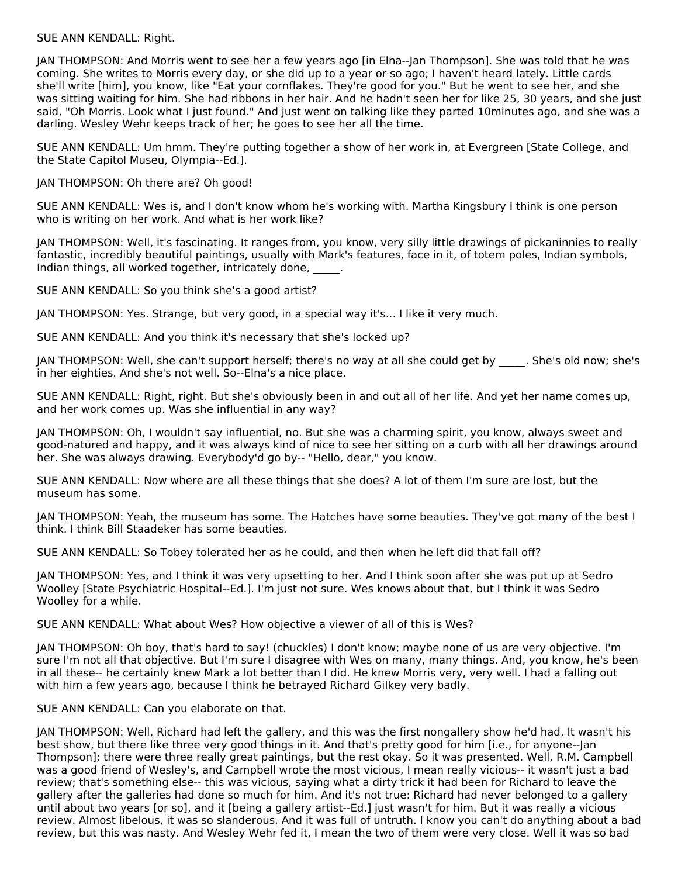#### SUE ANN KENDALL: Right.

JAN THOMPSON: And Morris went to see her a few years ago [in Elna--Jan Thompson]. She was told that he was coming. She writes to Morris every day, or she did up to a year or so ago; I haven't heard lately. Little cards she'll write [him], you know, like "Eat your cornflakes. They're good for you." But he went to see her, and she was sitting waiting for him. She had ribbons in her hair. And he hadn't seen her for like 25, 30 years, and she just said, "Oh Morris. Look what I just found." And just went on talking like they parted 10minutes ago, and she was a darling. Wesley Wehr keeps track of her; he goes to see her all the time.

SUE ANN KENDALL: Um hmm. They're putting together a show of her work in, at Evergreen [State College, and the State Capitol Museu, Olympia--Ed.].

JAN THOMPSON: Oh there are? Oh good!

SUE ANN KENDALL: Wes is, and I don't know whom he's working with. Martha Kingsbury I think is one person who is writing on her work. And what is her work like?

JAN THOMPSON: Well, it's fascinating. It ranges from, you know, very silly little drawings of pickaninnies to really fantastic, incredibly beautiful paintings, usually with Mark's features, face in it, of totem poles, Indian symbols, Indian things, all worked together, intricately done, and

SUE ANN KENDALL: So you think she's a good artist?

JAN THOMPSON: Yes. Strange, but very good, in a special way it's... I like it very much.

SUE ANN KENDALL: And you think it's necessary that she's locked up?

JAN THOMPSON: Well, she can't support herself; there's no way at all she could get by \_\_\_\_\_. She's old now; she's in her eighties. And she's not well. So--Elna's a nice place.

SUE ANN KENDALL: Right, right. But she's obviously been in and out all of her life. And yet her name comes up, and her work comes up. Was she influential in any way?

JAN THOMPSON: Oh, I wouldn't say influential, no. But she was a charming spirit, you know, always sweet and good-natured and happy, and it was always kind of nice to see her sitting on a curb with all her drawings around her. She was always drawing. Everybody'd go by-- "Hello, dear," you know.

SUE ANN KENDALL: Now where are all these things that she does? A lot of them I'm sure are lost, but the museum has some.

JAN THOMPSON: Yeah, the museum has some. The Hatches have some beauties. They've got many of the best I think. I think Bill Staadeker has some beauties.

SUE ANN KENDALL: So Tobey tolerated her as he could, and then when he left did that fall off?

JAN THOMPSON: Yes, and I think it was very upsetting to her. And I think soon after she was put up at Sedro Woolley [State Psychiatric Hospital--Ed.]. I'm just not sure. Wes knows about that, but I think it was Sedro Woolley for a while.

SUE ANN KENDALL: What about Wes? How objective a viewer of all of this is Wes?

JAN THOMPSON: Oh boy, that's hard to say! (chuckles) I don't know; maybe none of us are very objective. I'm sure I'm not all that objective. But I'm sure I disagree with Wes on many, many things. And, you know, he's been in all these-- he certainly knew Mark a lot better than I did. He knew Morris very, very well. I had a falling out with him a few years ago, because I think he betrayed Richard Gilkey very badly.

SUE ANN KENDALL: Can you elaborate on that.

JAN THOMPSON: Well, Richard had left the gallery, and this was the first nongallery show he'd had. It wasn't his best show, but there like three very good things in it. And that's pretty good for him [i.e., for anyone--Jan Thompson]; there were three really great paintings, but the rest okay. So it was presented. Well, R.M. Campbell was a good friend of Wesley's, and Campbell wrote the most vicious, I mean really vicious-- it wasn't just a bad review; that's something else-- this was vicious, saying what a dirty trick it had been for Richard to leave the gallery after the galleries had done so much for him. And it's not true: Richard had never belonged to a gallery until about two years [or so], and it [being a gallery artist--Ed.] just wasn't for him. But it was really a vicious review. Almost libelous, it was so slanderous. And it was full of untruth. I know you can't do anything about a bad review, but this was nasty. And Wesley Wehr fed it, I mean the two of them were very close. Well it was so bad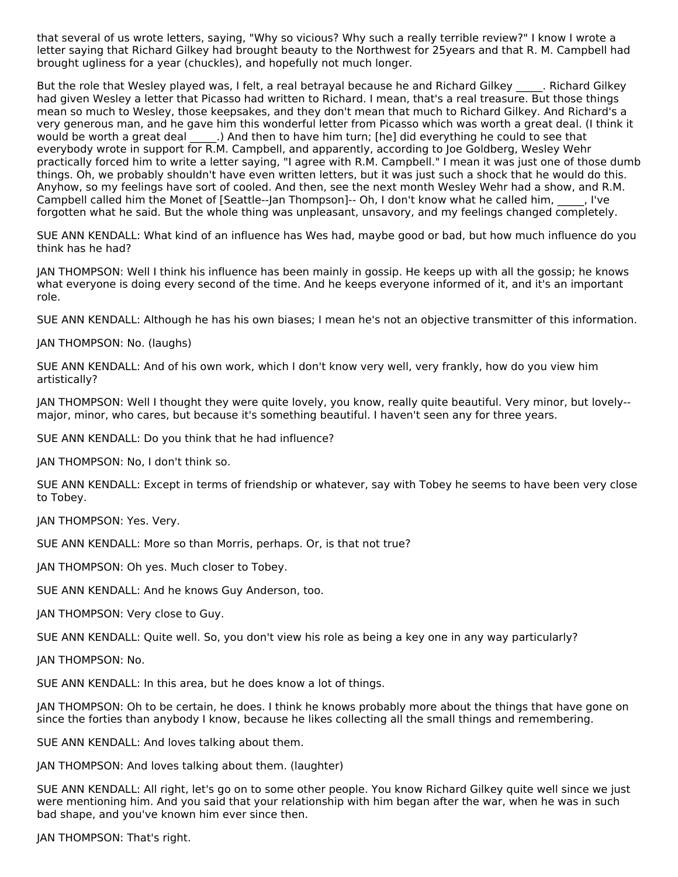that several of us wrote letters, saying, "Why so vicious? Why such a really terrible review?" I know I wrote a letter saying that Richard Gilkey had brought beauty to the Northwest for 25years and that R. M. Campbell had brought ugliness for a year (chuckles), and hopefully not much longer.

But the role that Wesley played was, I felt, a real betrayal because he and Richard Gilkey . Richard Gilkey had given Wesley a letter that Picasso had written to Richard. I mean, that's a real treasure. But those things mean so much to Wesley, those keepsakes, and they don't mean that much to Richard Gilkey. And Richard's a very generous man, and he gave him this wonderful letter from Picasso which was worth a great deal. (I think it would be worth a great deal  $\qquad$ .) And then to have him turn; [he] did everything he could to see that everybody wrote in support for R.M. Campbell, and apparently, according to Joe Goldberg, Wesley Wehr practically forced him to write a letter saying, "I agree with R.M. Campbell." I mean it was just one of those dumb things. Oh, we probably shouldn't have even written letters, but it was just such a shock that he would do this. Anyhow, so my feelings have sort of cooled. And then, see the next month Wesley Wehr had a show, and R.M. Campbell called him the Monet of [Seattle--Jan Thompson]-- Oh, I don't know what he called him, \_\_\_\_\_, I've forgotten what he said. But the whole thing was unpleasant, unsavory, and my feelings changed completely.

SUE ANN KENDALL: What kind of an influence has Wes had, maybe good or bad, but how much influence do you think has he had?

JAN THOMPSON: Well I think his influence has been mainly in gossip. He keeps up with all the gossip; he knows what everyone is doing every second of the time. And he keeps everyone informed of it, and it's an important role.

SUE ANN KENDALL: Although he has his own biases; I mean he's not an objective transmitter of this information.

JAN THOMPSON: No. (laughs)

SUE ANN KENDALL: And of his own work, which I don't know very well, very frankly, how do you view him artistically?

JAN THOMPSON: Well I thought they were quite lovely, you know, really quite beautiful. Very minor, but lovely- major, minor, who cares, but because it's something beautiful. I haven't seen any for three years.

SUE ANN KENDALL: Do you think that he had influence?

JAN THOMPSON: No, I don't think so.

SUE ANN KENDALL: Except in terms of friendship or whatever, say with Tobey he seems to have been very close to Tobey.

JAN THOMPSON: Yes. Very.

SUE ANN KENDALL: More so than Morris, perhaps. Or, is that not true?

JAN THOMPSON: Oh yes. Much closer to Tobey.

SUE ANN KENDALL: And he knows Guy Anderson, too.

JAN THOMPSON: Very close to Guy.

SUE ANN KENDALL: Quite well. So, you don't view his role as being a key one in any way particularly?

JAN THOMPSON: No.

SUE ANN KENDALL: In this area, but he does know a lot of things.

JAN THOMPSON: Oh to be certain, he does. I think he knows probably more about the things that have gone on since the forties than anybody I know, because he likes collecting all the small things and remembering.

SUE ANN KENDALL: And loves talking about them.

JAN THOMPSON: And loves talking about them. (laughter)

SUE ANN KENDALL: All right, let's go on to some other people. You know Richard Gilkey quite well since we just were mentioning him. And you said that your relationship with him began after the war, when he was in such bad shape, and you've known him ever since then.

JAN THOMPSON: That's right.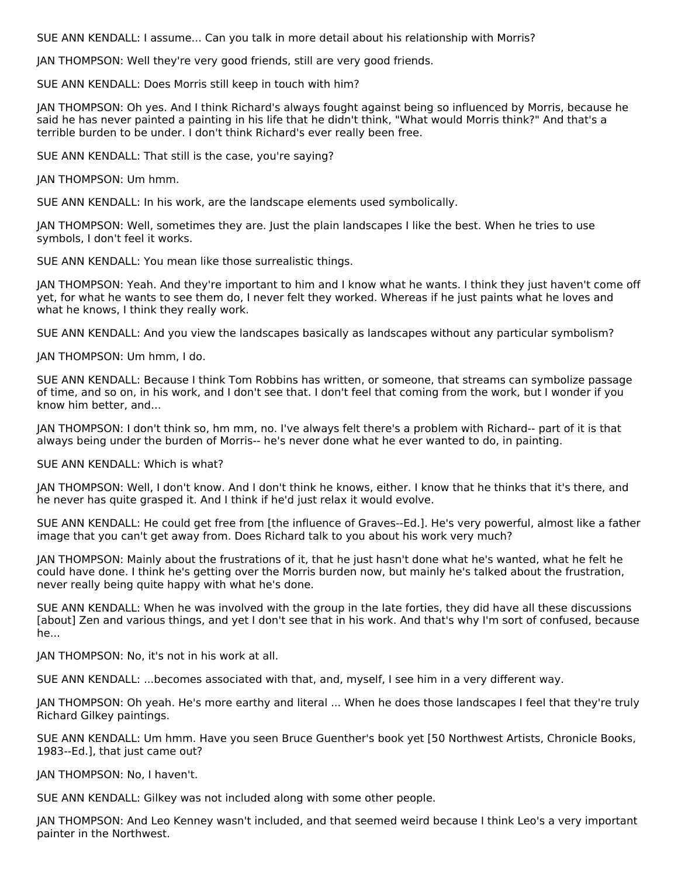SUE ANN KENDALL: I assume... Can you talk in more detail about his relationship with Morris?

JAN THOMPSON: Well they're very good friends, still are very good friends.

SUE ANN KENDALL: Does Morris still keep in touch with him?

JAN THOMPSON: Oh yes. And I think Richard's always fought against being so influenced by Morris, because he said he has never painted a painting in his life that he didn't think, "What would Morris think?" And that's a terrible burden to be under. I don't think Richard's ever really been free.

SUE ANN KENDALL: That still is the case, you're saying?

JAN THOMPSON: Um hmm.

SUE ANN KENDALL: In his work, are the landscape elements used symbolically.

JAN THOMPSON: Well, sometimes they are. Just the plain landscapes I like the best. When he tries to use symbols, I don't feel it works.

SUE ANN KENDALL: You mean like those surrealistic things.

JAN THOMPSON: Yeah. And they're important to him and I know what he wants. I think they just haven't come off yet, for what he wants to see them do, I never felt they worked. Whereas if he just paints what he loves and what he knows, I think they really work.

SUE ANN KENDALL: And you view the landscapes basically as landscapes without any particular symbolism?

JAN THOMPSON: Um hmm, I do.

SUE ANN KENDALL: Because I think Tom Robbins has written, or someone, that streams can symbolize passage of time, and so on, in his work, and I don't see that. I don't feel that coming from the work, but I wonder if you know him better, and...

JAN THOMPSON: I don't think so, hm mm, no. I've always felt there's a problem with Richard-- part of it is that always being under the burden of Morris-- he's never done what he ever wanted to do, in painting.

SUE ANN KENDALL: Which is what?

JAN THOMPSON: Well, I don't know. And I don't think he knows, either. I know that he thinks that it's there, and he never has quite grasped it. And I think if he'd just relax it would evolve.

SUE ANN KENDALL: He could get free from [the influence of Graves--Ed.]. He's very powerful, almost like a father image that you can't get away from. Does Richard talk to you about his work very much?

JAN THOMPSON: Mainly about the frustrations of it, that he just hasn't done what he's wanted, what he felt he could have done. I think he's getting over the Morris burden now, but mainly he's talked about the frustration, never really being quite happy with what he's done.

SUE ANN KENDALL: When he was involved with the group in the late forties, they did have all these discussions [about] Zen and various things, and yet I don't see that in his work. And that's why I'm sort of confused, because he...

JAN THOMPSON: No, it's not in his work at all.

SUE ANN KENDALL: ...becomes associated with that, and, myself, I see him in a very different way.

JAN THOMPSON: Oh yeah. He's more earthy and literal ... When he does those landscapes I feel that they're truly Richard Gilkey paintings.

SUE ANN KENDALL: Um hmm. Have you seen Bruce Guenther's book yet [50 Northwest Artists, Chronicle Books, 1983--Ed.], that just came out?

JAN THOMPSON: No, I haven't.

SUE ANN KENDALL: Gilkey was not included along with some other people.

JAN THOMPSON: And Leo Kenney wasn't included, and that seemed weird because I think Leo's a very important painter in the Northwest.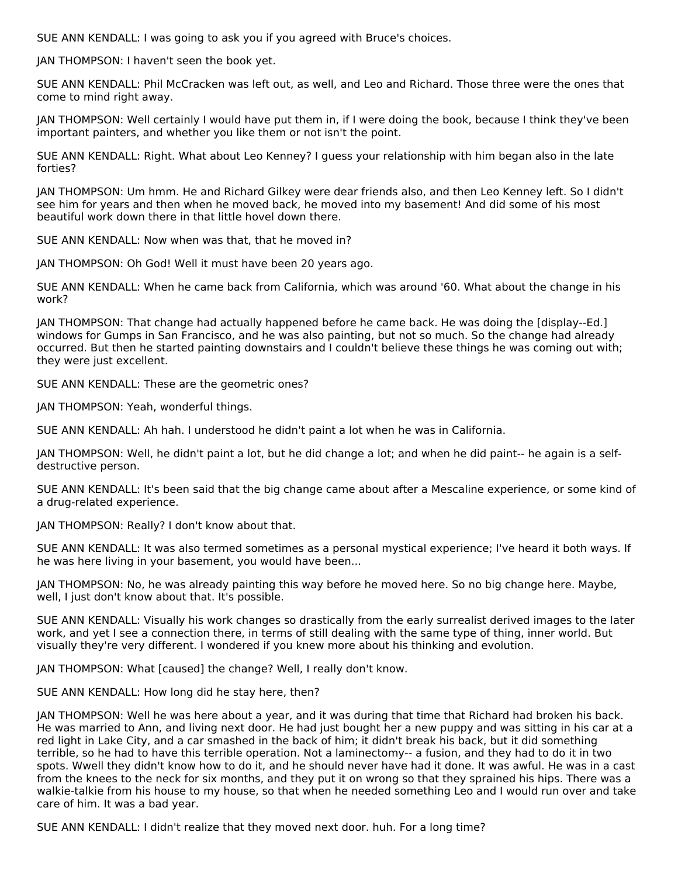SUE ANN KENDALL: I was going to ask you if you agreed with Bruce's choices.

JAN THOMPSON: I haven't seen the book yet.

SUE ANN KENDALL: Phil McCracken was left out, as well, and Leo and Richard. Those three were the ones that come to mind right away.

JAN THOMPSON: Well certainly I would have put them in, if I were doing the book, because I think they've been important painters, and whether you like them or not isn't the point.

SUE ANN KENDALL: Right. What about Leo Kenney? I guess your relationship with him began also in the late forties?

JAN THOMPSON: Um hmm. He and Richard Gilkey were dear friends also, and then Leo Kenney left. So I didn't see him for years and then when he moved back, he moved into my basement! And did some of his most beautiful work down there in that little hovel down there.

SUE ANN KENDALL: Now when was that, that he moved in?

JAN THOMPSON: Oh God! Well it must have been 20 years ago.

SUE ANN KENDALL: When he came back from California, which was around '60. What about the change in his work?

JAN THOMPSON: That change had actually happened before he came back. He was doing the [display--Ed.] windows for Gumps in San Francisco, and he was also painting, but not so much. So the change had already occurred. But then he started painting downstairs and I couldn't believe these things he was coming out with; they were just excellent.

SUE ANN KENDALL: These are the geometric ones?

JAN THOMPSON: Yeah, wonderful things.

SUE ANN KENDALL: Ah hah. I understood he didn't paint a lot when he was in California.

JAN THOMPSON: Well, he didn't paint a lot, but he did change a lot; and when he did paint-- he again is a selfdestructive person.

SUE ANN KENDALL: It's been said that the big change came about after a Mescaline experience, or some kind of a drug-related experience.

JAN THOMPSON: Really? I don't know about that.

SUE ANN KENDALL: It was also termed sometimes as a personal mystical experience; I've heard it both ways. If he was here living in your basement, you would have been...

JAN THOMPSON: No, he was already painting this way before he moved here. So no big change here. Maybe, well, I just don't know about that. It's possible.

SUE ANN KENDALL: Visually his work changes so drastically from the early surrealist derived images to the later work, and yet I see a connection there, in terms of still dealing with the same type of thing, inner world. But visually they're very different. I wondered if you knew more about his thinking and evolution.

JAN THOMPSON: What [caused] the change? Well, I really don't know.

SUE ANN KENDALL: How long did he stay here, then?

JAN THOMPSON: Well he was here about a year, and it was during that time that Richard had broken his back. He was married to Ann, and living next door. He had just bought her a new puppy and was sitting in his car at a red light in Lake City, and a car smashed in the back of him; it didn't break his back, but it did something terrible, so he had to have this terrible operation. Not a laminectomy-- a fusion, and they had to do it in two spots. Wwell they didn't know how to do it, and he should never have had it done. It was awful. He was in a cast from the knees to the neck for six months, and they put it on wrong so that they sprained his hips. There was a walkie-talkie from his house to my house, so that when he needed something Leo and I would run over and take care of him. It was a bad year.

SUE ANN KENDALL: I didn't realize that they moved next door. huh. For a long time?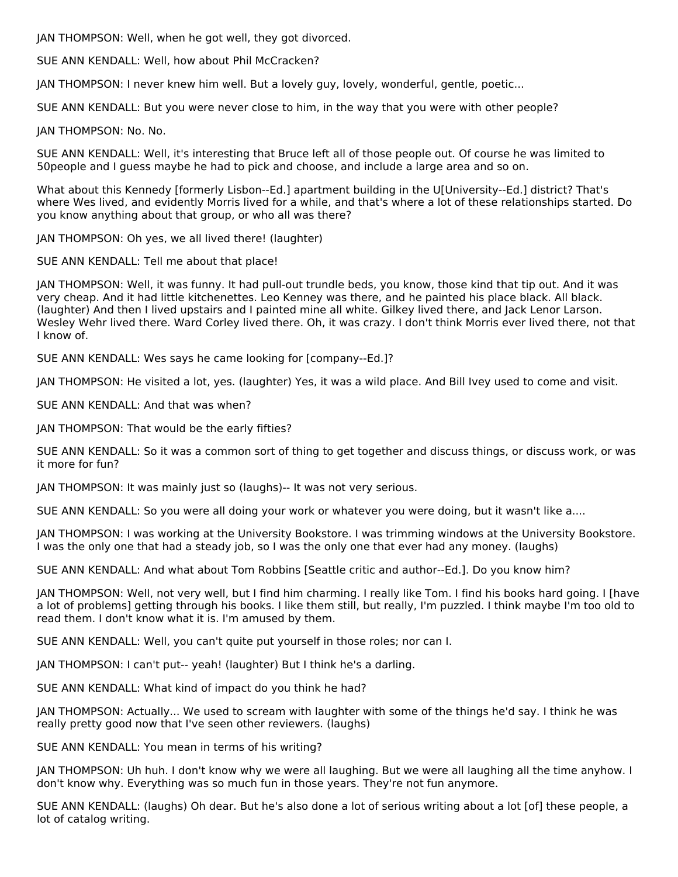JAN THOMPSON: Well, when he got well, they got divorced.

SUE ANN KENDALL: Well, how about Phil McCracken?

JAN THOMPSON: I never knew him well. But a lovely guy, lovely, wonderful, gentle, poetic...

SUE ANN KENDALL: But you were never close to him, in the way that you were with other people?

JAN THOMPSON: No. No.

SUE ANN KENDALL: Well, it's interesting that Bruce left all of those people out. Of course he was limited to 50people and I guess maybe he had to pick and choose, and include a large area and so on.

What about this Kennedy [formerly Lisbon--Ed.] apartment building in the U[University--Ed.] district? That's where Wes lived, and evidently Morris lived for a while, and that's where a lot of these relationships started. Do you know anything about that group, or who all was there?

JAN THOMPSON: Oh yes, we all lived there! (laughter)

SUE ANN KENDALL: Tell me about that place!

JAN THOMPSON: Well, it was funny. It had pull-out trundle beds, you know, those kind that tip out. And it was very cheap. And it had little kitchenettes. Leo Kenney was there, and he painted his place black. All black. (laughter) And then I lived upstairs and I painted mine all white. Gilkey lived there, and Jack Lenor Larson. Wesley Wehr lived there. Ward Corley lived there. Oh, it was crazy. I don't think Morris ever lived there, not that I know of.

SUE ANN KENDALL: Wes says he came looking for [company--Ed.]?

JAN THOMPSON: He visited a lot, yes. (laughter) Yes, it was a wild place. And Bill Ivey used to come and visit.

SUE ANN KENDALL: And that was when?

JAN THOMPSON: That would be the early fifties?

SUE ANN KENDALL: So it was a common sort of thing to get together and discuss things, or discuss work, or was it more for fun?

JAN THOMPSON: It was mainly just so (laughs)-- It was not very serious.

SUE ANN KENDALL: So you were all doing your work or whatever you were doing, but it wasn't like a....

JAN THOMPSON: I was working at the University Bookstore. I was trimming windows at the University Bookstore. I was the only one that had a steady job, so I was the only one that ever had any money. (laughs)

SUE ANN KENDALL: And what about Tom Robbins [Seattle critic and author--Ed.]. Do you know him?

JAN THOMPSON: Well, not very well, but I find him charming. I really like Tom. I find his books hard going. I [have a lot of problems] getting through his books. I like them still, but really, I'm puzzled. I think maybe I'm too old to read them. I don't know what it is. I'm amused by them.

SUE ANN KENDALL: Well, you can't quite put yourself in those roles; nor can I.

JAN THOMPSON: I can't put-- yeah! (laughter) But I think he's a darling.

SUE ANN KENDALL: What kind of impact do you think he had?

JAN THOMPSON: Actually... We used to scream with laughter with some of the things he'd say. I think he was really pretty good now that I've seen other reviewers. (laughs)

SUE ANN KENDALL: You mean in terms of his writing?

JAN THOMPSON: Uh huh. I don't know why we were all laughing. But we were all laughing all the time anyhow. I don't know why. Everything was so much fun in those years. They're not fun anymore.

SUE ANN KENDALL: (laughs) Oh dear. But he's also done a lot of serious writing about a lot [of] these people, a lot of catalog writing.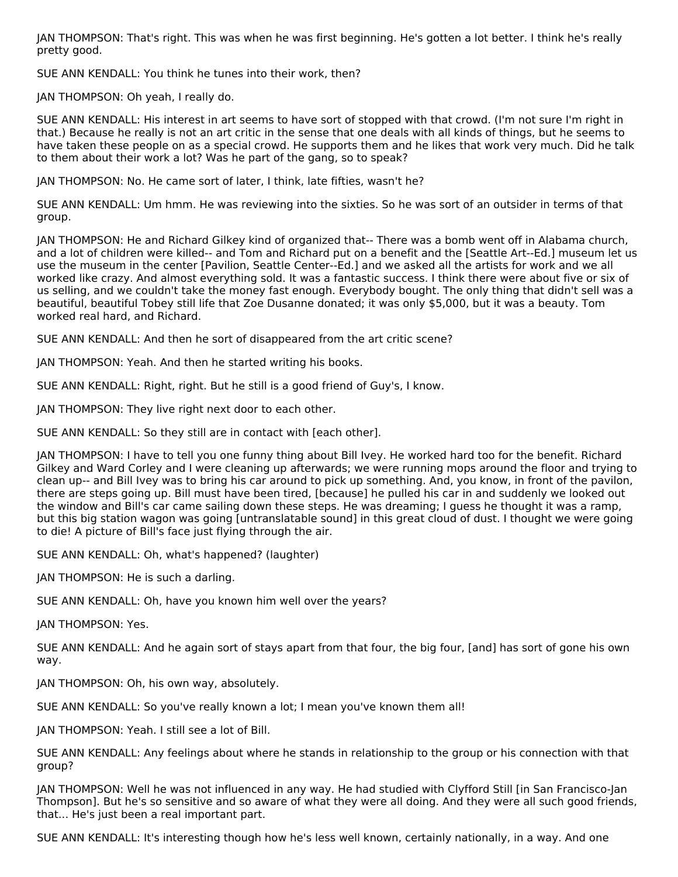JAN THOMPSON: That's right. This was when he was first beginning. He's gotten a lot better. I think he's really pretty good.

SUE ANN KENDALL: You think he tunes into their work, then?

JAN THOMPSON: Oh yeah, I really do.

SUE ANN KENDALL: His interest in art seems to have sort of stopped with that crowd. (I'm not sure I'm right in that.) Because he really is not an art critic in the sense that one deals with all kinds of things, but he seems to have taken these people on as a special crowd. He supports them and he likes that work very much. Did he talk to them about their work a lot? Was he part of the gang, so to speak?

JAN THOMPSON: No. He came sort of later, I think, late fifties, wasn't he?

SUE ANN KENDALL: Um hmm. He was reviewing into the sixties. So he was sort of an outsider in terms of that group.

JAN THOMPSON: He and Richard Gilkey kind of organized that-- There was a bomb went off in Alabama church, and a lot of children were killed-- and Tom and Richard put on a benefit and the [Seattle Art--Ed.] museum let us use the museum in the center [Pavilion, Seattle Center--Ed.] and we asked all the artists for work and we all worked like crazy. And almost everything sold. It was a fantastic success. I think there were about five or six of us selling, and we couldn't take the money fast enough. Everybody bought. The only thing that didn't sell was a beautiful, beautiful Tobey still life that Zoe Dusanne donated; it was only \$5,000, but it was a beauty. Tom worked real hard, and Richard.

SUE ANN KENDALL: And then he sort of disappeared from the art critic scene?

JAN THOMPSON: Yeah. And then he started writing his books.

SUE ANN KENDALL: Right, right. But he still is a good friend of Guy's, I know.

JAN THOMPSON: They live right next door to each other.

SUE ANN KENDALL: So they still are in contact with [each other].

JAN THOMPSON: I have to tell you one funny thing about Bill Ivey. He worked hard too for the benefit. Richard Gilkey and Ward Corley and I were cleaning up afterwards; we were running mops around the floor and trying to clean up-- and Bill Ivey was to bring his car around to pick up something. And, you know, in front of the pavilon, there are steps going up. Bill must have been tired, [because] he pulled his car in and suddenly we looked out the window and Bill's car came sailing down these steps. He was dreaming; I guess he thought it was a ramp, but this big station wagon was going [untranslatable sound] in this great cloud of dust. I thought we were going to die! A picture of Bill's face just flying through the air.

SUE ANN KENDALL: Oh, what's happened? (laughter)

JAN THOMPSON: He is such a darling.

SUE ANN KENDALL: Oh, have you known him well over the years?

JAN THOMPSON: Yes.

SUE ANN KENDALL: And he again sort of stays apart from that four, the big four, [and] has sort of gone his own way.

JAN THOMPSON: Oh, his own way, absolutely.

SUE ANN KENDALL: So you've really known a lot; I mean you've known them all!

JAN THOMPSON: Yeah. I still see a lot of Bill.

SUE ANN KENDALL: Any feelings about where he stands in relationship to the group or his connection with that group?

JAN THOMPSON: Well he was not influenced in any way. He had studied with Clyfford Still [in San Francisco-Jan Thompson]. But he's so sensitive and so aware of what they were all doing. And they were all such good friends, that... He's just been a real important part.

SUE ANN KENDALL: It's interesting though how he's less well known, certainly nationally, in a way. And one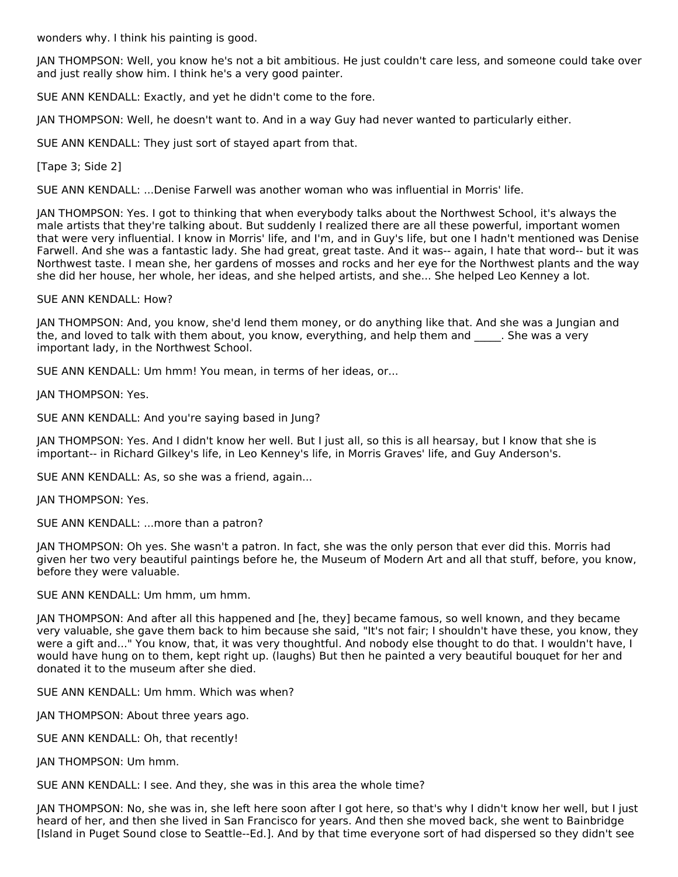wonders why. I think his painting is good.

JAN THOMPSON: Well, you know he's not a bit ambitious. He just couldn't care less, and someone could take over and just really show him. I think he's a very good painter.

SUE ANN KENDALL: Exactly, and yet he didn't come to the fore.

JAN THOMPSON: Well, he doesn't want to. And in a way Guy had never wanted to particularly either.

SUE ANN KENDALL: They just sort of stayed apart from that.

[Tape 3; Side 2]

SUE ANN KENDALL: ...Denise Farwell was another woman who was influential in Morris' life.

JAN THOMPSON: Yes. I got to thinking that when everybody talks about the Northwest School, it's always the male artists that they're talking about. But suddenly I realized there are all these powerful, important women that were very influential. I know in Morris' life, and I'm, and in Guy's life, but one I hadn't mentioned was Denise Farwell. And she was a fantastic lady. She had great, great taste. And it was-- again, I hate that word-- but it was Northwest taste. I mean she, her gardens of mosses and rocks and her eye for the Northwest plants and the way she did her house, her whole, her ideas, and she helped artists, and she... She helped Leo Kenney a lot.

SUE ANN KENDALL: How?

JAN THOMPSON: And, you know, she'd lend them money, or do anything like that. And she was a Jungian and the, and loved to talk with them about, you know, everything, and help them and \_\_\_\_. She was a very important lady, in the Northwest School.

SUE ANN KENDALL: Um hmm! You mean, in terms of her ideas, or...

JAN THOMPSON: Yes.

SUE ANN KENDALL: And you're saying based in Jung?

JAN THOMPSON: Yes. And I didn't know her well. But I just all, so this is all hearsay, but I know that she is important-- in Richard Gilkey's life, in Leo Kenney's life, in Morris Graves' life, and Guy Anderson's.

SUE ANN KENDALL: As, so she was a friend, again...

JAN THOMPSON: Yes.

SUE ANN KENDALL: ...more than a patron?

JAN THOMPSON: Oh yes. She wasn't a patron. In fact, she was the only person that ever did this. Morris had given her two very beautiful paintings before he, the Museum of Modern Art and all that stuff, before, you know, before they were valuable.

SUE ANN KENDALL: Um hmm, um hmm.

JAN THOMPSON: And after all this happened and [he, they] became famous, so well known, and they became very valuable, she gave them back to him because she said, "It's not fair; I shouldn't have these, you know, they were a gift and..." You know, that, it was very thoughtful. And nobody else thought to do that. I wouldn't have, I would have hung on to them, kept right up. (laughs) But then he painted a very beautiful bouquet for her and donated it to the museum after she died.

SUE ANN KENDALL: Um hmm. Which was when?

JAN THOMPSON: About three years ago.

SUE ANN KENDALL: Oh, that recently!

JAN THOMPSON: Um hmm.

SUE ANN KENDALL: I see. And they, she was in this area the whole time?

JAN THOMPSON: No, she was in, she left here soon after I got here, so that's why I didn't know her well, but I just heard of her, and then she lived in San Francisco for years. And then she moved back, she went to Bainbridge [Island in Puget Sound close to Seattle--Ed.]. And by that time everyone sort of had dispersed so they didn't see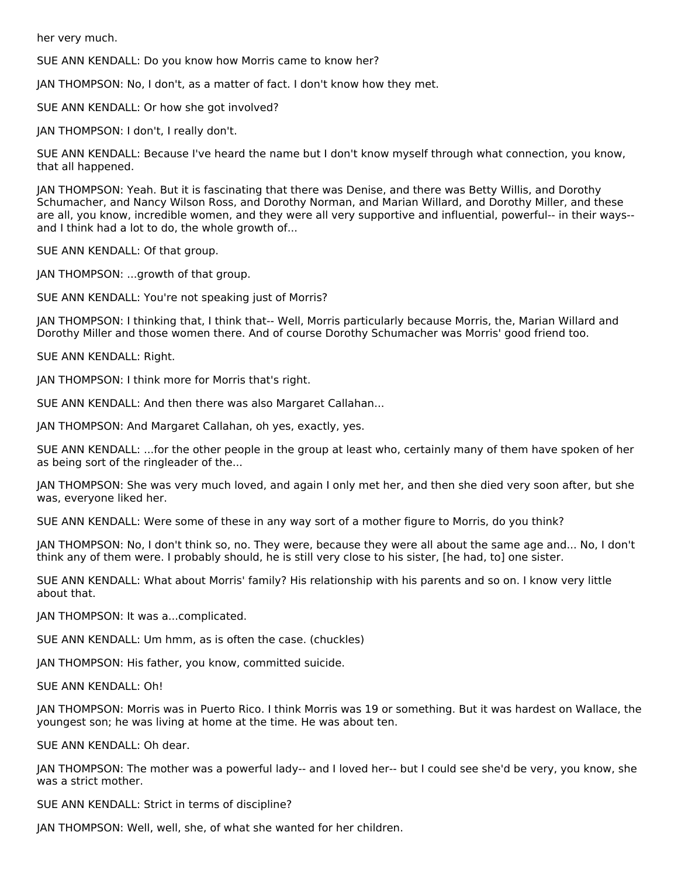her very much.

SUE ANN KENDALL: Do you know how Morris came to know her?

JAN THOMPSON: No, I don't, as a matter of fact. I don't know how they met.

SUE ANN KENDALL: Or how she got involved?

JAN THOMPSON: I don't, I really don't.

SUE ANN KENDALL: Because I've heard the name but I don't know myself through what connection, you know, that all happened.

JAN THOMPSON: Yeah. But it is fascinating that there was Denise, and there was Betty Willis, and Dorothy Schumacher, and Nancy Wilson Ross, and Dorothy Norman, and Marian Willard, and Dorothy Miller, and these are all, you know, incredible women, and they were all very supportive and influential, powerful-- in their ways- and I think had a lot to do, the whole growth of...

SUE ANN KENDALL: Of that group.

JAN THOMPSON: ...growth of that group.

SUE ANN KENDALL: You're not speaking just of Morris?

JAN THOMPSON: I thinking that, I think that-- Well, Morris particularly because Morris, the, Marian Willard and Dorothy Miller and those women there. And of course Dorothy Schumacher was Morris' good friend too.

SUE ANN KENDALL: Right.

JAN THOMPSON: I think more for Morris that's right.

SUE ANN KENDALL: And then there was also Margaret Callahan...

JAN THOMPSON: And Margaret Callahan, oh yes, exactly, yes.

SUE ANN KENDALL: ...for the other people in the group at least who, certainly many of them have spoken of her as being sort of the ringleader of the...

JAN THOMPSON: She was very much loved, and again I only met her, and then she died very soon after, but she was, everyone liked her.

SUE ANN KENDALL: Were some of these in any way sort of a mother figure to Morris, do you think?

JAN THOMPSON: No, I don't think so, no. They were, because they were all about the same age and... No, I don't think any of them were. I probably should, he is still very close to his sister, [he had, to] one sister.

SUE ANN KENDALL: What about Morris' family? His relationship with his parents and so on. I know very little about that.

JAN THOMPSON: It was a...complicated.

SUE ANN KENDALL: Um hmm, as is often the case. (chuckles)

JAN THOMPSON: His father, you know, committed suicide.

SUE ANN KENDALL: Oh!

JAN THOMPSON: Morris was in Puerto Rico. I think Morris was 19 or something. But it was hardest on Wallace, the youngest son; he was living at home at the time. He was about ten.

SUE ANN KENDALL: Oh dear.

JAN THOMPSON: The mother was a powerful lady-- and I loved her-- but I could see she'd be very, you know, she was a strict mother.

SUE ANN KENDALL: Strict in terms of discipline?

JAN THOMPSON: Well, well, she, of what she wanted for her children.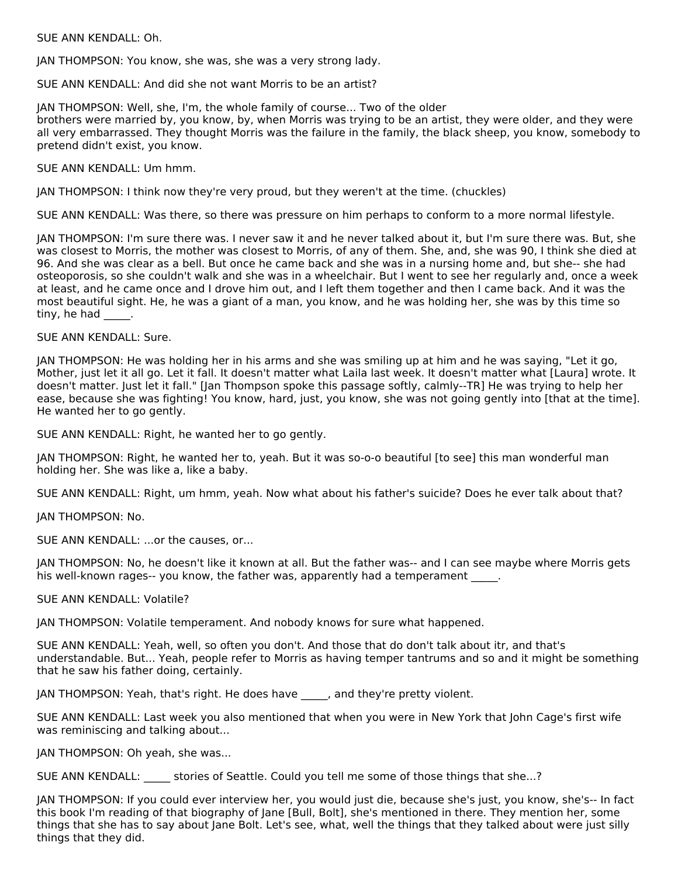#### SUE ANN KENDALL: Oh.

JAN THOMPSON: You know, she was, she was a very strong lady.

SUE ANN KENDALL: And did she not want Morris to be an artist?

JAN THOMPSON: Well, she, I'm, the whole family of course... Two of the older brothers were married by, you know, by, when Morris was trying to be an artist, they were older, and they were all very embarrassed. They thought Morris was the failure in the family, the black sheep, you know, somebody to pretend didn't exist, you know.

SUE ANN KENDALL: Um hmm.

JAN THOMPSON: I think now they're very proud, but they weren't at the time. (chuckles)

SUE ANN KENDALL: Was there, so there was pressure on him perhaps to conform to a more normal lifestyle.

JAN THOMPSON: I'm sure there was. I never saw it and he never talked about it, but I'm sure there was. But, she was closest to Morris, the mother was closest to Morris, of any of them. She, and, she was 90, I think she died at 96. And she was clear as a bell. But once he came back and she was in a nursing home and, but she-- she had osteoporosis, so she couldn't walk and she was in a wheelchair. But I went to see her regularly and, once a week at least, and he came once and I drove him out, and I left them together and then I came back. And it was the most beautiful sight. He, he was a giant of a man, you know, and he was holding her, she was by this time so tiny, he had \_\_\_\_.

#### SUE ANN KENDALL: Sure.

JAN THOMPSON: He was holding her in his arms and she was smiling up at him and he was saying, "Let it go, Mother, just let it all go. Let it fall. It doesn't matter what Laila last week. It doesn't matter what [Laura] wrote. It doesn't matter. Just let it fall." [Jan Thompson spoke this passage softly, calmly--TR] He was trying to help her ease, because she was fighting! You know, hard, just, you know, she was not going gently into [that at the time]. He wanted her to go gently.

SUE ANN KENDALL: Right, he wanted her to go gently.

JAN THOMPSON: Right, he wanted her to, yeah. But it was so-o-o beautiful [to see] this man wonderful man holding her. She was like a, like a baby.

SUE ANN KENDALL: Right, um hmm, yeah. Now what about his father's suicide? Does he ever talk about that?

JAN THOMPSON: No.

SUE ANN KENDALL: ...or the causes, or...

JAN THOMPSON: No, he doesn't like it known at all. But the father was-- and I can see maybe where Morris gets his well-known rages-- you know, the father was, apparently had a temperament  $\Box$ .

SUE ANN KENDALL: Volatile?

JAN THOMPSON: Volatile temperament. And nobody knows for sure what happened.

SUE ANN KENDALL: Yeah, well, so often you don't. And those that do don't talk about itr, and that's understandable. But... Yeah, people refer to Morris as having temper tantrums and so and it might be something that he saw his father doing, certainly.

JAN THOMPSON: Yeah, that's right. He does have \_\_\_\_\_, and they're pretty violent.

SUE ANN KENDALL: Last week you also mentioned that when you were in New York that John Cage's first wife was reminiscing and talking about...

JAN THOMPSON: Oh yeah, she was...

SUE ANN KENDALL: \_\_\_\_\_\_ stories of Seattle. Could you tell me some of those things that she...?

JAN THOMPSON: If you could ever interview her, you would just die, because she's just, you know, she's-- In fact this book I'm reading of that biography of Jane [Bull, Bolt], she's mentioned in there. They mention her, some things that she has to say about Jane Bolt. Let's see, what, well the things that they talked about were just silly things that they did.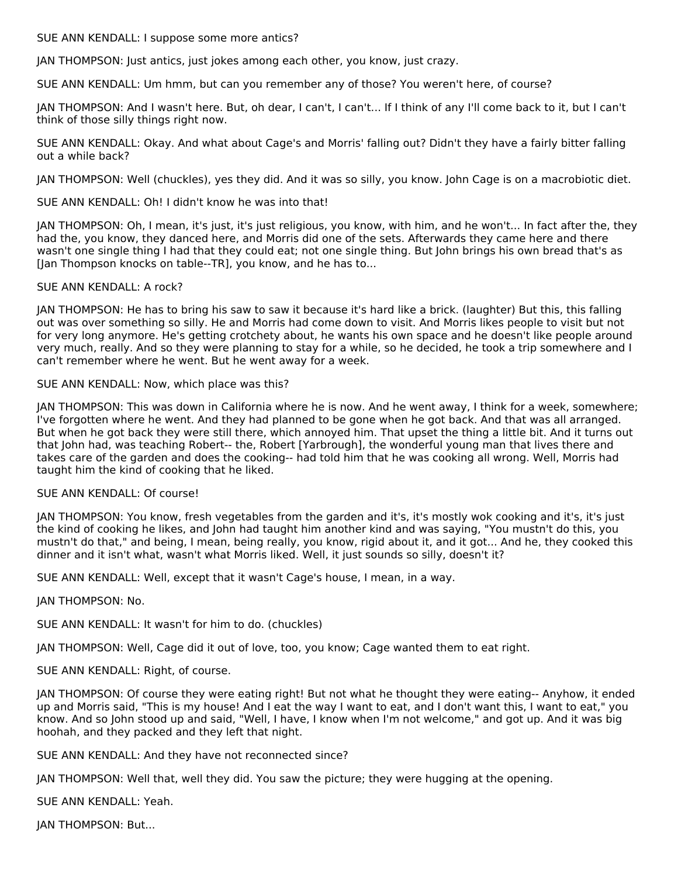SUE ANN KENDALL: I suppose some more antics?

JAN THOMPSON: Just antics, just jokes among each other, you know, just crazy.

SUE ANN KENDALL: Um hmm, but can you remember any of those? You weren't here, of course?

JAN THOMPSON: And I wasn't here. But, oh dear, I can't, I can't... If I think of any I'll come back to it, but I can't think of those silly things right now.

SUE ANN KENDALL: Okay. And what about Cage's and Morris' falling out? Didn't they have a fairly bitter falling out a while back?

JAN THOMPSON: Well (chuckles), yes they did. And it was so silly, you know. John Cage is on a macrobiotic diet.

SUE ANN KENDALL: Oh! I didn't know he was into that!

JAN THOMPSON: Oh, I mean, it's just, it's just religious, you know, with him, and he won't... In fact after the, they had the, you know, they danced here, and Morris did one of the sets. Afterwards they came here and there wasn't one single thing I had that they could eat; not one single thing. But John brings his own bread that's as [Jan Thompson knocks on table--TR], you know, and he has to...

#### SUE ANN KENDALL: A rock?

JAN THOMPSON: He has to bring his saw to saw it because it's hard like a brick. (laughter) But this, this falling out was over something so silly. He and Morris had come down to visit. And Morris likes people to visit but not for very long anymore. He's getting crotchety about, he wants his own space and he doesn't like people around very much, really. And so they were planning to stay for a while, so he decided, he took a trip somewhere and I can't remember where he went. But he went away for a week.

#### SUE ANN KENDALL: Now, which place was this?

JAN THOMPSON: This was down in California where he is now. And he went away, I think for a week, somewhere; I've forgotten where he went. And they had planned to be gone when he got back. And that was all arranged. But when he got back they were still there, which annoyed him. That upset the thing a little bit. And it turns out that John had, was teaching Robert-- the, Robert [Yarbrough], the wonderful young man that lives there and takes care of the garden and does the cooking-- had told him that he was cooking all wrong. Well, Morris had taught him the kind of cooking that he liked.

#### SUE ANN KENDALL: Of course!

JAN THOMPSON: You know, fresh vegetables from the garden and it's, it's mostly wok cooking and it's, it's just the kind of cooking he likes, and John had taught him another kind and was saying, "You mustn't do this, you mustn't do that," and being, I mean, being really, you know, rigid about it, and it got... And he, they cooked this dinner and it isn't what, wasn't what Morris liked. Well, it just sounds so silly, doesn't it?

SUE ANN KENDALL: Well, except that it wasn't Cage's house, I mean, in a way.

#### JAN THOMPSON: No.

SUE ANN KENDALL: It wasn't for him to do. (chuckles)

JAN THOMPSON: Well, Cage did it out of love, too, you know; Cage wanted them to eat right.

SUE ANN KENDALL: Right, of course.

JAN THOMPSON: Of course they were eating right! But not what he thought they were eating-- Anyhow, it ended up and Morris said, "This is my house! And I eat the way I want to eat, and I don't want this, I want to eat," you know. And so John stood up and said, "Well, I have, I know when I'm not welcome," and got up. And it was big hoohah, and they packed and they left that night.

SUE ANN KENDALL: And they have not reconnected since?

JAN THOMPSON: Well that, well they did. You saw the picture; they were hugging at the opening.

SUE ANN KENDALL: Yeah.

JAN THOMPSON: But...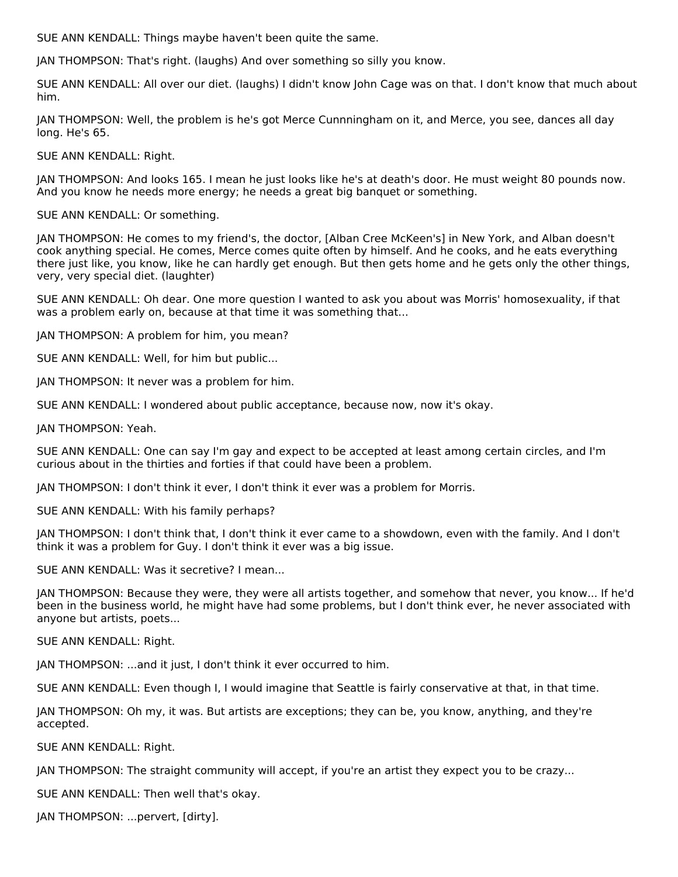SUE ANN KENDALL: Things maybe haven't been quite the same.

JAN THOMPSON: That's right. (laughs) And over something so silly you know.

SUE ANN KENDALL: All over our diet. (laughs) I didn't know John Cage was on that. I don't know that much about him.

JAN THOMPSON: Well, the problem is he's got Merce Cunnningham on it, and Merce, you see, dances all day long. He's 65.

SUE ANN KENDALL: Right.

JAN THOMPSON: And looks 165. I mean he just looks like he's at death's door. He must weight 80 pounds now. And you know he needs more energy; he needs a great big banquet or something.

SUE ANN KENDALL: Or something.

JAN THOMPSON: He comes to my friend's, the doctor, [Alban Cree McKeen's] in New York, and Alban doesn't cook anything special. He comes, Merce comes quite often by himself. And he cooks, and he eats everything there just like, you know, like he can hardly get enough. But then gets home and he gets only the other things, very, very special diet. (laughter)

SUE ANN KENDALL: Oh dear. One more question I wanted to ask you about was Morris' homosexuality, if that was a problem early on, because at that time it was something that...

JAN THOMPSON: A problem for him, you mean?

SUE ANN KENDALL: Well, for him but public...

JAN THOMPSON: It never was a problem for him.

SUE ANN KENDALL: I wondered about public acceptance, because now, now it's okay.

JAN THOMPSON: Yeah.

SUE ANN KENDALL: One can say I'm gay and expect to be accepted at least among certain circles, and I'm curious about in the thirties and forties if that could have been a problem.

JAN THOMPSON: I don't think it ever, I don't think it ever was a problem for Morris.

SUE ANN KENDALL: With his family perhaps?

JAN THOMPSON: I don't think that, I don't think it ever came to a showdown, even with the family. And I don't think it was a problem for Guy. I don't think it ever was a big issue.

SUE ANN KENDALL: Was it secretive? I mean...

JAN THOMPSON: Because they were, they were all artists together, and somehow that never, you know... If he'd been in the business world, he might have had some problems, but I don't think ever, he never associated with anyone but artists, poets...

SUE ANN KENDALL: Right.

JAN THOMPSON: ...and it just, I don't think it ever occurred to him.

SUE ANN KENDALL: Even though I, I would imagine that Seattle is fairly conservative at that, in that time.

JAN THOMPSON: Oh my, it was. But artists are exceptions; they can be, you know, anything, and they're accepted.

SUE ANN KENDALL: Right.

JAN THOMPSON: The straight community will accept, if you're an artist they expect you to be crazy...

SUE ANN KENDALL: Then well that's okay.

JAN THOMPSON: ...pervert, [dirty].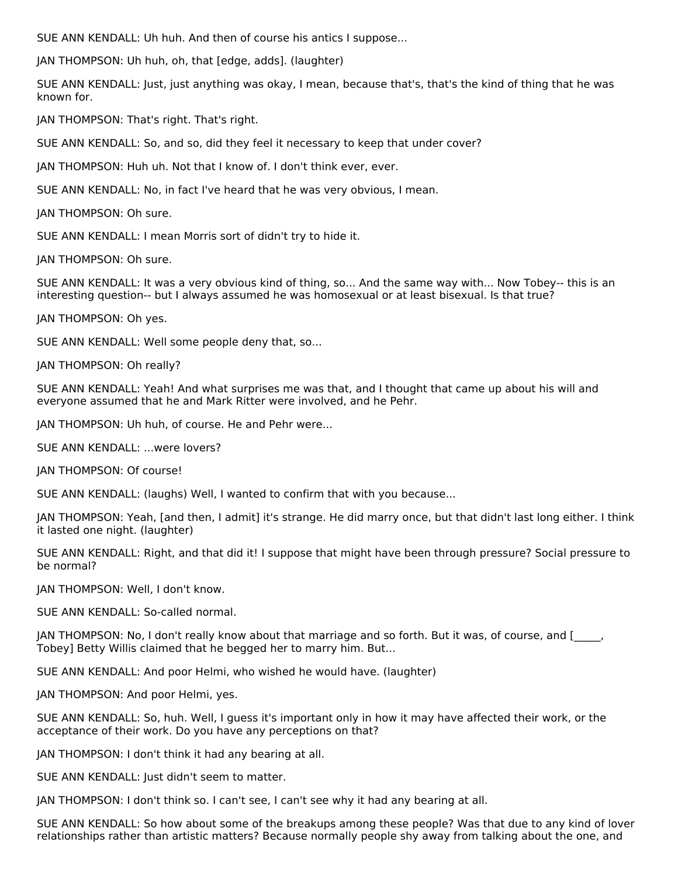SUE ANN KENDALL: Uh huh. And then of course his antics I suppose...

JAN THOMPSON: Uh huh, oh, that [edge, adds]. (laughter)

SUE ANN KENDALL: Just, just anything was okay, I mean, because that's, that's the kind of thing that he was known for.

JAN THOMPSON: That's right. That's right.

SUE ANN KENDALL: So, and so, did they feel it necessary to keep that under cover?

JAN THOMPSON: Huh uh. Not that I know of. I don't think ever, ever.

SUE ANN KENDALL: No, in fact I've heard that he was very obvious, I mean.

JAN THOMPSON: Oh sure.

SUE ANN KENDALL: I mean Morris sort of didn't try to hide it.

JAN THOMPSON: Oh sure.

SUE ANN KENDALL: It was a very obvious kind of thing, so... And the same way with... Now Tobey-- this is an interesting question-- but I always assumed he was homosexual or at least bisexual. Is that true?

JAN THOMPSON: Oh yes.

SUE ANN KENDALL: Well some people deny that, so...

JAN THOMPSON: Oh really?

SUE ANN KENDALL: Yeah! And what surprises me was that, and I thought that came up about his will and everyone assumed that he and Mark Ritter were involved, and he Pehr.

JAN THOMPSON: Uh huh, of course. He and Pehr were...

SUE ANN KENDALL: ...were lovers?

JAN THOMPSON: Of course!

SUE ANN KENDALL: (laughs) Well, I wanted to confirm that with you because...

JAN THOMPSON: Yeah, [and then, I admit] it's strange. He did marry once, but that didn't last long either. I think it lasted one night. (laughter)

SUE ANN KENDALL: Right, and that did it! I suppose that might have been through pressure? Social pressure to be normal?

JAN THOMPSON: Well, I don't know.

SUE ANN KENDALL: So-called normal.

JAN THOMPSON: No, I don't really know about that marriage and so forth. But it was, of course, and [\_\_\_\_\_, Tobey] Betty Willis claimed that he begged her to marry him. But...

SUE ANN KENDALL: And poor Helmi, who wished he would have. (laughter)

JAN THOMPSON: And poor Helmi, yes.

SUE ANN KENDALL: So, huh. Well, I guess it's important only in how it may have affected their work, or the acceptance of their work. Do you have any perceptions on that?

JAN THOMPSON: I don't think it had any bearing at all.

SUE ANN KENDALL: Just didn't seem to matter.

JAN THOMPSON: I don't think so. I can't see, I can't see why it had any bearing at all.

SUE ANN KENDALL: So how about some of the breakups among these people? Was that due to any kind of lover relationships rather than artistic matters? Because normally people shy away from talking about the one, and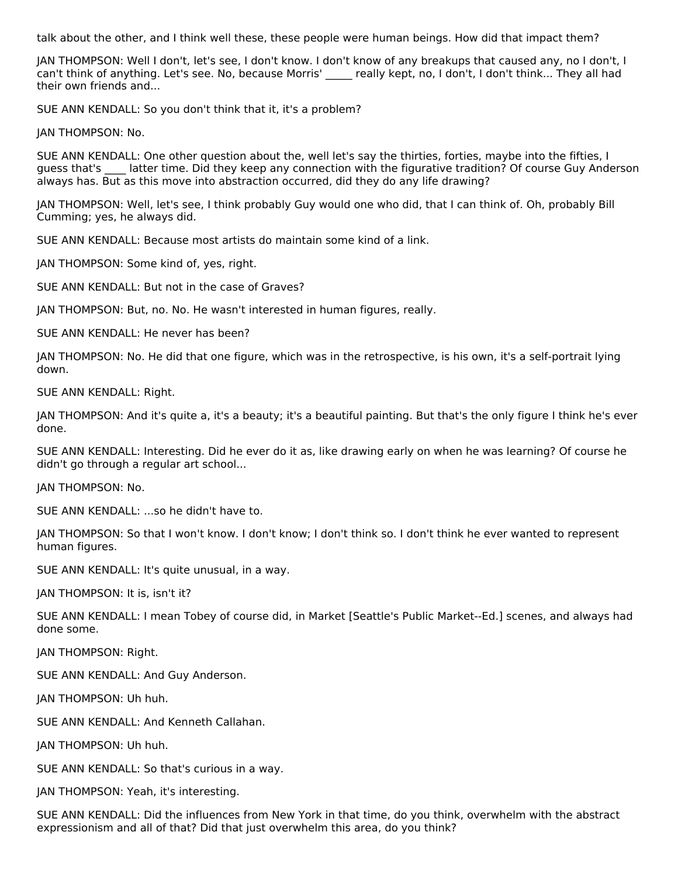talk about the other, and I think well these, these people were human beings. How did that impact them?

JAN THOMPSON: Well I don't, let's see, I don't know. I don't know of any breakups that caused any, no I don't, I can't think of anything. Let's see. No, because Morris' \_\_\_\_\_ really kept, no, I don't, I don't think... They all had their own friends and...

SUE ANN KENDALL: So you don't think that it, it's a problem?

JAN THOMPSON: No.

SUE ANN KENDALL: One other question about the, well let's say the thirties, forties, maybe into the fifties, I guess that's latter time. Did they keep any connection with the figurative tradition? Of course Guy Anderson always has. But as this move into abstraction occurred, did they do any life drawing?

JAN THOMPSON: Well, let's see, I think probably Guy would one who did, that I can think of. Oh, probably Bill Cumming; yes, he always did.

SUE ANN KENDALL: Because most artists do maintain some kind of a link.

JAN THOMPSON: Some kind of, yes, right.

SUE ANN KENDALL: But not in the case of Graves?

JAN THOMPSON: But, no. No. He wasn't interested in human figures, really.

SUE ANN KENDALL: He never has been?

JAN THOMPSON: No. He did that one figure, which was in the retrospective, is his own, it's a self-portrait lying down.

SUE ANN KENDALL: Right.

JAN THOMPSON: And it's quite a, it's a beauty; it's a beautiful painting. But that's the only figure I think he's ever done.

SUE ANN KENDALL: Interesting. Did he ever do it as, like drawing early on when he was learning? Of course he didn't go through a regular art school...

JAN THOMPSON: No.

SUE ANN KENDALL: ...so he didn't have to.

JAN THOMPSON: So that I won't know. I don't know; I don't think so. I don't think he ever wanted to represent human figures.

SUE ANN KENDALL: It's quite unusual, in a way.

JAN THOMPSON: It is, isn't it?

SUE ANN KENDALL: I mean Tobey of course did, in Market [Seattle's Public Market--Ed.] scenes, and always had done some.

JAN THOMPSON: Right.

SUE ANN KENDALL: And Guy Anderson.

JAN THOMPSON: Uh huh.

SUE ANN KENDALL: And Kenneth Callahan.

JAN THOMPSON: Uh huh.

SUE ANN KENDALL: So that's curious in a way.

JAN THOMPSON: Yeah, it's interesting.

SUE ANN KENDALL: Did the influences from New York in that time, do you think, overwhelm with the abstract expressionism and all of that? Did that just overwhelm this area, do you think?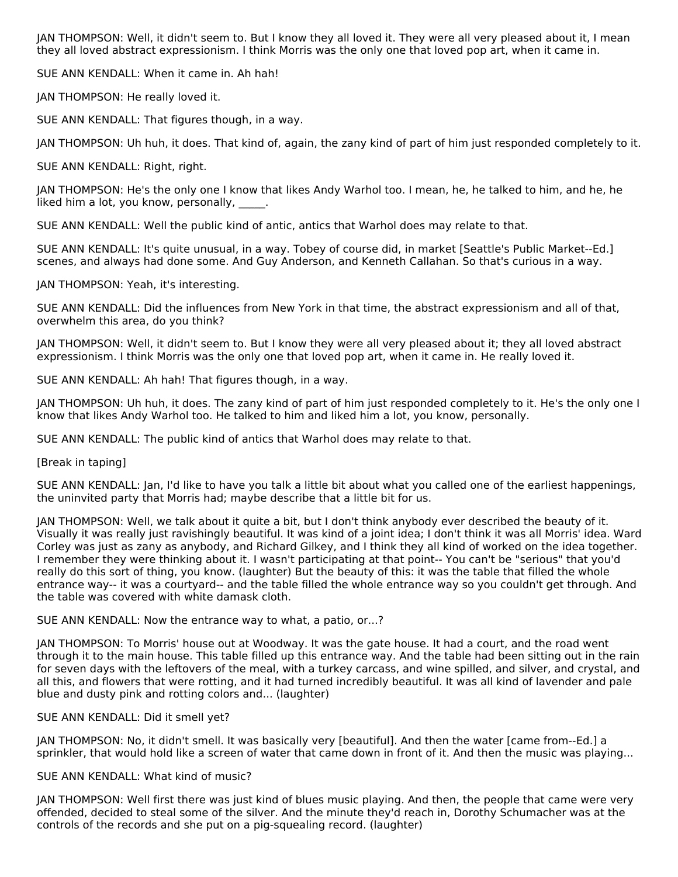JAN THOMPSON: Well, it didn't seem to. But I know they all loved it. They were all very pleased about it, I mean they all loved abstract expressionism. I think Morris was the only one that loved pop art, when it came in.

SUE ANN KENDALL: When it came in. Ah hah!

JAN THOMPSON: He really loved it.

SUE ANN KENDALL: That figures though, in a way.

JAN THOMPSON: Uh huh, it does. That kind of, again, the zany kind of part of him just responded completely to it.

SUE ANN KENDALL: Right, right.

JAN THOMPSON: He's the only one I know that likes Andy Warhol too. I mean, he, he talked to him, and he, he liked him a lot, you know, personally,  $\qquad \qquad$ .

SUE ANN KENDALL: Well the public kind of antic, antics that Warhol does may relate to that.

SUE ANN KENDALL: It's quite unusual, in a way. Tobey of course did, in market [Seattle's Public Market--Ed.] scenes, and always had done some. And Guy Anderson, and Kenneth Callahan. So that's curious in a way.

JAN THOMPSON: Yeah, it's interesting.

SUE ANN KENDALL: Did the influences from New York in that time, the abstract expressionism and all of that, overwhelm this area, do you think?

JAN THOMPSON: Well, it didn't seem to. But I know they were all very pleased about it; they all loved abstract expressionism. I think Morris was the only one that loved pop art, when it came in. He really loved it.

SUE ANN KENDALL: Ah hah! That figures though, in a way.

JAN THOMPSON: Uh huh, it does. The zany kind of part of him just responded completely to it. He's the only one I know that likes Andy Warhol too. He talked to him and liked him a lot, you know, personally.

SUE ANN KENDALL: The public kind of antics that Warhol does may relate to that.

[Break in taping]

SUE ANN KENDALL: Jan, I'd like to have you talk a little bit about what you called one of the earliest happenings, the uninvited party that Morris had; maybe describe that a little bit for us.

JAN THOMPSON: Well, we talk about it quite a bit, but I don't think anybody ever described the beauty of it. Visually it was really just ravishingly beautiful. It was kind of a joint idea; I don't think it was all Morris' idea. Ward Corley was just as zany as anybody, and Richard Gilkey, and I think they all kind of worked on the idea together. I remember they were thinking about it. I wasn't participating at that point-- You can't be "serious" that you'd really do this sort of thing, you know. (laughter) But the beauty of this: it was the table that filled the whole entrance way-- it was a courtyard-- and the table filled the whole entrance way so you couldn't get through. And the table was covered with white damask cloth.

SUE ANN KENDALL: Now the entrance way to what, a patio, or...?

JAN THOMPSON: To Morris' house out at Woodway. It was the gate house. It had a court, and the road went through it to the main house. This table filled up this entrance way. And the table had been sitting out in the rain for seven days with the leftovers of the meal, with a turkey carcass, and wine spilled, and silver, and crystal, and all this, and flowers that were rotting, and it had turned incredibly beautiful. It was all kind of lavender and pale blue and dusty pink and rotting colors and... (laughter)

#### SUE ANN KENDALL: Did it smell yet?

JAN THOMPSON: No, it didn't smell. It was basically very [beautiful]. And then the water [came from--Ed.] a sprinkler, that would hold like a screen of water that came down in front of it. And then the music was playing...

#### SUE ANN KENDALL: What kind of music?

JAN THOMPSON: Well first there was just kind of blues music playing. And then, the people that came were very offended, decided to steal some of the silver. And the minute they'd reach in, Dorothy Schumacher was at the controls of the records and she put on a pig-squealing record. (laughter)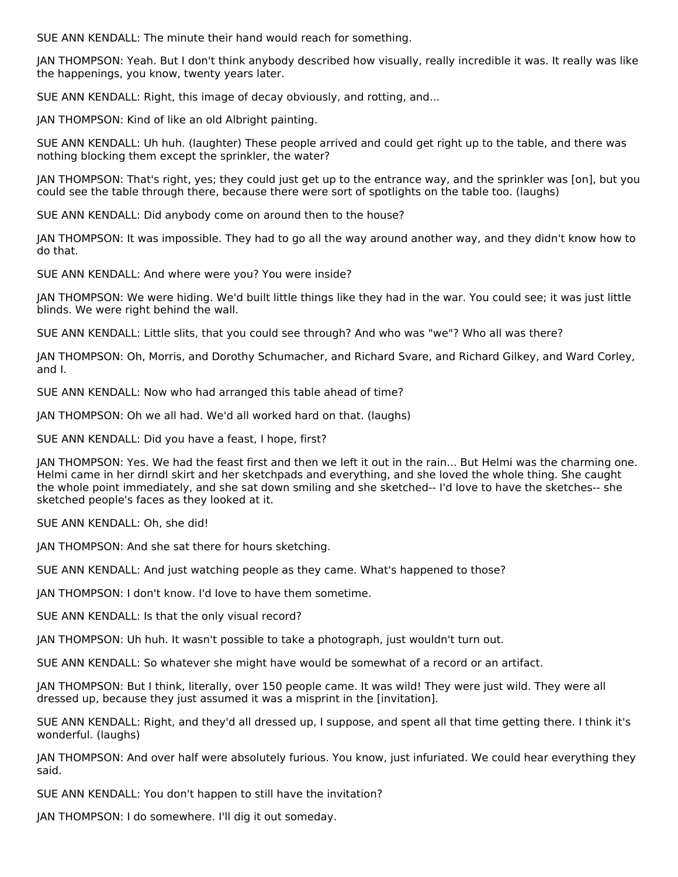SUE ANN KENDALL: The minute their hand would reach for something.

JAN THOMPSON: Yeah. But I don't think anybody described how visually, really incredible it was. It really was like the happenings, you know, twenty years later.

SUE ANN KENDALL: Right, this image of decay obviously, and rotting, and...

JAN THOMPSON: Kind of like an old Albright painting.

SUE ANN KENDALL: Uh huh. (laughter) These people arrived and could get right up to the table, and there was nothing blocking them except the sprinkler, the water?

JAN THOMPSON: That's right, yes; they could just get up to the entrance way, and the sprinkler was [on], but you could see the table through there, because there were sort of spotlights on the table too. (laughs)

SUE ANN KENDALL: Did anybody come on around then to the house?

JAN THOMPSON: It was impossible. They had to go all the way around another way, and they didn't know how to do that.

SUE ANN KENDALL: And where were you? You were inside?

JAN THOMPSON: We were hiding. We'd built little things like they had in the war. You could see; it was just little blinds. We were right behind the wall.

SUE ANN KENDALL: Little slits, that you could see through? And who was "we"? Who all was there?

JAN THOMPSON: Oh, Morris, and Dorothy Schumacher, and Richard Svare, and Richard Gilkey, and Ward Corley, and I.

SUE ANN KENDALL: Now who had arranged this table ahead of time?

JAN THOMPSON: Oh we all had. We'd all worked hard on that. (laughs)

SUE ANN KENDALL: Did you have a feast, I hope, first?

JAN THOMPSON: Yes. We had the feast first and then we left it out in the rain... But Helmi was the charming one. Helmi came in her dirndl skirt and her sketchpads and everything, and she loved the whole thing. She caught the whole point immediately, and she sat down smiling and she sketched-- I'd love to have the sketches-- she sketched people's faces as they looked at it.

SUE ANN KENDALL: Oh, she did!

JAN THOMPSON: And she sat there for hours sketching.

SUE ANN KENDALL: And just watching people as they came. What's happened to those?

JAN THOMPSON: I don't know. I'd love to have them sometime.

SUE ANN KENDALL: Is that the only visual record?

JAN THOMPSON: Uh huh. It wasn't possible to take a photograph, just wouldn't turn out.

SUE ANN KENDALL: So whatever she might have would be somewhat of a record or an artifact.

JAN THOMPSON: But I think, literally, over 150 people came. It was wild! They were just wild. They were all dressed up, because they just assumed it was a misprint in the [invitation].

SUE ANN KENDALL: Right, and they'd all dressed up, I suppose, and spent all that time getting there. I think it's wonderful. (laughs)

JAN THOMPSON: And over half were absolutely furious. You know, just infuriated. We could hear everything they said.

SUE ANN KENDALL: You don't happen to still have the invitation?

JAN THOMPSON: I do somewhere. I'll dig it out someday.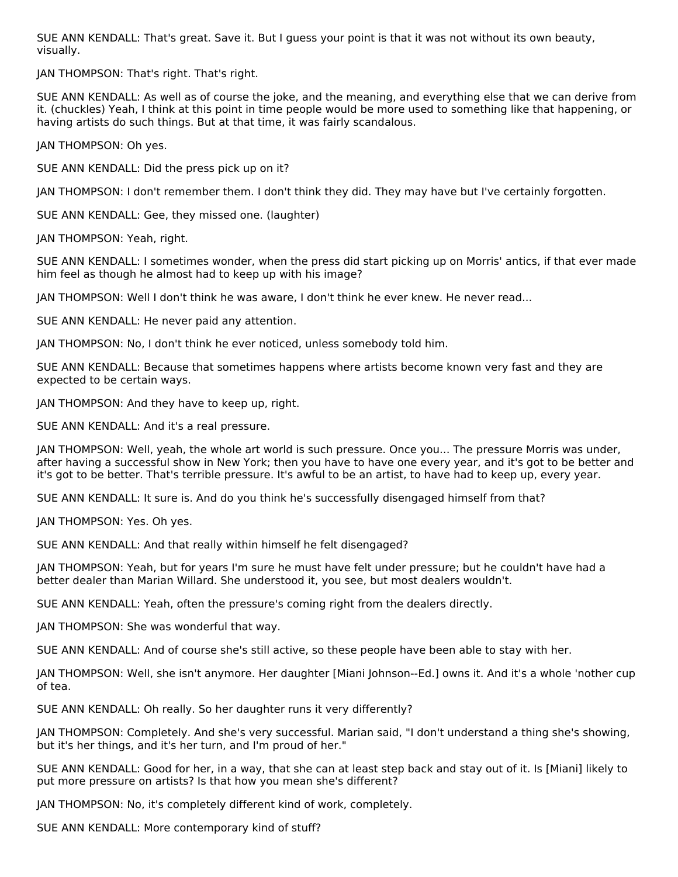SUE ANN KENDALL: That's great. Save it. But I guess your point is that it was not without its own beauty, visually.

JAN THOMPSON: That's right. That's right.

SUE ANN KENDALL: As well as of course the joke, and the meaning, and everything else that we can derive from it. (chuckles) Yeah, I think at this point in time people would be more used to something like that happening, or having artists do such things. But at that time, it was fairly scandalous.

JAN THOMPSON: Oh yes.

SUE ANN KENDALL: Did the press pick up on it?

JAN THOMPSON: I don't remember them. I don't think they did. They may have but I've certainly forgotten.

SUE ANN KENDALL: Gee, they missed one. (laughter)

JAN THOMPSON: Yeah, right.

SUE ANN KENDALL: I sometimes wonder, when the press did start picking up on Morris' antics, if that ever made him feel as though he almost had to keep up with his image?

JAN THOMPSON: Well I don't think he was aware, I don't think he ever knew. He never read...

SUE ANN KENDALL: He never paid any attention.

JAN THOMPSON: No, I don't think he ever noticed, unless somebody told him.

SUE ANN KENDALL: Because that sometimes happens where artists become known very fast and they are expected to be certain ways.

JAN THOMPSON: And they have to keep up, right.

SUE ANN KENDALL: And it's a real pressure.

JAN THOMPSON: Well, yeah, the whole art world is such pressure. Once you... The pressure Morris was under, after having a successful show in New York; then you have to have one every year, and it's got to be better and it's got to be better. That's terrible pressure. It's awful to be an artist, to have had to keep up, every year.

SUE ANN KENDALL: It sure is. And do you think he's successfully disengaged himself from that?

JAN THOMPSON: Yes. Oh yes.

SUE ANN KENDALL: And that really within himself he felt disengaged?

JAN THOMPSON: Yeah, but for years I'm sure he must have felt under pressure; but he couldn't have had a better dealer than Marian Willard. She understood it, you see, but most dealers wouldn't.

SUE ANN KENDALL: Yeah, often the pressure's coming right from the dealers directly.

JAN THOMPSON: She was wonderful that way.

SUE ANN KENDALL: And of course she's still active, so these people have been able to stay with her.

JAN THOMPSON: Well, she isn't anymore. Her daughter [Miani Johnson--Ed.] owns it. And it's a whole 'nother cup of tea.

SUE ANN KENDALL: Oh really. So her daughter runs it very differently?

JAN THOMPSON: Completely. And she's very successful. Marian said, "I don't understand a thing she's showing, but it's her things, and it's her turn, and I'm proud of her."

SUE ANN KENDALL: Good for her, in a way, that she can at least step back and stay out of it. Is [Miani] likely to put more pressure on artists? Is that how you mean she's different?

JAN THOMPSON: No, it's completely different kind of work, completely.

SUE ANN KENDALL: More contemporary kind of stuff?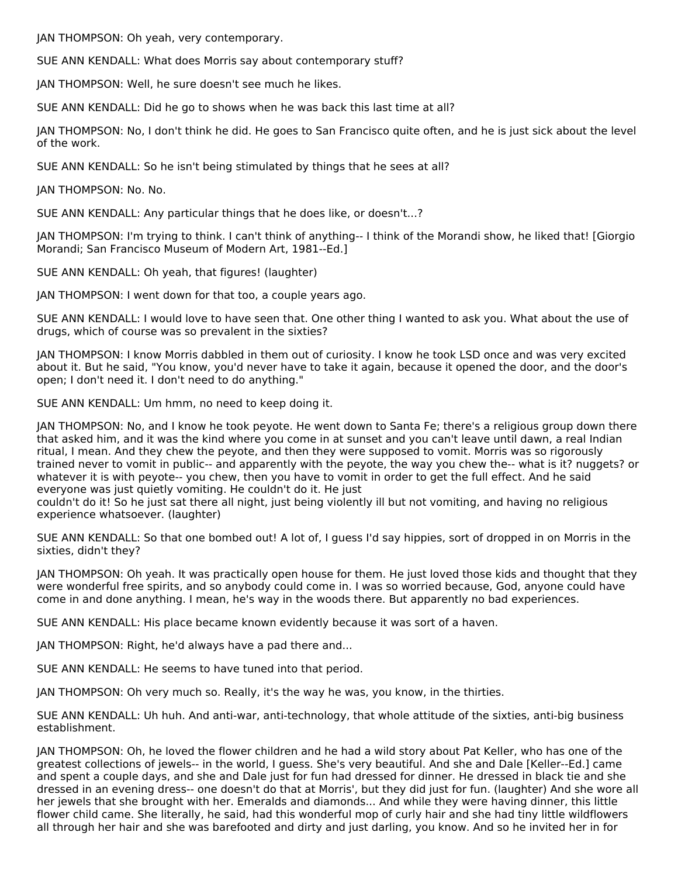JAN THOMPSON: Oh yeah, very contemporary.

SUE ANN KENDALL: What does Morris say about contemporary stuff?

JAN THOMPSON: Well, he sure doesn't see much he likes.

SUE ANN KENDALL: Did he go to shows when he was back this last time at all?

JAN THOMPSON: No, I don't think he did. He goes to San Francisco quite often, and he is just sick about the level of the work.

SUE ANN KENDALL: So he isn't being stimulated by things that he sees at all?

JAN THOMPSON: No. No.

SUE ANN KENDALL: Any particular things that he does like, or doesn't...?

JAN THOMPSON: I'm trying to think. I can't think of anything-- I think of the Morandi show, he liked that! [Giorgio Morandi; San Francisco Museum of Modern Art, 1981--Ed.]

SUE ANN KENDALL: Oh yeah, that figures! (laughter)

JAN THOMPSON: I went down for that too, a couple years ago.

SUE ANN KENDALL: I would love to have seen that. One other thing I wanted to ask you. What about the use of drugs, which of course was so prevalent in the sixties?

JAN THOMPSON: I know Morris dabbled in them out of curiosity. I know he took LSD once and was very excited about it. But he said, "You know, you'd never have to take it again, because it opened the door, and the door's open; I don't need it. I don't need to do anything."

SUE ANN KENDALL: Um hmm, no need to keep doing it.

JAN THOMPSON: No, and I know he took peyote. He went down to Santa Fe; there's a religious group down there that asked him, and it was the kind where you come in at sunset and you can't leave until dawn, a real Indian ritual, I mean. And they chew the peyote, and then they were supposed to vomit. Morris was so rigorously trained never to vomit in public-- and apparently with the peyote, the way you chew the-- what is it? nuggets? or whatever it is with peyote-- you chew, then you have to vomit in order to get the full effect. And he said everyone was just quietly vomiting. He couldn't do it. He just

couldn't do it! So he just sat there all night, just being violently ill but not vomiting, and having no religious experience whatsoever. (laughter)

SUE ANN KENDALL: So that one bombed out! A lot of, I guess I'd say hippies, sort of dropped in on Morris in the sixties, didn't they?

JAN THOMPSON: Oh yeah. It was practically open house for them. He just loved those kids and thought that they were wonderful free spirits, and so anybody could come in. I was so worried because, God, anyone could have come in and done anything. I mean, he's way in the woods there. But apparently no bad experiences.

SUE ANN KENDALL: His place became known evidently because it was sort of a haven.

JAN THOMPSON: Right, he'd always have a pad there and...

SUE ANN KENDALL: He seems to have tuned into that period.

JAN THOMPSON: Oh very much so. Really, it's the way he was, you know, in the thirties.

SUE ANN KENDALL: Uh huh. And anti-war, anti-technology, that whole attitude of the sixties, anti-big business establishment.

JAN THOMPSON: Oh, he loved the flower children and he had a wild story about Pat Keller, who has one of the greatest collections of jewels-- in the world, I guess. She's very beautiful. And she and Dale [Keller--Ed.] came and spent a couple days, and she and Dale just for fun had dressed for dinner. He dressed in black tie and she dressed in an evening dress-- one doesn't do that at Morris', but they did just for fun. (laughter) And she wore all her jewels that she brought with her. Emeralds and diamonds... And while they were having dinner, this little flower child came. She literally, he said, had this wonderful mop of curly hair and she had tiny little wildflowers all through her hair and she was barefooted and dirty and just darling, you know. And so he invited her in for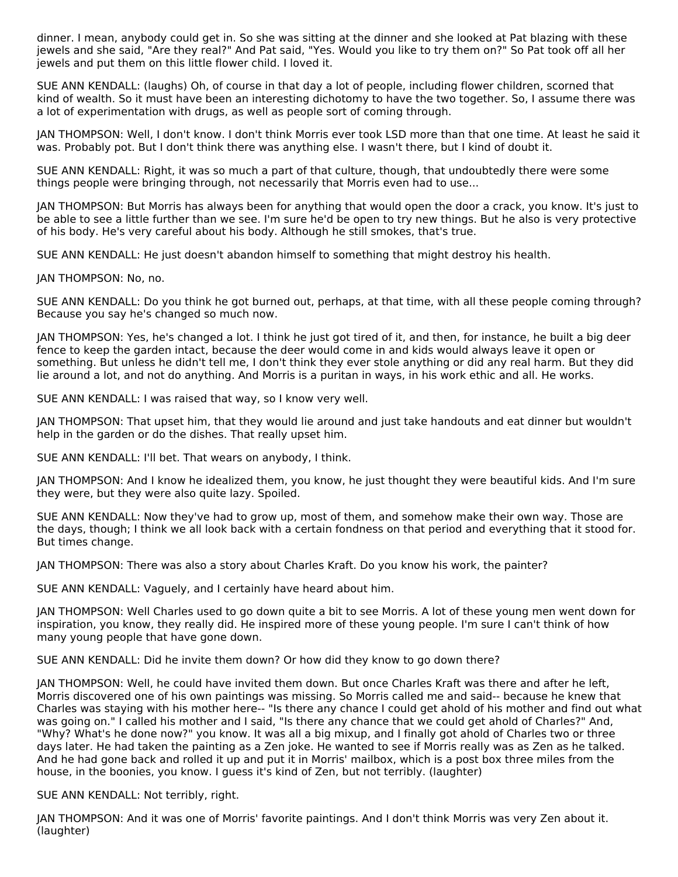dinner. I mean, anybody could get in. So she was sitting at the dinner and she looked at Pat blazing with these jewels and she said, "Are they real?" And Pat said, "Yes. Would you like to try them on?" So Pat took off all her jewels and put them on this little flower child. I loved it.

SUE ANN KENDALL: (laughs) Oh, of course in that day a lot of people, including flower children, scorned that kind of wealth. So it must have been an interesting dichotomy to have the two together. So, I assume there was a lot of experimentation with drugs, as well as people sort of coming through.

JAN THOMPSON: Well, I don't know. I don't think Morris ever took LSD more than that one time. At least he said it was. Probably pot. But I don't think there was anything else. I wasn't there, but I kind of doubt it.

SUE ANN KENDALL: Right, it was so much a part of that culture, though, that undoubtedly there were some things people were bringing through, not necessarily that Morris even had to use...

JAN THOMPSON: But Morris has always been for anything that would open the door a crack, you know. It's just to be able to see a little further than we see. I'm sure he'd be open to try new things. But he also is very protective of his body. He's very careful about his body. Although he still smokes, that's true.

SUE ANN KENDALL: He just doesn't abandon himself to something that might destroy his health.

JAN THOMPSON: No, no.

SUE ANN KENDALL: Do you think he got burned out, perhaps, at that time, with all these people coming through? Because you say he's changed so much now.

JAN THOMPSON: Yes, he's changed a lot. I think he just got tired of it, and then, for instance, he built a big deer fence to keep the garden intact, because the deer would come in and kids would always leave it open or something. But unless he didn't tell me, I don't think they ever stole anything or did any real harm. But they did lie around a lot, and not do anything. And Morris is a puritan in ways, in his work ethic and all. He works.

SUE ANN KENDALL: I was raised that way, so I know very well.

JAN THOMPSON: That upset him, that they would lie around and just take handouts and eat dinner but wouldn't help in the garden or do the dishes. That really upset him.

SUE ANN KENDALL: I'll bet. That wears on anybody, I think.

JAN THOMPSON: And I know he idealized them, you know, he just thought they were beautiful kids. And I'm sure they were, but they were also quite lazy. Spoiled.

SUE ANN KENDALL: Now they've had to grow up, most of them, and somehow make their own way. Those are the days, though; I think we all look back with a certain fondness on that period and everything that it stood for. But times change.

JAN THOMPSON: There was also a story about Charles Kraft. Do you know his work, the painter?

SUE ANN KENDALL: Vaguely, and I certainly have heard about him.

JAN THOMPSON: Well Charles used to go down quite a bit to see Morris. A lot of these young men went down for inspiration, you know, they really did. He inspired more of these young people. I'm sure I can't think of how many young people that have gone down.

SUE ANN KENDALL: Did he invite them down? Or how did they know to go down there?

JAN THOMPSON: Well, he could have invited them down. But once Charles Kraft was there and after he left, Morris discovered one of his own paintings was missing. So Morris called me and said-- because he knew that Charles was staying with his mother here-- "Is there any chance I could get ahold of his mother and find out what was going on." I called his mother and I said, "Is there any chance that we could get ahold of Charles?" And, "Why? What's he done now?" you know. It was all a big mixup, and I finally got ahold of Charles two or three days later. He had taken the painting as a Zen joke. He wanted to see if Morris really was as Zen as he talked. And he had gone back and rolled it up and put it in Morris' mailbox, which is a post box three miles from the house, in the boonies, you know. I guess it's kind of Zen, but not terribly. (laughter)

SUE ANN KENDALL: Not terribly, right.

JAN THOMPSON: And it was one of Morris' favorite paintings. And I don't think Morris was very Zen about it. (laughter)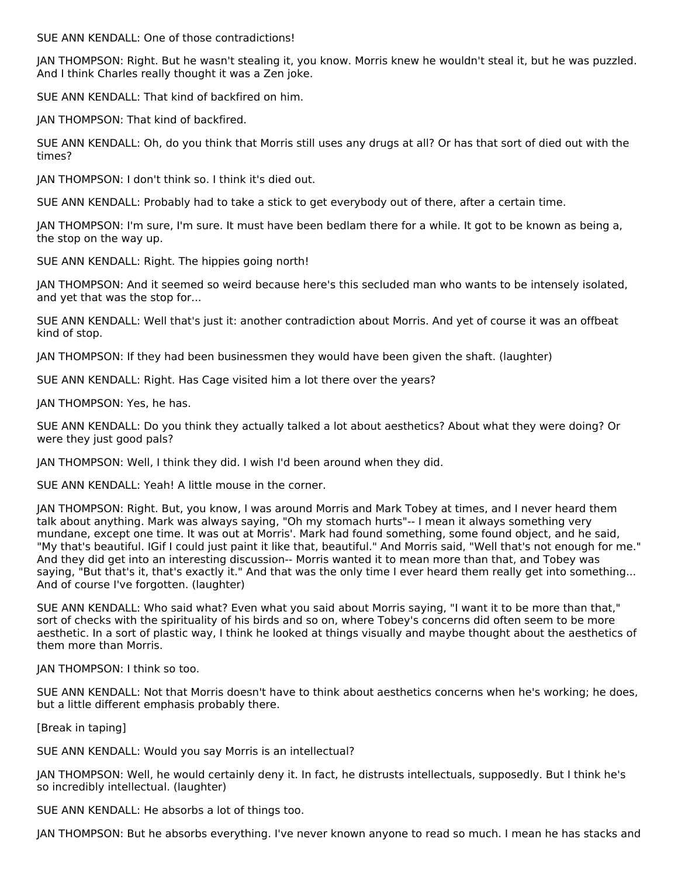SUE ANN KENDALL: One of those contradictions!

JAN THOMPSON: Right. But he wasn't stealing it, you know. Morris knew he wouldn't steal it, but he was puzzled. And I think Charles really thought it was a Zen joke.

SUE ANN KENDALL: That kind of backfired on him.

JAN THOMPSON: That kind of backfired.

SUE ANN KENDALL: Oh, do you think that Morris still uses any drugs at all? Or has that sort of died out with the times?

JAN THOMPSON: I don't think so. I think it's died out.

SUE ANN KENDALL: Probably had to take a stick to get everybody out of there, after a certain time.

JAN THOMPSON: I'm sure, I'm sure. It must have been bedlam there for a while. It got to be known as being a, the stop on the way up.

SUE ANN KENDALL: Right. The hippies going north!

JAN THOMPSON: And it seemed so weird because here's this secluded man who wants to be intensely isolated, and yet that was the stop for...

SUE ANN KENDALL: Well that's just it: another contradiction about Morris. And yet of course it was an offbeat kind of stop.

JAN THOMPSON: If they had been businessmen they would have been given the shaft. (laughter)

SUE ANN KENDALL: Right. Has Cage visited him a lot there over the years?

JAN THOMPSON: Yes, he has.

SUE ANN KENDALL: Do you think they actually talked a lot about aesthetics? About what they were doing? Or were they just good pals?

JAN THOMPSON: Well, I think they did. I wish I'd been around when they did.

SUE ANN KENDALL: Yeah! A little mouse in the corner.

JAN THOMPSON: Right. But, you know, I was around Morris and Mark Tobey at times, and I never heard them talk about anything. Mark was always saying, "Oh my stomach hurts"-- I mean it always something very mundane, except one time. It was out at Morris'. Mark had found something, some found object, and he said, "My that's beautiful. IGif I could just paint it like that, beautiful." And Morris said, "Well that's not enough for me." And they did get into an interesting discussion-- Morris wanted it to mean more than that, and Tobey was saying, "But that's it, that's exactly it." And that was the only time I ever heard them really get into something... And of course I've forgotten. (laughter)

SUE ANN KENDALL: Who said what? Even what you said about Morris saying, "I want it to be more than that," sort of checks with the spirituality of his birds and so on, where Tobey's concerns did often seem to be more aesthetic. In a sort of plastic way, I think he looked at things visually and maybe thought about the aesthetics of them more than Morris.

JAN THOMPSON: I think so too.

SUE ANN KENDALL: Not that Morris doesn't have to think about aesthetics concerns when he's working; he does, but a little different emphasis probably there.

[Break in taping]

SUE ANN KENDALL: Would you say Morris is an intellectual?

JAN THOMPSON: Well, he would certainly deny it. In fact, he distrusts intellectuals, supposedly. But I think he's so incredibly intellectual. (laughter)

SUE ANN KENDALL: He absorbs a lot of things too.

JAN THOMPSON: But he absorbs everything. I've never known anyone to read so much. I mean he has stacks and